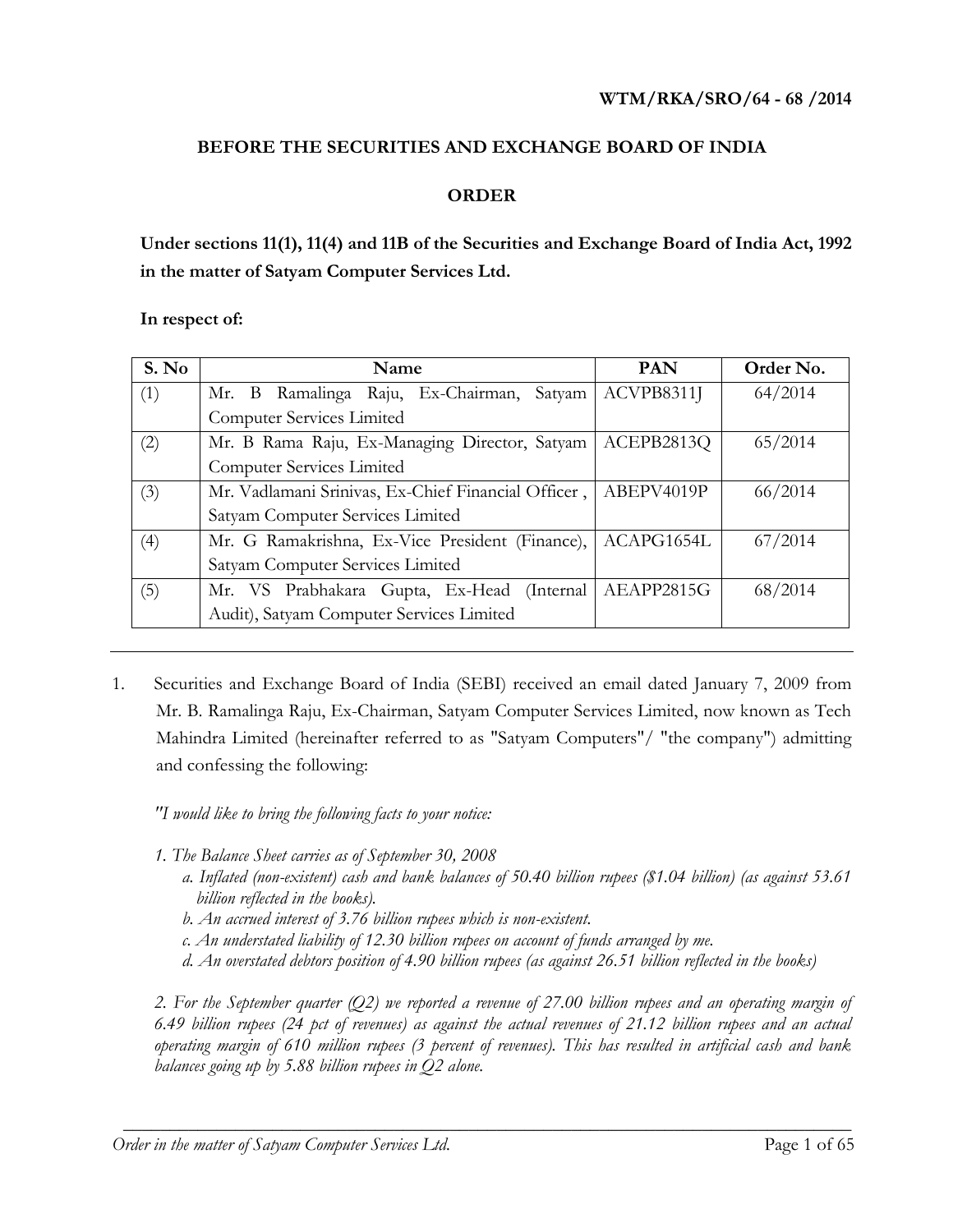#### **BEFORE THE SECURITIES AND EXCHANGE BOARD OF INDIA**

#### **ORDER**

**Under sections 11(1), 11(4) and 11B of the Securities and Exchange Board of India Act, 1992 in the matter of Satyam Computer Services Ltd.** 

#### **In respect of:**

| S. No | Name                                                | <b>PAN</b> | Order No. |
|-------|-----------------------------------------------------|------------|-----------|
| (1)   | Mr. B Ramalinga Raju, Ex-Chairman,<br>Satyam        | ACVPB8311J | 64/2014   |
|       | <b>Computer Services Limited</b>                    |            |           |
| (2)   | Mr. B Rama Raju, Ex-Managing Director, Satyam       | ACEPB2813Q | 65/2014   |
|       | Computer Services Limited                           |            |           |
| (3)   | Mr. Vadlamani Srinivas, Ex-Chief Financial Officer, | ABEPV4019P | 66/2014   |
|       | Satyam Computer Services Limited                    |            |           |
| (4)   | Mr. G Ramakrishna, Ex-Vice President (Finance),     | ACAPG1654L | 67/2014   |
|       | Satyam Computer Services Limited                    |            |           |
| (5)   | Mr. VS Prabhakara Gupta, Ex-Head (Internal          | AEAPP2815G | 68/2014   |
|       | Audit), Satyam Computer Services Limited            |            |           |

1. Securities and Exchange Board of India (SEBI) received an email dated January 7, 2009 from Mr. B. Ramalinga Raju, Ex-Chairman, Satyam Computer Services Limited, now known as Tech Mahindra Limited (hereinafter referred to as "Satyam Computers"/ "the company") admitting and confessing the following:

*"I would like to bring the following facts to your notice:*

- *1. The Balance Sheet carries as of September 30, 2008*
	- *a. Inflated (non-existent) cash and bank balances of 50.40 billion rupees (\$1.04 billion) (as against 53.61 billion reflected in the books).*
	- *b. An accrued interest of 3.76 billion rupees which is non-existent.*
	- *c. An understated liability of 12.30 billion rupees on account of funds arranged by me.*
	- *d. An overstated debtors position of 4.90 billion rupees (as against 26.51 billion reflected in the books)*

*2. For the September quarter (Q2) we reported a revenue of 27.00 billion rupees and an operating margin of 6.49 billion rupees (24 pct of revenues) as against the actual revenues of 21.12 billion rupees and an actual operating margin of 610 million rupees (3 percent of revenues). This has resulted in artificial cash and bank balances going up by 5.88 billion rupees in Q2 alone.*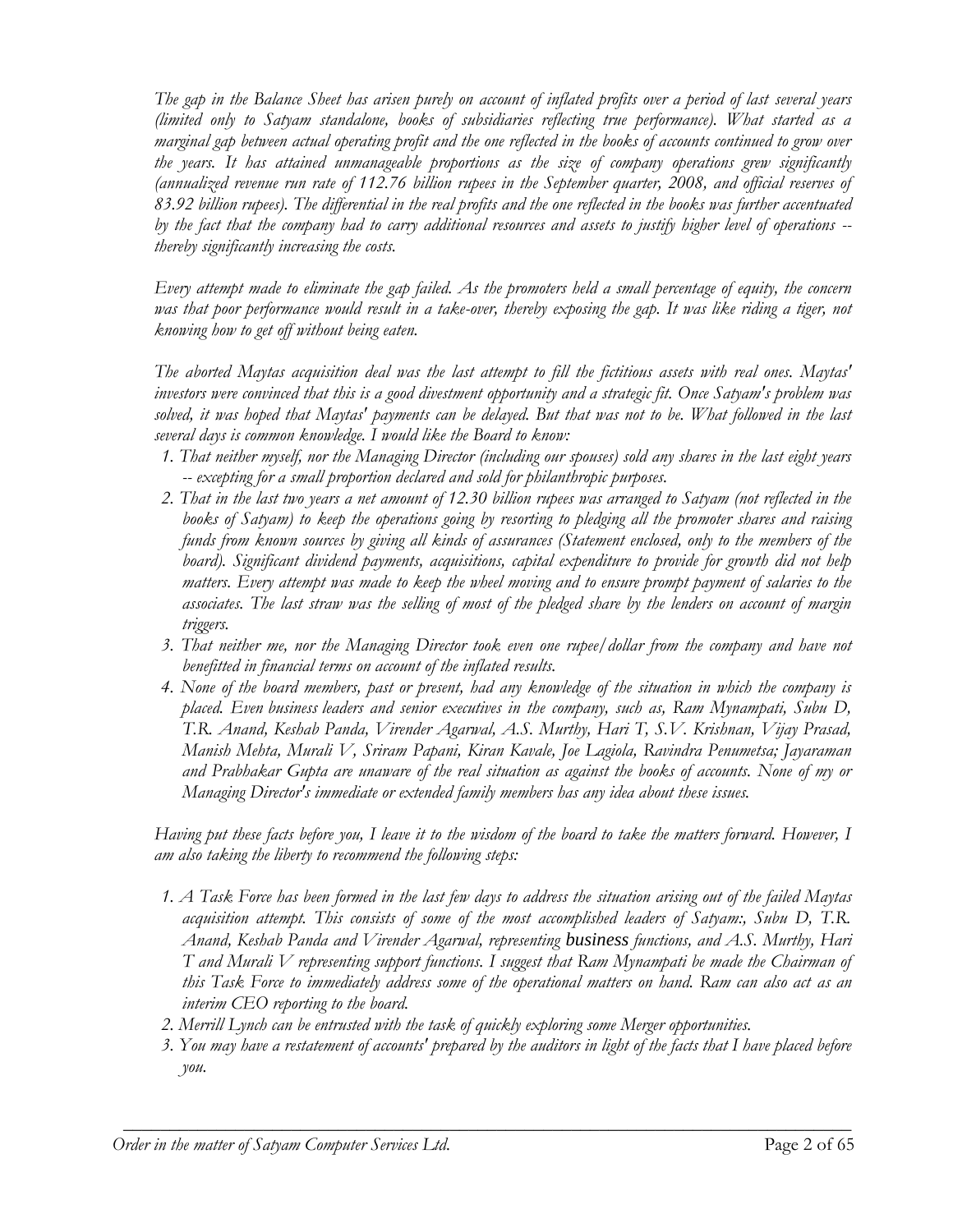*The gap in the Balance Sheet has arisen purely on account of inflated profits over a period of last several years (limited only to Satyam standalone, books of subsidiaries reflecting true performance). What started as a marginal gap between actual operating profit and the one reflected in the books of accounts continued to grow over the years. It has attained unmanageable proportions as the size of company operations grew significantly (annualized revenue run rate of 112.76 billion rupees in the September quarter, 2008, and official reserves of 83.92 billion rupees). The differential in the real profits and the one reflected in the books was further accentuated by the fact that the company had to carry additional resources and assets to justify higher level of operations - thereby significantly increasing the costs.*

*Every attempt made to eliminate the gap failed. As the promoters held a small percentage of equity, the concern*  was that poor performance would result in a take-over, thereby exposing the gap. It was like riding a tiger, not *knowing how to get off without being eaten.*

*The aborted Maytas acquisition deal was the last attempt to fill the fictitious assets with real ones. Maytas' investors were convinced that this is a good divestment opportunity and a strategic fit. Once Satyam's problem was solved, it was hoped that Maytas' payments can be delayed. But that was not to be. What followed in the last several days is common knowledge. I would like the Board to know:*

- *1. That neither myself, nor the Managing Director (including our spouses) sold any shares in the last eight years -- excepting for a small proportion declared and sold for philanthropic purposes.*
- *2. That in the last two years a net amount of 12.30 billion rupees was arranged to Satyam (not reflected in the books of Satyam) to keep the operations going by resorting to pledging all the promoter shares and raising funds from known sources by giving all kinds of assurances (Statement enclosed, only to the members of the board). Significant dividend payments, acquisitions, capital expenditure to provide for growth did not help matters. Every attempt was made to keep the wheel moving and to ensure prompt payment of salaries to the associates. The last straw was the selling of most of the pledged share by the lenders on account of margin triggers.*
- *3. That neither me, nor the Managing Director took even one rupee/dollar from the company and have not benefitted in financial terms on account of the inflated results.*
- *4. None of the board members, past or present, had any knowledge of the situation in which the company is placed. Even [business](http://uk.reuters.com/finance?lc=int_mb_1001) leaders and senior executives in the company, such as, Ram Mynampati, Subu D, T.R. Anand, Keshab Panda, Virender Agarwal, A.S. Murthy, Hari T, S.V. Krishnan, Vijay Prasad, Manish Mehta, Murali V, Sriram Papani, Kiran Kavale, Joe Lagiola, Ravindra Penumetsa; Jayaraman and Prabhakar Gupta are unaware of the real situation as against the books of accounts. None of my or Managing Director's immediate or extended family members has any idea about these issues.*

*Having put these facts before you, I leave it to the wisdom of the board to take the matters forward. However, I am also taking the liberty to recommend the following steps:*

- *1. A Task Force has been formed in the last few days to address the situation arising out of the failed Maytas acquisition attempt. This consists of some of the most accomplished leaders of Satyam:, Subu D, T.R. Anand, Keshab Panda and Virender Agarwal, representing [business](http://uk.reuters.com/finance?lc=int_mb_1001) functions, and A.S. Murthy, Hari T and Murali V representing support functions. I suggest that Ram Mynampati be made the Chairman of this Task Force to immediately address some of the operational matters on hand. Ram can also act as an interim CEO reporting to the board.*
- *2. Merrill Lynch can be entrusted with the task of quickly exploring some Merger opportunities.*
- *3. You may have a restatement of accounts' prepared by the auditors in light of the facts that I have placed before you.*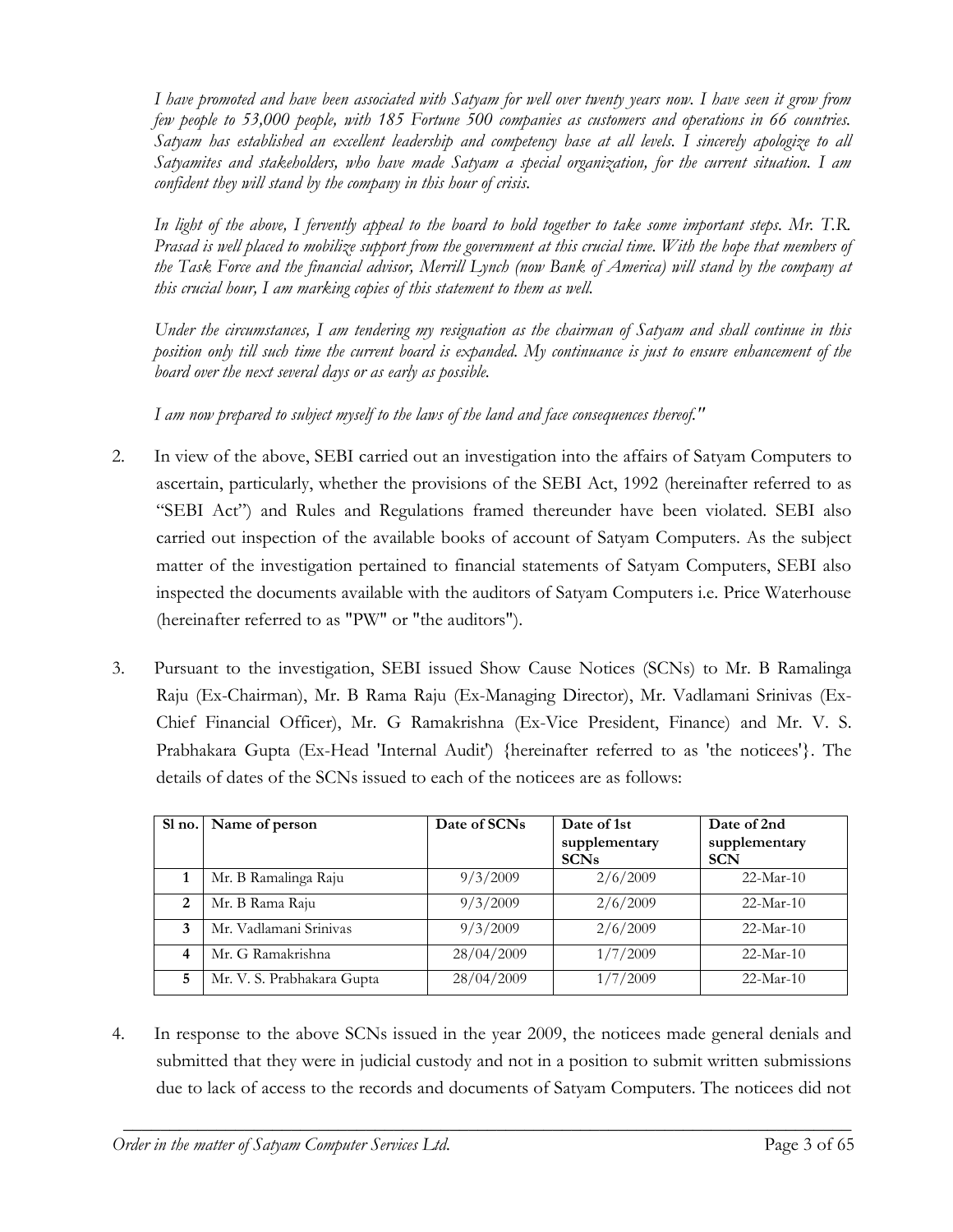*I have promoted and have been associated with Satyam for well over twenty years now. I have seen it grow from few people to 53,000 people, with 185 Fortune 500 companies as customers and operations in 66 countries. Satyam has established an excellent leadership and competency base at all levels. I sincerely apologize to all Satyamites and stakeholders, who have made Satyam a special organization, for the current situation. I am confident they will stand by the company in this hour of crisis.*

*In light of the above, I fervently appeal to the board to hold together to take some important steps. Mr. T.R. Prasad is well placed to mobilize support from the government at this crucial time. With the hope that members of the Task Force and the financial advisor, Merrill Lynch (now Bank of America) will stand by the company at this crucial hour, I am marking copies of this statement to them as well.*

*Under the circumstances, I am tendering my resignation as the chairman of Satyam and shall continue in this position only till such time the current board is expanded. My continuance is just to ensure enhancement of the board over the next several days or as early as possible.*

*I am now prepared to subject myself to the laws of the land and face consequences thereof."*

- 2. In view of the above, SEBI carried out an investigation into the affairs of Satyam Computers to ascertain, particularly, whether the provisions of the SEBI Act, 1992 (hereinafter referred to as "SEBI Act") and Rules and Regulations framed thereunder have been violated. SEBI also carried out inspection of the available books of account of Satyam Computers. As the subject matter of the investigation pertained to financial statements of Satyam Computers, SEBI also inspected the documents available with the auditors of Satyam Computers i.e. Price Waterhouse (hereinafter referred to as "PW" or "the auditors").
- 3. Pursuant to the investigation, SEBI issued Show Cause Notices (SCNs) to Mr. B Ramalinga Raju (Ex-Chairman), Mr. B Rama Raju (Ex-Managing Director), Mr. Vadlamani Srinivas (Ex-Chief Financial Officer), Mr. G Ramakrishna (Ex-Vice President, Finance) and Mr. V. S. Prabhakara Gupta (Ex-Head 'Internal Audit') {hereinafter referred to as 'the noticees'}. The details of dates of the SCNs issued to each of the noticees are as follows:

| Sl no. | Name of person             | Date of SCNs | Date of 1st<br>supplementary<br><b>SCNs</b> | Date of 2nd<br>supplementary<br><b>SCN</b> |
|--------|----------------------------|--------------|---------------------------------------------|--------------------------------------------|
|        | Mr. B Ramalinga Raju       | 9/3/2009     | 2/6/2009                                    | $22-Mar-10$                                |
| 2      | Mr. B Rama Raju            | 9/3/2009     | 2/6/2009                                    | $22-Mar-10$                                |
| 3      | Mr. Vadlamani Srinivas     | 9/3/2009     | 2/6/2009                                    | $22-Mar-10$                                |
| 4      | Mr. G Ramakrishna          | 28/04/2009   | 1/7/2009                                    | $22-Mar-10$                                |
| 5      | Mr. V. S. Prabhakara Gupta | 28/04/2009   | 1/7/2009                                    | $22-Mar-10$                                |

4. In response to the above SCNs issued in the year 2009, the noticees made general denials and submitted that they were in judicial custody and not in a position to submit written submissions due to lack of access to the records and documents of Satyam Computers. The noticees did not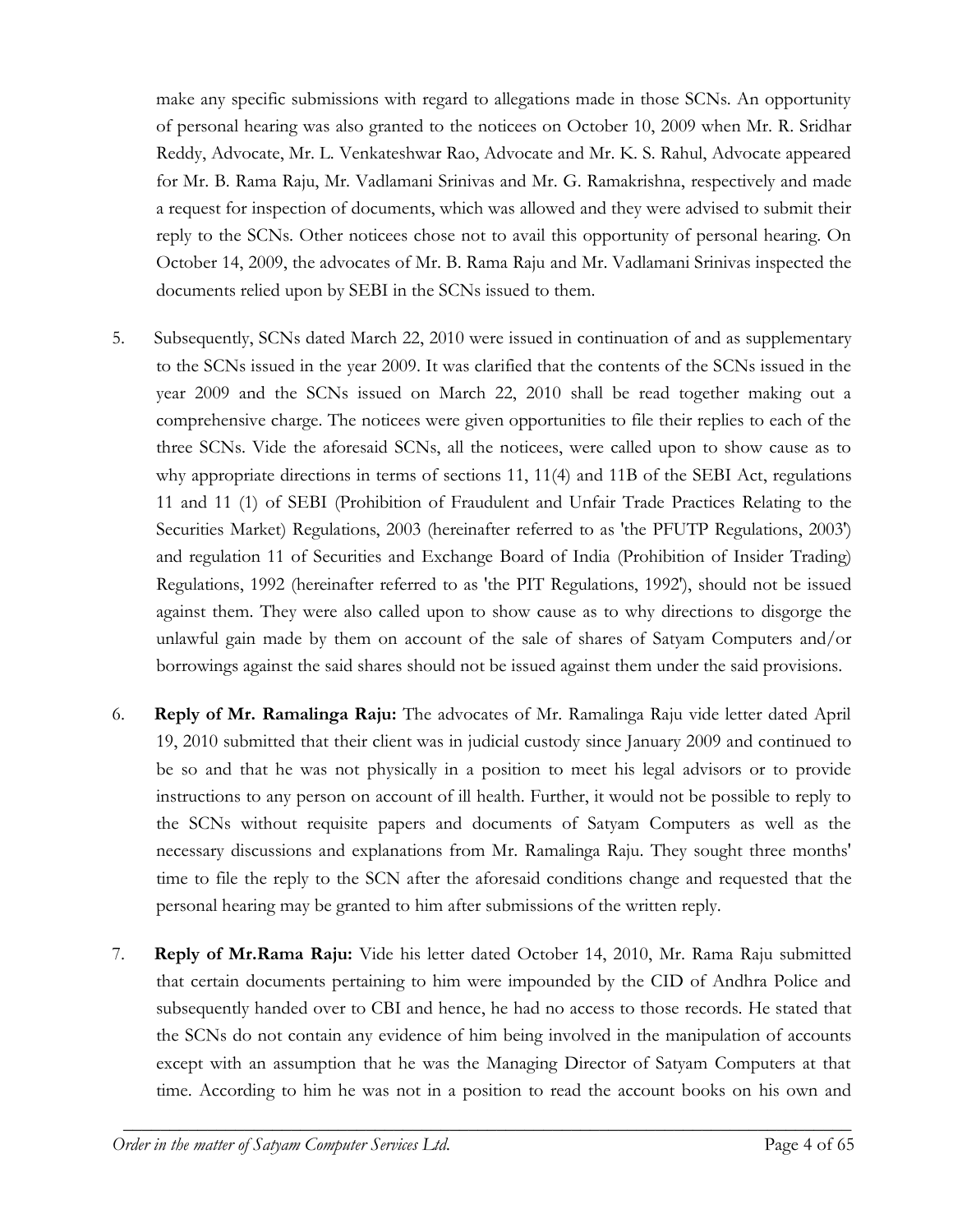make any specific submissions with regard to allegations made in those SCNs. An opportunity of personal hearing was also granted to the noticees on October 10, 2009 when Mr. R. Sridhar Reddy, Advocate, Mr. L. Venkateshwar Rao, Advocate and Mr. K. S. Rahul, Advocate appeared for Mr. B. Rama Raju, Mr. Vadlamani Srinivas and Mr. G. Ramakrishna, respectively and made a request for inspection of documents, which was allowed and they were advised to submit their reply to the SCNs. Other noticees chose not to avail this opportunity of personal hearing. On October 14, 2009, the advocates of Mr. B. Rama Raju and Mr. Vadlamani Srinivas inspected the documents relied upon by SEBI in the SCNs issued to them.

- 5. Subsequently, SCNs dated March 22, 2010 were issued in continuation of and as supplementary to the SCNs issued in the year 2009. It was clarified that the contents of the SCNs issued in the year 2009 and the SCNs issued on March 22, 2010 shall be read together making out a comprehensive charge. The noticees were given opportunities to file their replies to each of the three SCNs. Vide the aforesaid SCNs, all the noticees, were called upon to show cause as to why appropriate directions in terms of sections 11, 11(4) and 11B of the SEBI Act, regulations 11 and 11 (1) of SEBI (Prohibition of Fraudulent and Unfair Trade Practices Relating to the Securities Market) Regulations, 2003 (hereinafter referred to as 'the PFUTP Regulations, 2003') and regulation 11 of Securities and Exchange Board of India (Prohibition of Insider Trading) Regulations, 1992 (hereinafter referred to as 'the PIT Regulations, 1992'), should not be issued against them. They were also called upon to show cause as to why directions to disgorge the unlawful gain made by them on account of the sale of shares of Satyam Computers and/or borrowings against the said shares should not be issued against them under the said provisions.
- 6. **Reply of Mr. Ramalinga Raju:** The advocates of Mr. Ramalinga Raju vide letter dated April 19, 2010 submitted that their client was in judicial custody since January 2009 and continued to be so and that he was not physically in a position to meet his legal advisors or to provide instructions to any person on account of ill health. Further, it would not be possible to reply to the SCNs without requisite papers and documents of Satyam Computers as well as the necessary discussions and explanations from Mr. Ramalinga Raju. They sought three months' time to file the reply to the SCN after the aforesaid conditions change and requested that the personal hearing may be granted to him after submissions of the written reply.
- 7. **Reply of Mr.Rama Raju:** Vide his letter dated October 14, 2010, Mr. Rama Raju submitted that certain documents pertaining to him were impounded by the CID of Andhra Police and subsequently handed over to CBI and hence, he had no access to those records. He stated that the SCNs do not contain any evidence of him being involved in the manipulation of accounts except with an assumption that he was the Managing Director of Satyam Computers at that time. According to him he was not in a position to read the account books on his own and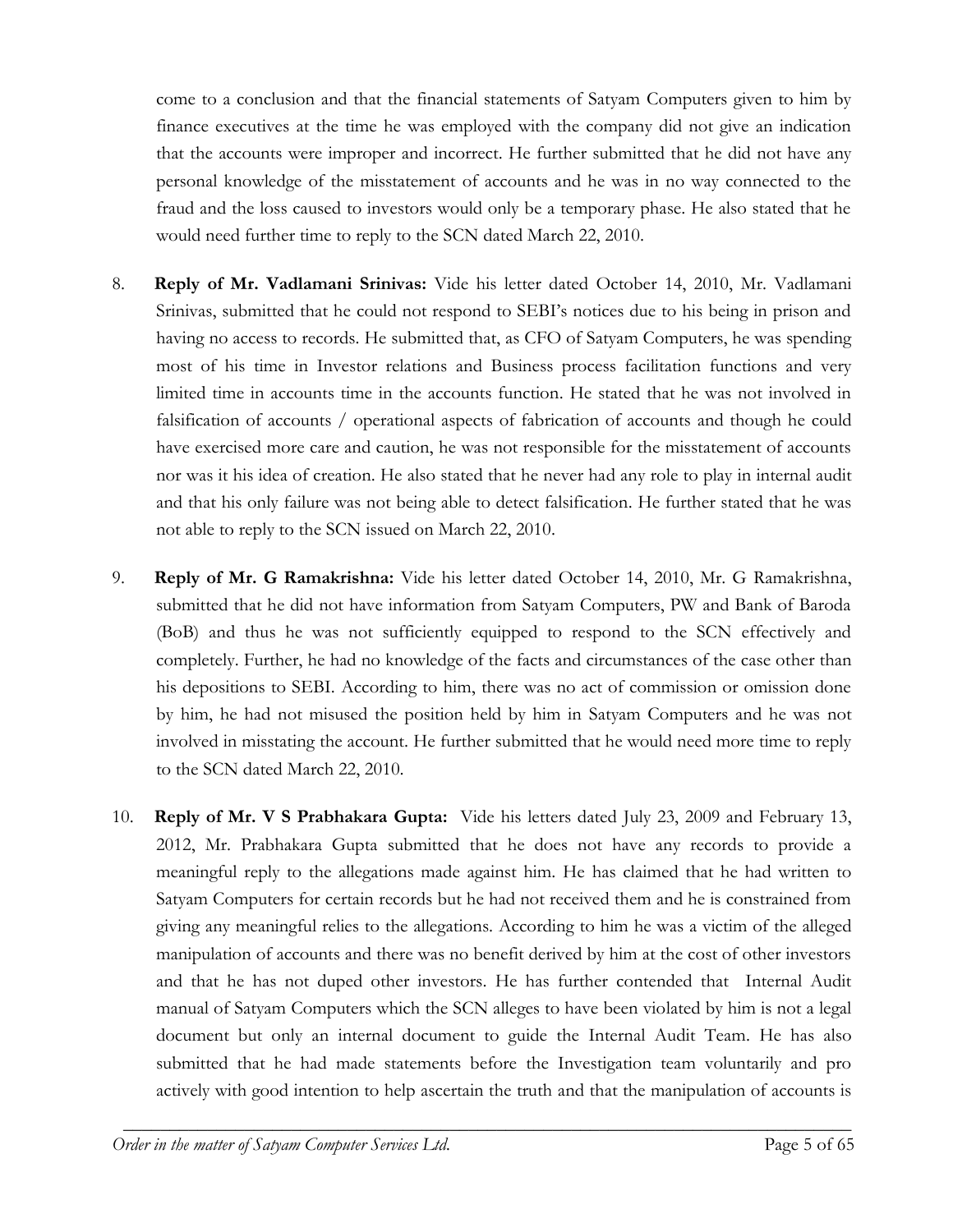come to a conclusion and that the financial statements of Satyam Computers given to him by finance executives at the time he was employed with the company did not give an indication that the accounts were improper and incorrect. He further submitted that he did not have any personal knowledge of the misstatement of accounts and he was in no way connected to the fraud and the loss caused to investors would only be a temporary phase. He also stated that he would need further time to reply to the SCN dated March 22, 2010.

- 8. **Reply of Mr. Vadlamani Srinivas:** Vide his letter dated October 14, 2010, Mr. Vadlamani Srinivas, submitted that he could not respond to SEBI"s notices due to his being in prison and having no access to records. He submitted that, as CFO of Satyam Computers, he was spending most of his time in Investor relations and Business process facilitation functions and very limited time in accounts time in the accounts function. He stated that he was not involved in falsification of accounts / operational aspects of fabrication of accounts and though he could have exercised more care and caution, he was not responsible for the misstatement of accounts nor was it his idea of creation. He also stated that he never had any role to play in internal audit and that his only failure was not being able to detect falsification. He further stated that he was not able to reply to the SCN issued on March 22, 2010.
- 9. **Reply of Mr. G Ramakrishna:** Vide his letter dated October 14, 2010, Mr. G Ramakrishna, submitted that he did not have information from Satyam Computers, PW and Bank of Baroda (BoB) and thus he was not sufficiently equipped to respond to the SCN effectively and completely. Further, he had no knowledge of the facts and circumstances of the case other than his depositions to SEBI. According to him, there was no act of commission or omission done by him, he had not misused the position held by him in Satyam Computers and he was not involved in misstating the account. He further submitted that he would need more time to reply to the SCN dated March 22, 2010.
- 10. **Reply of Mr. V S Prabhakara Gupta:** Vide his letters dated July 23, 2009 and February 13, 2012, Mr. Prabhakara Gupta submitted that he does not have any records to provide a meaningful reply to the allegations made against him. He has claimed that he had written to Satyam Computers for certain records but he had not received them and he is constrained from giving any meaningful relies to the allegations. According to him he was a victim of the alleged manipulation of accounts and there was no benefit derived by him at the cost of other investors and that he has not duped other investors. He has further contended that Internal Audit manual of Satyam Computers which the SCN alleges to have been violated by him is not a legal document but only an internal document to guide the Internal Audit Team. He has also submitted that he had made statements before the Investigation team voluntarily and pro actively with good intention to help ascertain the truth and that the manipulation of accounts is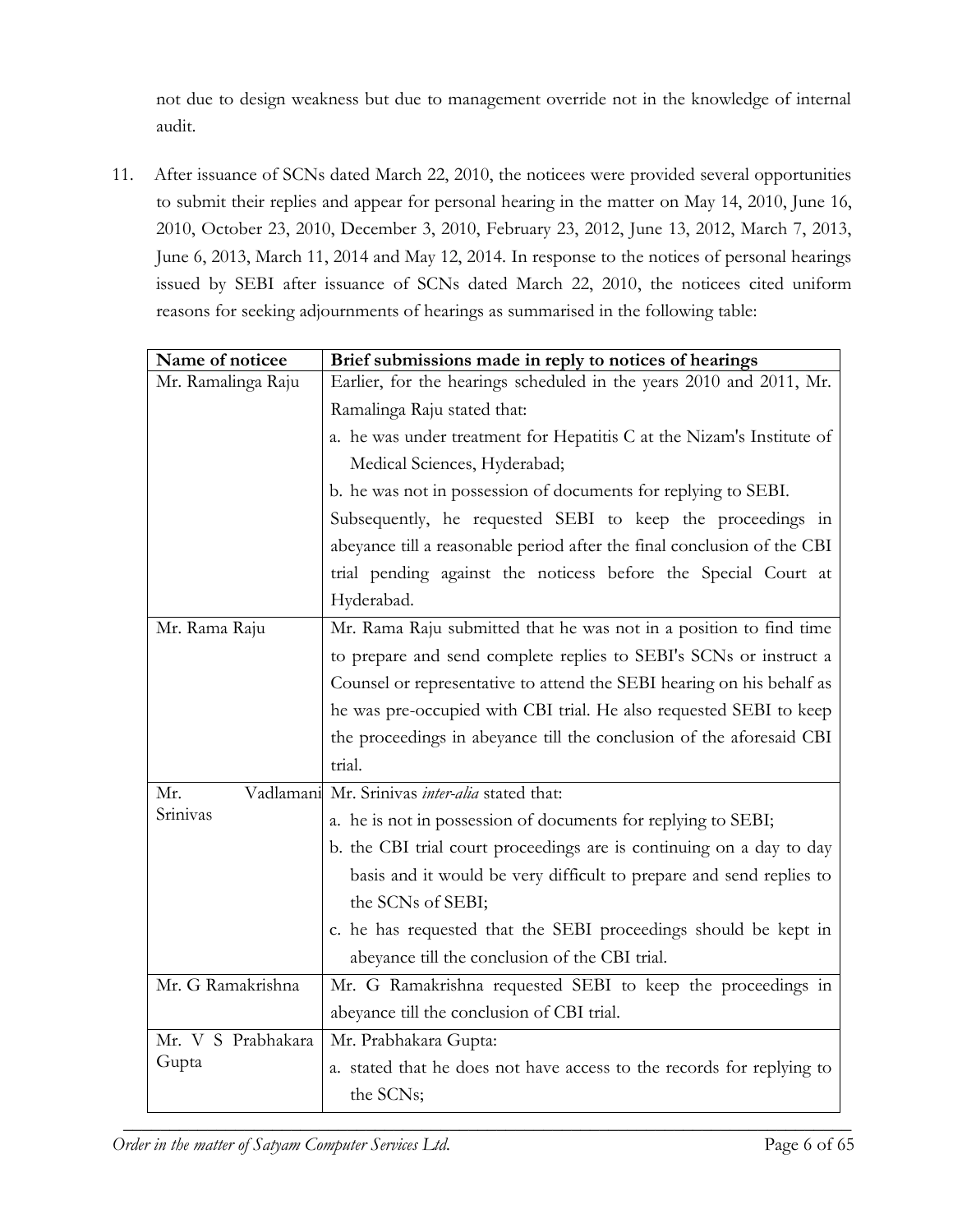not due to design weakness but due to management override not in the knowledge of internal audit.

11. After issuance of SCNs dated March 22, 2010, the noticees were provided several opportunities to submit their replies and appear for personal hearing in the matter on May 14, 2010, June 16, 2010, October 23, 2010, December 3, 2010, February 23, 2012, June 13, 2012, March 7, 2013, June 6, 2013, March 11, 2014 and May 12, 2014. In response to the notices of personal hearings issued by SEBI after issuance of SCNs dated March 22, 2010, the noticees cited uniform reasons for seeking adjournments of hearings as summarised in the following table:

| Name of noticee    | Brief submissions made in reply to notices of hearings                  |
|--------------------|-------------------------------------------------------------------------|
| Mr. Ramalinga Raju | Earlier, for the hearings scheduled in the years 2010 and 2011, Mr.     |
|                    | Ramalinga Raju stated that:                                             |
|                    | a. he was under treatment for Hepatitis C at the Nizam's Institute of   |
|                    | Medical Sciences, Hyderabad;                                            |
|                    | b. he was not in possession of documents for replying to SEBI.          |
|                    | Subsequently, he requested SEBI to keep the proceedings in              |
|                    | abeyance till a reasonable period after the final conclusion of the CBI |
|                    | trial pending against the noticess before the Special Court at          |
|                    | Hyderabad.                                                              |
| Mr. Rama Raju      | Mr. Rama Raju submitted that he was not in a position to find time      |
|                    | to prepare and send complete replies to SEBI's SCNs or instruct a       |
|                    | Counsel or representative to attend the SEBI hearing on his behalf as   |
|                    | he was pre-occupied with CBI trial. He also requested SEBI to keep      |
|                    | the proceedings in abeyance till the conclusion of the aforesaid CBI    |
|                    | trial.                                                                  |
| Mr.                | Vadlamani Mr. Srinivas inter-alia stated that:                          |
| Srinivas           | a. he is not in possession of documents for replying to SEBI;           |
|                    | b. the CBI trial court proceedings are is continuing on a day to day    |
|                    | basis and it would be very difficult to prepare and send replies to     |
|                    | the SCNs of SEBI;                                                       |
|                    | c. he has requested that the SEBI proceedings should be kept in         |
|                    | abeyance till the conclusion of the CBI trial.                          |
| Mr. G Ramakrishna  | Mr. G Ramakrishna requested SEBI to keep the proceedings in             |
|                    | abeyance till the conclusion of CBI trial.                              |
| Mr. V S Prabhakara | Mr. Prabhakara Gupta:                                                   |
| Gupta              | a. stated that he does not have access to the records for replying to   |
|                    | the SCNs;                                                               |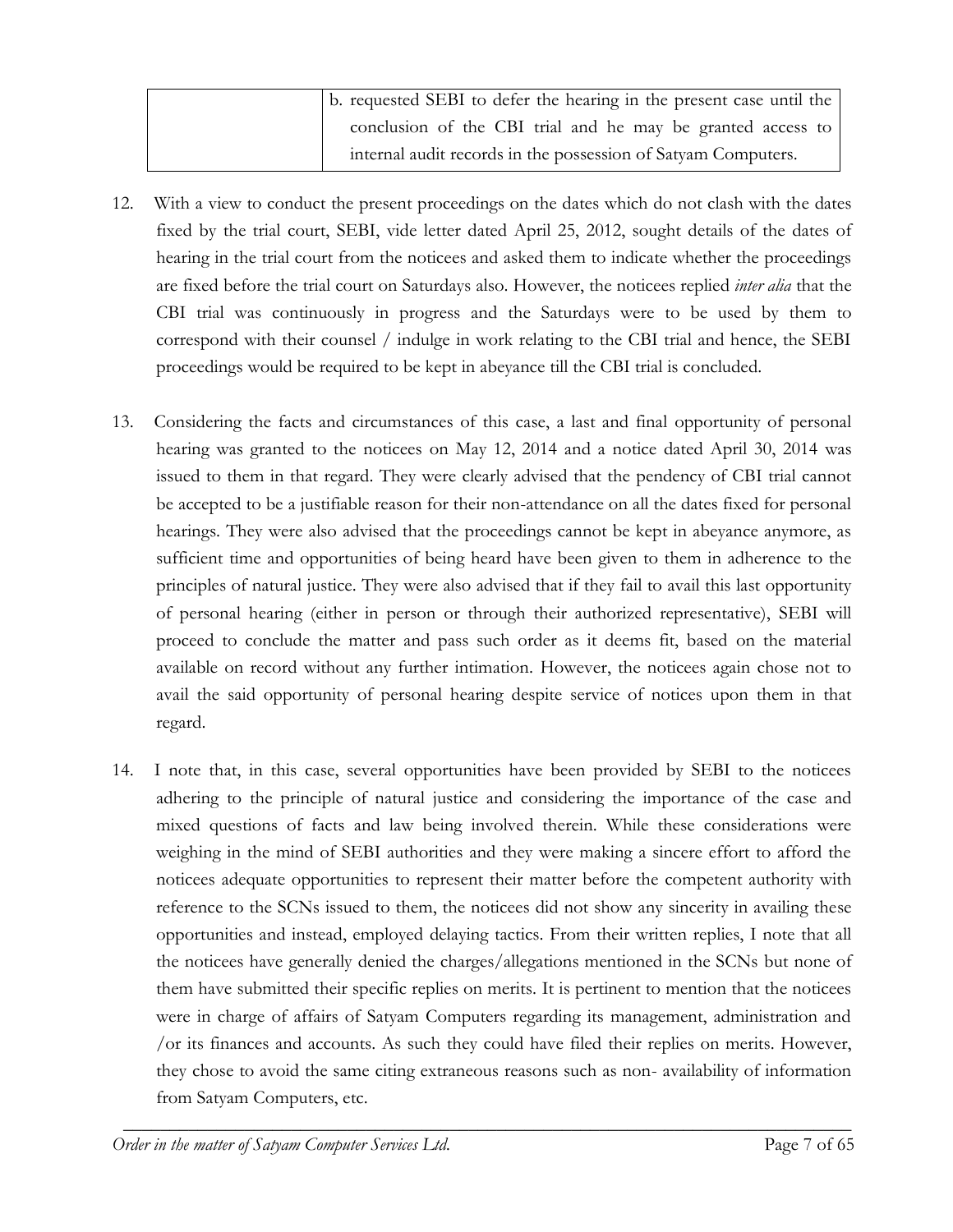b. requested SEBI to defer the hearing in the present case until the conclusion of the CBI trial and he may be granted access to internal audit records in the possession of Satyam Computers.

- 12. With a view to conduct the present proceedings on the dates which do not clash with the dates fixed by the trial court, SEBI, vide letter dated April 25, 2012, sought details of the dates of hearing in the trial court from the noticees and asked them to indicate whether the proceedings are fixed before the trial court on Saturdays also. However, the noticees replied *inter alia* that the CBI trial was continuously in progress and the Saturdays were to be used by them to correspond with their counsel / indulge in work relating to the CBI trial and hence, the SEBI proceedings would be required to be kept in abeyance till the CBI trial is concluded.
- 13. Considering the facts and circumstances of this case, a last and final opportunity of personal hearing was granted to the noticees on May 12, 2014 and a notice dated April 30, 2014 was issued to them in that regard. They were clearly advised that the pendency of CBI trial cannot be accepted to be a justifiable reason for their non-attendance on all the dates fixed for personal hearings. They were also advised that the proceedings cannot be kept in abeyance anymore, as sufficient time and opportunities of being heard have been given to them in adherence to the principles of natural justice. They were also advised that if they fail to avail this last opportunity of personal hearing (either in person or through their authorized representative), SEBI will proceed to conclude the matter and pass such order as it deems fit, based on the material available on record without any further intimation. However, the noticees again chose not to avail the said opportunity of personal hearing despite service of notices upon them in that regard.
- 14. I note that, in this case, several opportunities have been provided by SEBI to the noticees adhering to the principle of natural justice and considering the importance of the case and mixed questions of facts and law being involved therein. While these considerations were weighing in the mind of SEBI authorities and they were making a sincere effort to afford the noticees adequate opportunities to represent their matter before the competent authority with reference to the SCNs issued to them, the noticees did not show any sincerity in availing these opportunities and instead, employed delaying tactics. From their written replies, I note that all the noticees have generally denied the charges/allegations mentioned in the SCNs but none of them have submitted their specific replies on merits. It is pertinent to mention that the noticees were in charge of affairs of Satyam Computers regarding its management, administration and /or its finances and accounts. As such they could have filed their replies on merits. However, they chose to avoid the same citing extraneous reasons such as non- availability of information from Satyam Computers, etc.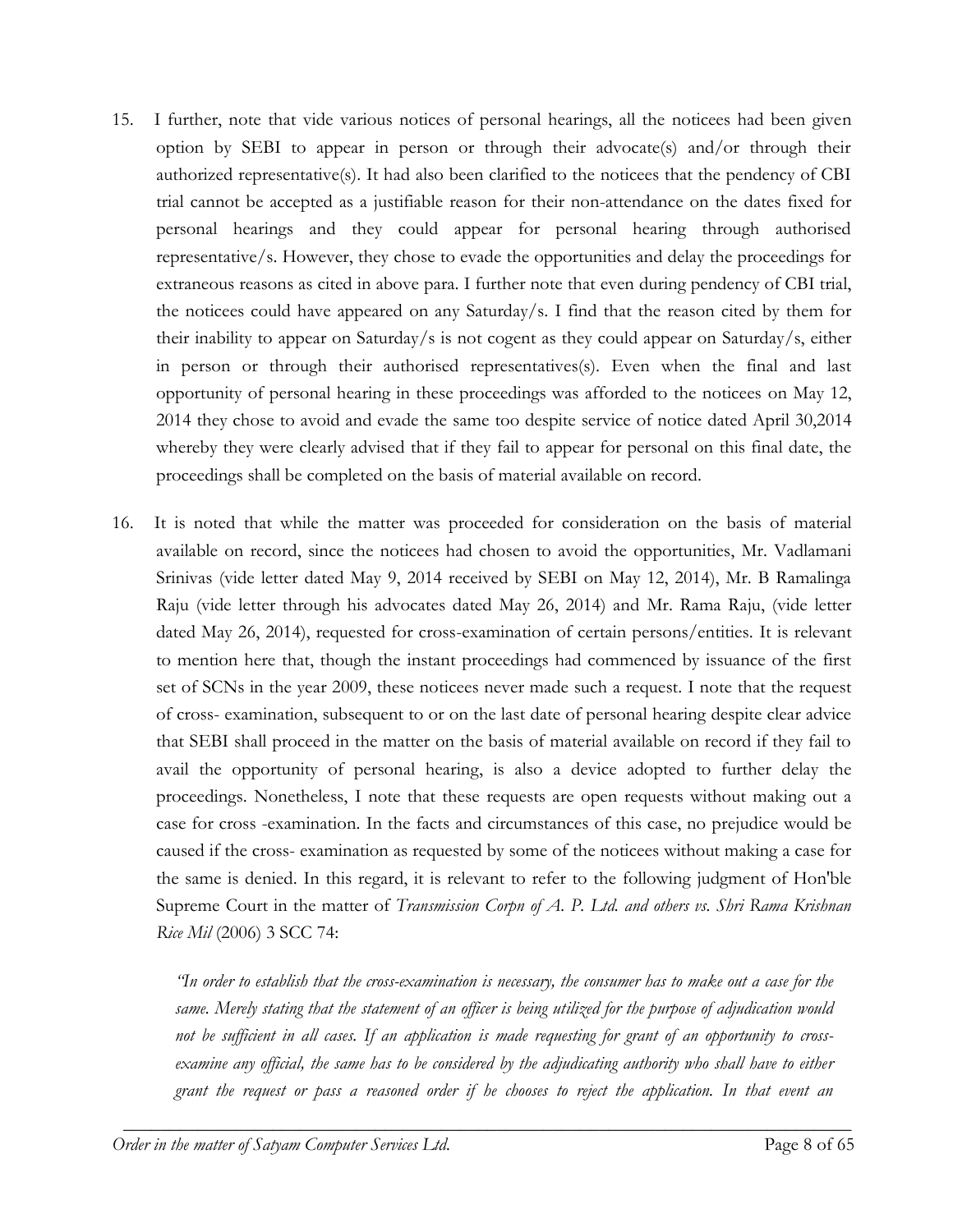- 15. I further, note that vide various notices of personal hearings, all the noticees had been given option by SEBI to appear in person or through their advocate(s) and/or through their authorized representative(s). It had also been clarified to the noticees that the pendency of CBI trial cannot be accepted as a justifiable reason for their non-attendance on the dates fixed for personal hearings and they could appear for personal hearing through authorised representative/s. However, they chose to evade the opportunities and delay the proceedings for extraneous reasons as cited in above para. I further note that even during pendency of CBI trial, the noticees could have appeared on any Saturday/s. I find that the reason cited by them for their inability to appear on Saturday/s is not cogent as they could appear on Saturday/s, either in person or through their authorised representatives(s). Even when the final and last opportunity of personal hearing in these proceedings was afforded to the noticees on May 12, 2014 they chose to avoid and evade the same too despite service of notice dated April 30,2014 whereby they were clearly advised that if they fail to appear for personal on this final date, the proceedings shall be completed on the basis of material available on record.
- 16. It is noted that while the matter was proceeded for consideration on the basis of material available on record, since the noticees had chosen to avoid the opportunities, Mr. Vadlamani Srinivas (vide letter dated May 9, 2014 received by SEBI on May 12, 2014), Mr. B Ramalinga Raju (vide letter through his advocates dated May 26, 2014) and Mr. Rama Raju, (vide letter dated May 26, 2014), requested for cross-examination of certain persons/entities. It is relevant to mention here that, though the instant proceedings had commenced by issuance of the first set of SCNs in the year 2009, these noticees never made such a request. I note that the request of cross- examination, subsequent to or on the last date of personal hearing despite clear advice that SEBI shall proceed in the matter on the basis of material available on record if they fail to avail the opportunity of personal hearing, is also a device adopted to further delay the proceedings. Nonetheless, I note that these requests are open requests without making out a case for cross -examination. In the facts and circumstances of this case, no prejudice would be caused if the cross- examination as requested by some of the noticees without making a case for the same is denied. In this regard, it is relevant to refer to the following judgment of Hon'ble Supreme Court in the matter of *Transmission Corpn of A. P. Ltd. and others vs. Shri Rama Krishnan Rice Mil* (2006) 3 SCC 74:

*"In order to establish that the cross-examination is necessary, the consumer has to make out a case for the same. Merely stating that the statement of an officer is being utilized for the purpose of adjudication would not be sufficient in all cases. If an application is made requesting for grant of an opportunity to crossexamine any official, the same has to be considered by the adjudicating authority who shall have to either grant the request or pass a reasoned order if he chooses to reject the application. In that event an*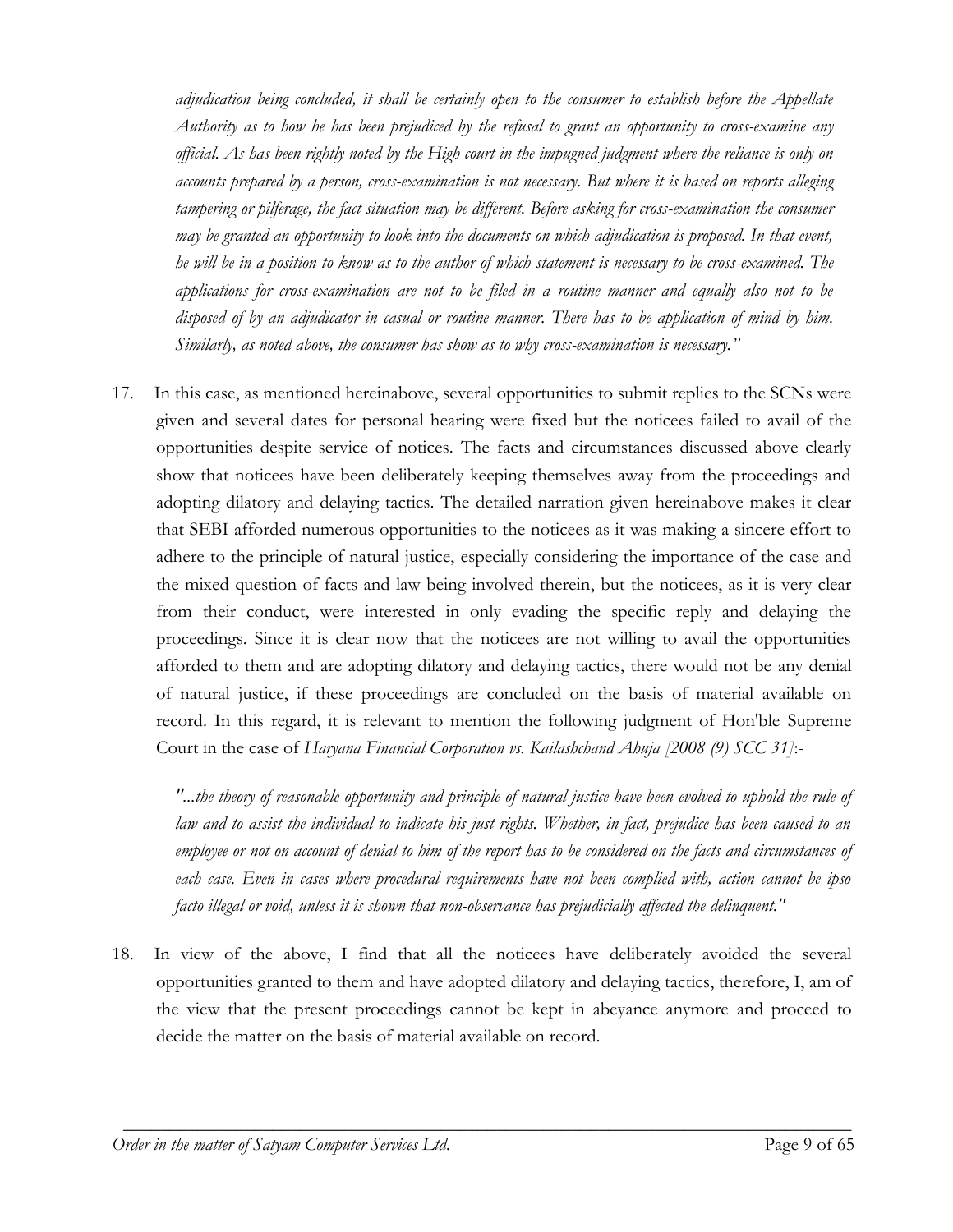*adjudication being concluded, it shall be certainly open to the consumer to establish before the Appellate Authority as to how he has been prejudiced by the refusal to grant an opportunity to cross-examine any official. As has been rightly noted by the High court in the impugned judgment where the reliance is only on accounts prepared by a person, cross-examination is not necessary. But where it is based on reports alleging tampering or pilferage, the fact situation may be different. Before asking for cross-examination the consumer may be granted an opportunity to look into the documents on which adjudication is proposed. In that event, he will be in a position to know as to the author of which statement is necessary to be cross-examined. The applications for cross-examination are not to be filed in a routine manner and equally also not to be disposed of by an adjudicator in casual or routine manner. There has to be application of mind by him. Similarly, as noted above, the consumer has show as to why cross-examination is necessary."*

17. In this case, as mentioned hereinabove, several opportunities to submit replies to the SCNs were given and several dates for personal hearing were fixed but the noticees failed to avail of the opportunities despite service of notices. The facts and circumstances discussed above clearly show that noticees have been deliberately keeping themselves away from the proceedings and adopting dilatory and delaying tactics. The detailed narration given hereinabove makes it clear that SEBI afforded numerous opportunities to the noticees as it was making a sincere effort to adhere to the principle of natural justice, especially considering the importance of the case and the mixed question of facts and law being involved therein, but the noticees, as it is very clear from their conduct, were interested in only evading the specific reply and delaying the proceedings. Since it is clear now that the noticees are not willing to avail the opportunities afforded to them and are adopting dilatory and delaying tactics, there would not be any denial of natural justice, if these proceedings are concluded on the basis of material available on record. In this regard, it is relevant to mention the following judgment of Hon'ble Supreme Court in the case of *Haryana Financial Corporation vs. Kailashchand Ahuja [2008 (9) SCC 31]*:-

*"...the theory of reasonable opportunity and principle of natural justice have been evolved to uphold the rule of*  law and to assist the individual to indicate his just rights. Whether, in fact, prejudice has been caused to an *employee or not on account of denial to him of the report has to be considered on the facts and circumstances of each case. Even in cases where procedural requirements have not been complied with, action cannot be ipso facto illegal or void, unless it is shown that non-observance has prejudicially affected the delinquent."*

18. In view of the above, I find that all the noticees have deliberately avoided the several opportunities granted to them and have adopted dilatory and delaying tactics, therefore, I, am of the view that the present proceedings cannot be kept in abeyance anymore and proceed to decide the matter on the basis of material available on record.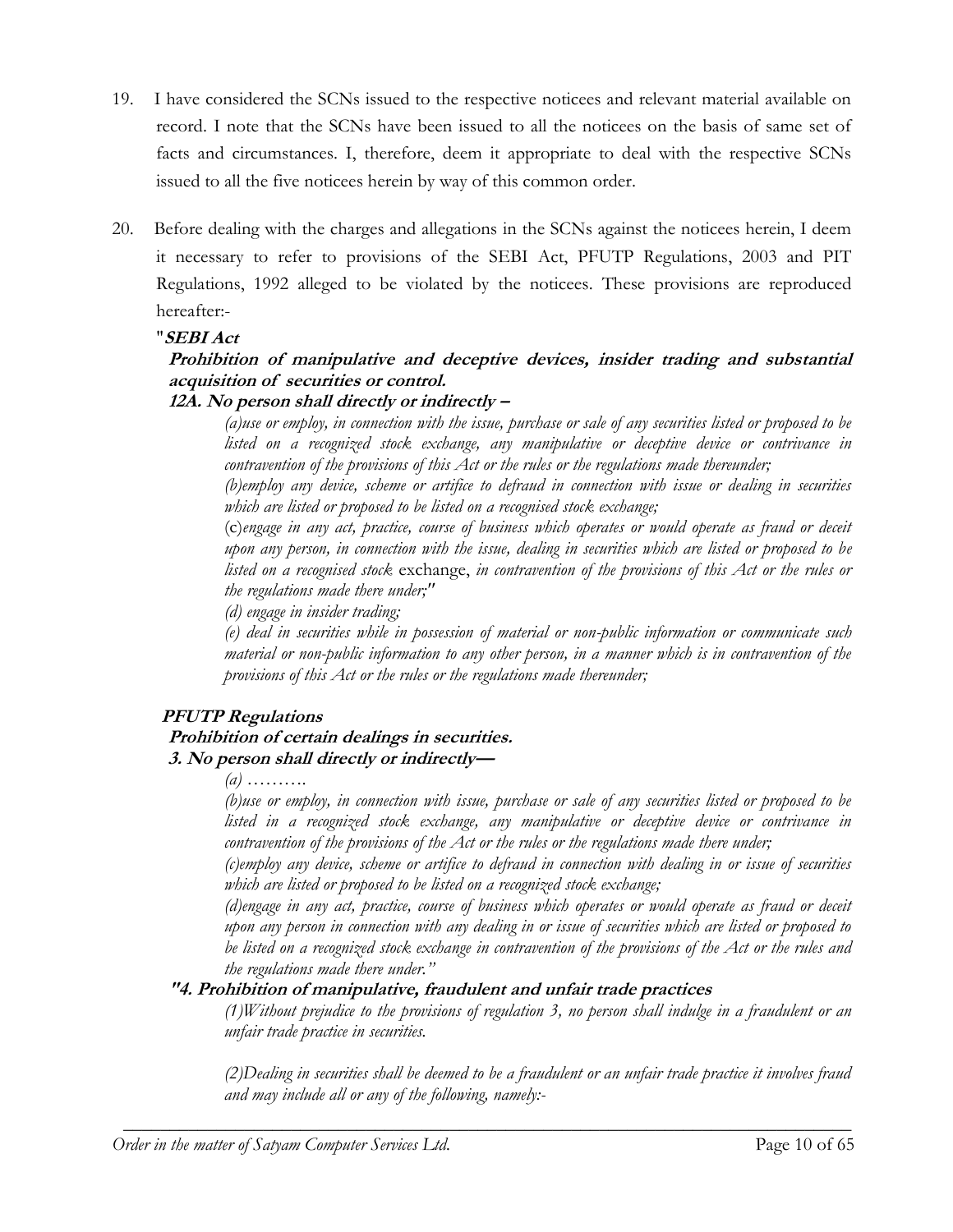- 19. I have considered the SCNs issued to the respective noticees and relevant material available on record. I note that the SCNs have been issued to all the noticees on the basis of same set of facts and circumstances. I, therefore, deem it appropriate to deal with the respective SCNs issued to all the five noticees herein by way of this common order.
- 20. Before dealing with the charges and allegations in the SCNs against the noticees herein, I deem it necessary to refer to provisions of the SEBI Act, PFUTP Regulations, 2003 and PIT Regulations, 1992 alleged to be violated by the noticees. These provisions are reproduced hereafter:-

#### "**SEBI Act**

# **Prohibition of manipulative and deceptive devices, insider trading and substantial acquisition of securities or control.**

#### **12A. No person shall directly or indirectly –**

*(a)use or employ, in connection with the issue, purchase or sale of any securities listed or proposed to be listed on a recognized stock exchange, any manipulative or deceptive device or contrivance in contravention of the provisions of this Act or the rules or the regulations made thereunder;*

*(b)employ any device, scheme or artifice to defraud in connection with issue or dealing in securities which are listed or proposed to be listed on a recognised stock exchange;*

(c)*engage in any act, practice, course of business which operates or would operate as fraud or deceit upon any person, in connection with the issue, dealing in securities which are listed or proposed to be listed on a recognised stock* exchange, *in contravention of the provisions of this Act or the rules or the regulations made there under;"*

*(d) engage in insider trading;*

*(e) deal in securities while in possession of material or non-public information or communicate such material or non-public information to any other person, in a manner which is in contravention of the provisions of this Act or the rules or the regulations made thereunder;*

#### **PFUTP Regulations**

#### **Prohibition of certain dealings in securities. 3. No person shall directly or indirectly—**

*(a) ……….*

*(b)use or employ, in connection with issue, purchase or sale of any securities listed or proposed to be listed in a recognized stock exchange, any manipulative or deceptive device or contrivance in contravention of the provisions of the Act or the rules or the regulations made there under;*

*(c)employ any device, scheme or artifice to defraud in connection with dealing in or issue of securities which are listed or proposed to be listed on a recognized stock exchange;*

*(d)engage in any act, practice, course of business which operates or would operate as fraud or deceit upon any person in connection with any dealing in or issue of securities which are listed or proposed to be listed on a recognized stock exchange in contravention of the provisions of the Act or the rules and the regulations made there under."*

#### **"4. Prohibition of manipulative, fraudulent and unfair trade practices**

*(1)Without prejudice to the provisions of regulation 3, no person shall indulge in a fraudulent or an unfair trade practice in securities.*

*(2)Dealing in securities shall be deemed to be a fraudulent or an unfair trade practice it involves fraud and may include all or any of the following, namely:-*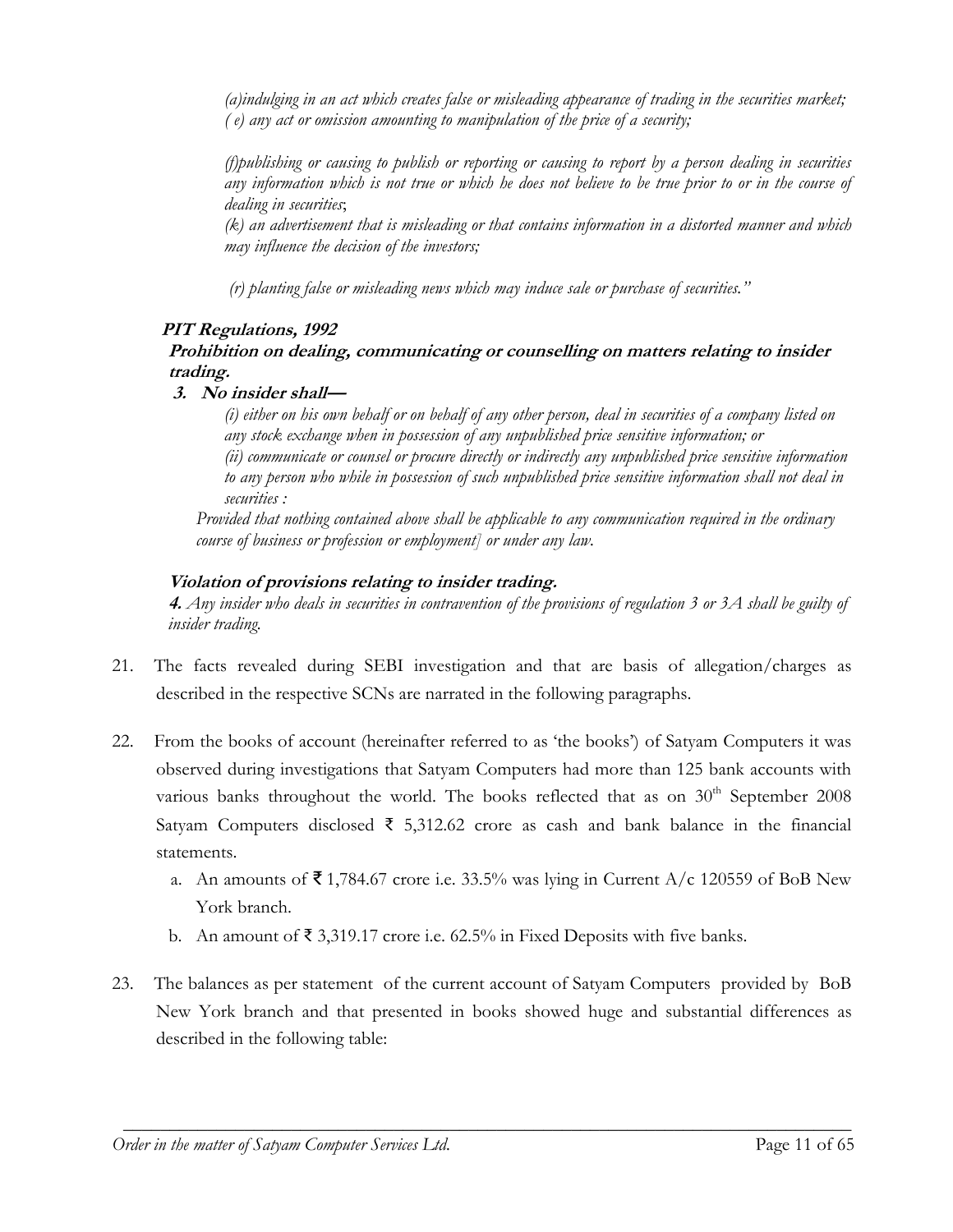*(a)indulging in an act which creates false or misleading appearance of trading in the securities market; ( e) any act or omission amounting to manipulation of the price of a security;*

*(f)publishing or causing to publish or reporting or causing to report by a person dealing in securities any information which is not true or which he does not believe to be true prior to or in the course of dealing in securities*;

*(k) an advertisement that is misleading or that contains information in a distorted manner and which may influence the decision of the investors;*

*(r) planting false or misleading news which may induce sale or purchase of securities."*

# **PIT Regulations, 1992**

#### **Prohibition on dealing, communicating or counselling on matters relating to insider trading.**

# **3. No insider shall—**

*(i) either on his own behalf or on behalf of any other person, deal in securities of a company listed on any stock exchange when in possession of any unpublished price sensitive information; or (ii) communicate or counsel or procure directly or indirectly any unpublished price sensitive information to any person who while in possession of such unpublished price sensitive information shall not deal in securities :*

*Provided that nothing contained above shall be applicable to any communication required in the ordinary course of business or profession or employment] or under any law.*

#### **Violation of provisions relating to insider trading.**

**4.** *Any insider who deals in securities in contravention of the provisions of regulation 3 or 3A shall be guilty of insider trading.*

- 21. The facts revealed during SEBI investigation and that are basis of allegation/charges as described in the respective SCNs are narrated in the following paragraphs.
- 22. From the books of account (hereinafter referred to as "the books") of Satyam Computers it was observed during investigations that Satyam Computers had more than 125 bank accounts with various banks throughout the world. The books reflected that as on  $30<sup>th</sup>$  September 2008 Satyam Computers disclosed  $\bar{\xi}$  5,312.62 crore as cash and bank balance in the financial statements.
	- a. An amounts of  $\bar{\mathbf{z}}$  1,784.67 crore i.e. 33.5% was lying in Current A/c 120559 of BoB New York branch.
	- b. An amount of ₹ 3,319.17 crore i.e. 62.5% in Fixed Deposits with five banks.
- 23. The balances as per statement of the current account of Satyam Computers provided by BoB New York branch and that presented in books showed huge and substantial differences as described in the following table: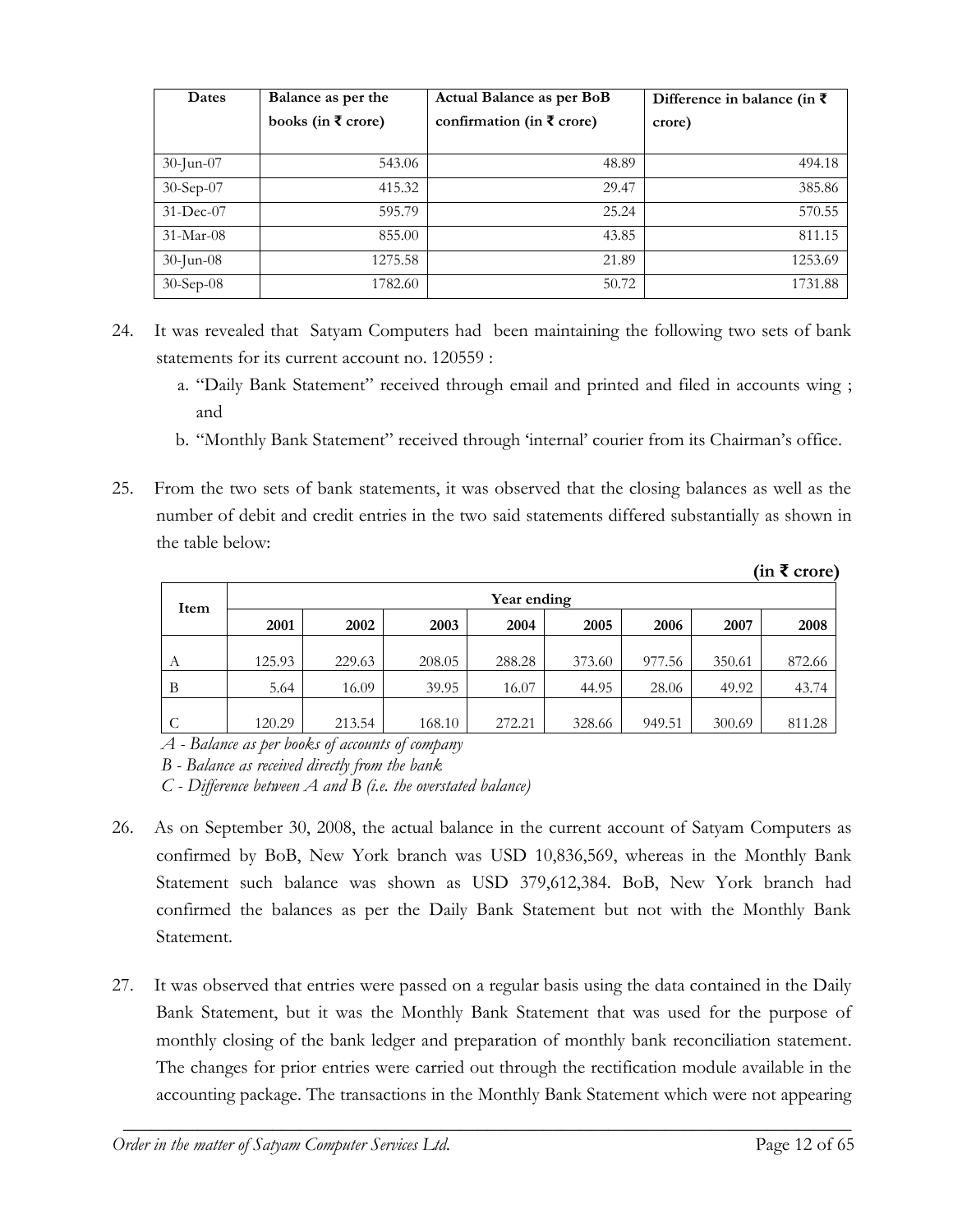| Dates           | Balance as per the<br>books (in $\bar{\tau}$ crore) | Actual Balance as per BoB<br>confirmation (in $\bar{\tau}$ crore) | Difference in balance (in $\bar{\zeta}$ )<br>crore) |
|-----------------|-----------------------------------------------------|-------------------------------------------------------------------|-----------------------------------------------------|
| $30$ -Jun-07    | 543.06                                              | 48.89                                                             | 494.18                                              |
| $30-Sep-07$     | 415.32                                              | 29.47                                                             | 385.86                                              |
| $31$ -Dec-07    | 595.79                                              | 25.24                                                             | 570.55                                              |
| $31-Mar-08$     | 855.00                                              | 43.85                                                             | 811.15                                              |
| $30$ -Jun-08    | 1275.58                                             | 21.89                                                             | 1253.69                                             |
| $30-$ Sep $-08$ | 1782.60                                             | 50.72                                                             | 1731.88                                             |

- 24. It was revealed that Satyam Computers had been maintaining the following two sets of bank statements for its current account no. 120559 :
	- a. "Daily Bank Statement" received through email and printed and filed in accounts wing ; and
	- b. "Monthly Bank Statement" received through "internal" courier from its Chairman"s office.
- 25. From the two sets of bank statements, it was observed that the closing balances as well as the number of debit and credit entries in the two said statements differed substantially as shown in the table below:

| Item           |        | Year ending |        |        |        |        |        |        |  |  |
|----------------|--------|-------------|--------|--------|--------|--------|--------|--------|--|--|
|                | 2001   | 2002        | 2003   | 2004   | 2005   | 2006   | 2007   | 2008   |  |  |
|                |        |             |        |        |        |        |        |        |  |  |
| A              | 125.93 | 229.63      | 208.05 | 288.28 | 373.60 | 977.56 | 350.61 | 872.66 |  |  |
| В              | 5.64   | 16.09       | 39.95  | 16.07  | 44.95  | 28.06  | 49.92  | 43.74  |  |  |
|                |        |             |        |        |        |        |        |        |  |  |
| <sup>-</sup> C | 120.29 | 213.54      | 168.10 | 272.21 | 328.66 | 949.51 | 300.69 | 811.28 |  |  |

*A - Balance as per books of accounts of company*

*B - Balance as received directly from the bank*

*C - Difference between A and B (i.e. the overstated balance)*

- 26. As on September 30, 2008, the actual balance in the current account of Satyam Computers as confirmed by BoB, New York branch was USD 10,836,569, whereas in the Monthly Bank Statement such balance was shown as USD 379,612,384. BoB, New York branch had confirmed the balances as per the Daily Bank Statement but not with the Monthly Bank Statement.
- 27. It was observed that entries were passed on a regular basis using the data contained in the Daily Bank Statement, but it was the Monthly Bank Statement that was used for the purpose of monthly closing of the bank ledger and preparation of monthly bank reconciliation statement. The changes for prior entries were carried out through the rectification module available in the accounting package. The transactions in the Monthly Bank Statement which were not appearing

**(in ₹ crore)**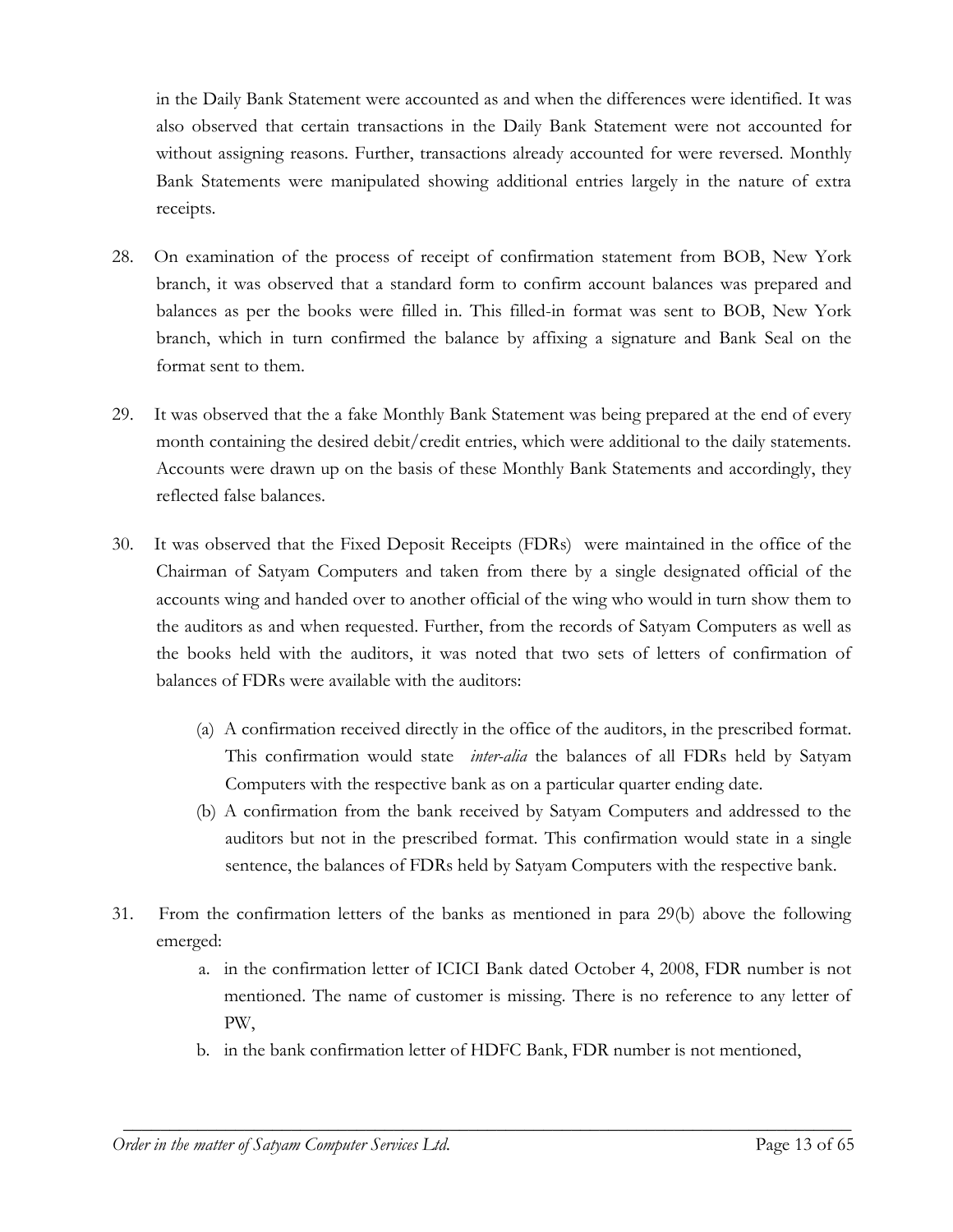in the Daily Bank Statement were accounted as and when the differences were identified. It was also observed that certain transactions in the Daily Bank Statement were not accounted for without assigning reasons. Further, transactions already accounted for were reversed. Monthly Bank Statements were manipulated showing additional entries largely in the nature of extra receipts.

- 28. On examination of the process of receipt of confirmation statement from BOB, New York branch, it was observed that a standard form to confirm account balances was prepared and balances as per the books were filled in. This filled-in format was sent to BOB, New York branch, which in turn confirmed the balance by affixing a signature and Bank Seal on the format sent to them.
- 29. It was observed that the a fake Monthly Bank Statement was being prepared at the end of every month containing the desired debit/credit entries, which were additional to the daily statements. Accounts were drawn up on the basis of these Monthly Bank Statements and accordingly, they reflected false balances.
- 30. It was observed that the Fixed Deposit Receipts (FDRs) were maintained in the office of the Chairman of Satyam Computers and taken from there by a single designated official of the accounts wing and handed over to another official of the wing who would in turn show them to the auditors as and when requested. Further, from the records of Satyam Computers as well as the books held with the auditors, it was noted that two sets of letters of confirmation of balances of FDRs were available with the auditors:
	- (a) A confirmation received directly in the office of the auditors, in the prescribed format. This confirmation would state *inter-alia* the balances of all FDRs held by Satyam Computers with the respective bank as on a particular quarter ending date.
	- (b) A confirmation from the bank received by Satyam Computers and addressed to the auditors but not in the prescribed format. This confirmation would state in a single sentence, the balances of FDRs held by Satyam Computers with the respective bank.
- 31. From the confirmation letters of the banks as mentioned in para 29(b) above the following emerged:
	- a. in the confirmation letter of ICICI Bank dated October 4, 2008, FDR number is not mentioned. The name of customer is missing. There is no reference to any letter of PW,
	- b. in the bank confirmation letter of HDFC Bank, FDR number is not mentioned,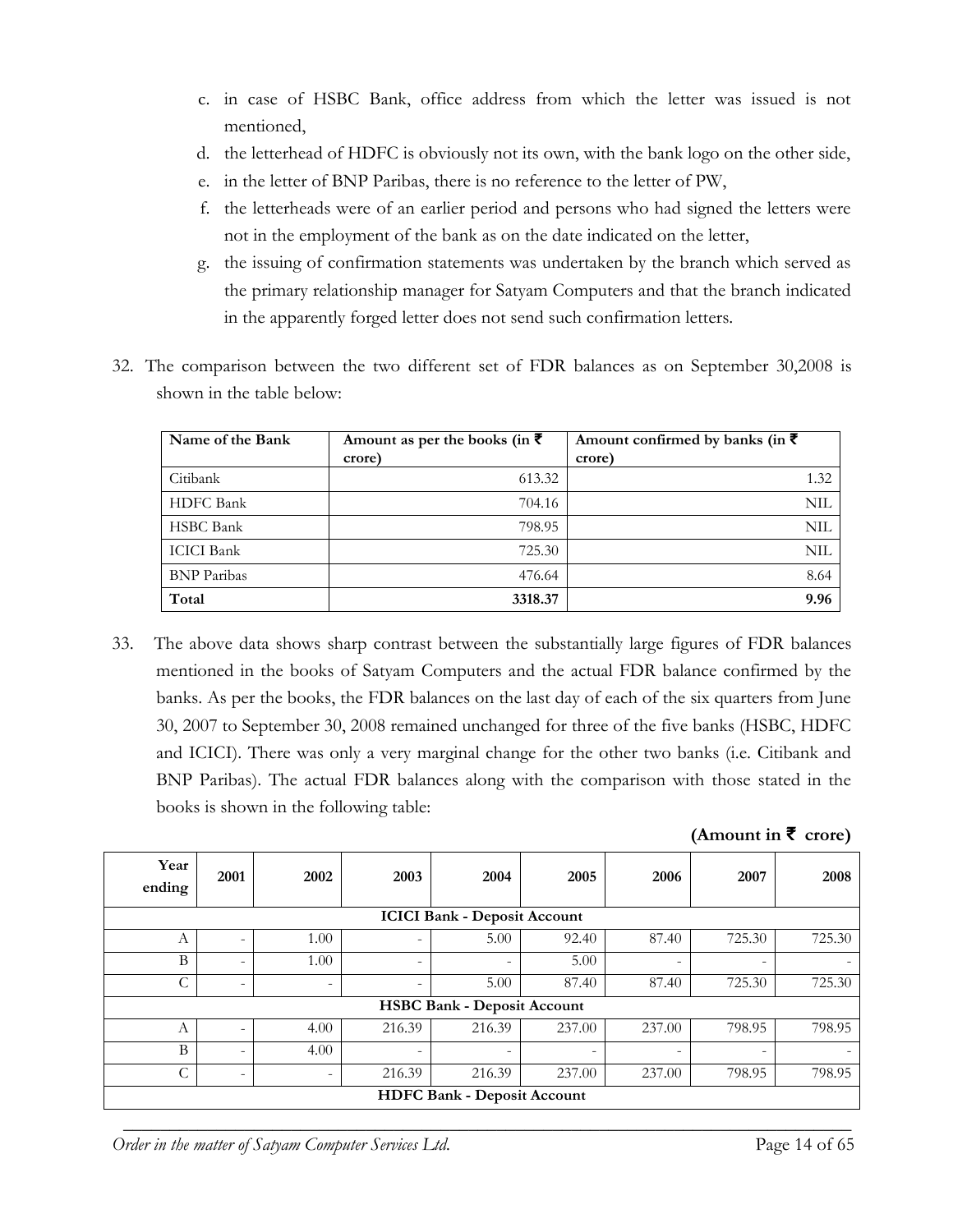- c. in case of HSBC Bank, office address from which the letter was issued is not mentioned,
- d. the letterhead of HDFC is obviously not its own, with the bank logo on the other side,
- e. in the letter of BNP Paribas, there is no reference to the letter of PW,
- f. the letterheads were of an earlier period and persons who had signed the letters were not in the employment of the bank as on the date indicated on the letter,
- g. the issuing of confirmation statements was undertaken by the branch which served as the primary relationship manager for Satyam Computers and that the branch indicated in the apparently forged letter does not send such confirmation letters.
- 32. The comparison between the two different set of FDR balances as on September 30,2008 is shown in the table below:

| Name of the Bank   | Amount as per the books (in $\bar{\tau}$ )<br>crore) | Amount confirmed by banks (in $\bar{\tau}$ )<br>crore) |
|--------------------|------------------------------------------------------|--------------------------------------------------------|
| Citibank           | 613.32                                               | 1.32                                                   |
| HDFC Bank          | 704.16                                               | <b>NIL</b>                                             |
| HSBC Bank          | 798.95                                               | NIL                                                    |
| <b>ICICI</b> Bank  | 725.30                                               | NIL                                                    |
| <b>BNP</b> Paribas | 476.64                                               | 8.64                                                   |
| Total              | 3318.37                                              | 9.96                                                   |

33. The above data shows sharp contrast between the substantially large figures of FDR balances mentioned in the books of Satyam Computers and the actual FDR balance confirmed by the banks. As per the books, the FDR balances on the last day of each of the six quarters from June 30, 2007 to September 30, 2008 remained unchanged for three of the five banks (HSBC, HDFC and ICICI). There was only a very marginal change for the other two banks (i.e. Citibank and BNP Paribas). The actual FDR balances along with the comparison with those stated in the books is shown in the following table:

# **(Amount in ₹ crore)**

| Year<br>ending | 2001                                | 2002                     | 2003   | 2004                               | 2005                     | 2006   | 2007   | 2008   |  |  |
|----------------|-------------------------------------|--------------------------|--------|------------------------------------|--------------------------|--------|--------|--------|--|--|
|                | <b>ICICI Bank - Deposit Account</b> |                          |        |                                    |                          |        |        |        |  |  |
| А              |                                     | 1.00                     | -      | 5.00                               | 92.40                    | 87.40  | 725.30 | 725.30 |  |  |
| B              |                                     | 1.00                     | -      | -                                  | 5.00                     |        | ۰      |        |  |  |
| C              |                                     | $\overline{\phantom{a}}$ | -      | 5.00                               | 87.40                    | 87.40  | 725.30 | 725.30 |  |  |
|                |                                     |                          |        | <b>HSBC Bank - Deposit Account</b> |                          |        |        |        |  |  |
| А              |                                     | 4.00                     | 216.39 | 216.39                             | 237.00                   | 237.00 | 798.95 | 798.95 |  |  |
| B              |                                     | 4.00                     | -      | ٠                                  | $\overline{\phantom{a}}$ |        | ۰      |        |  |  |
| C              |                                     | $\overline{\phantom{a}}$ | 216.39 | 216.39                             | 237.00                   | 237.00 | 798.95 | 798.95 |  |  |
|                |                                     |                          |        | <b>HDFC Bank - Deposit Account</b> |                          |        |        |        |  |  |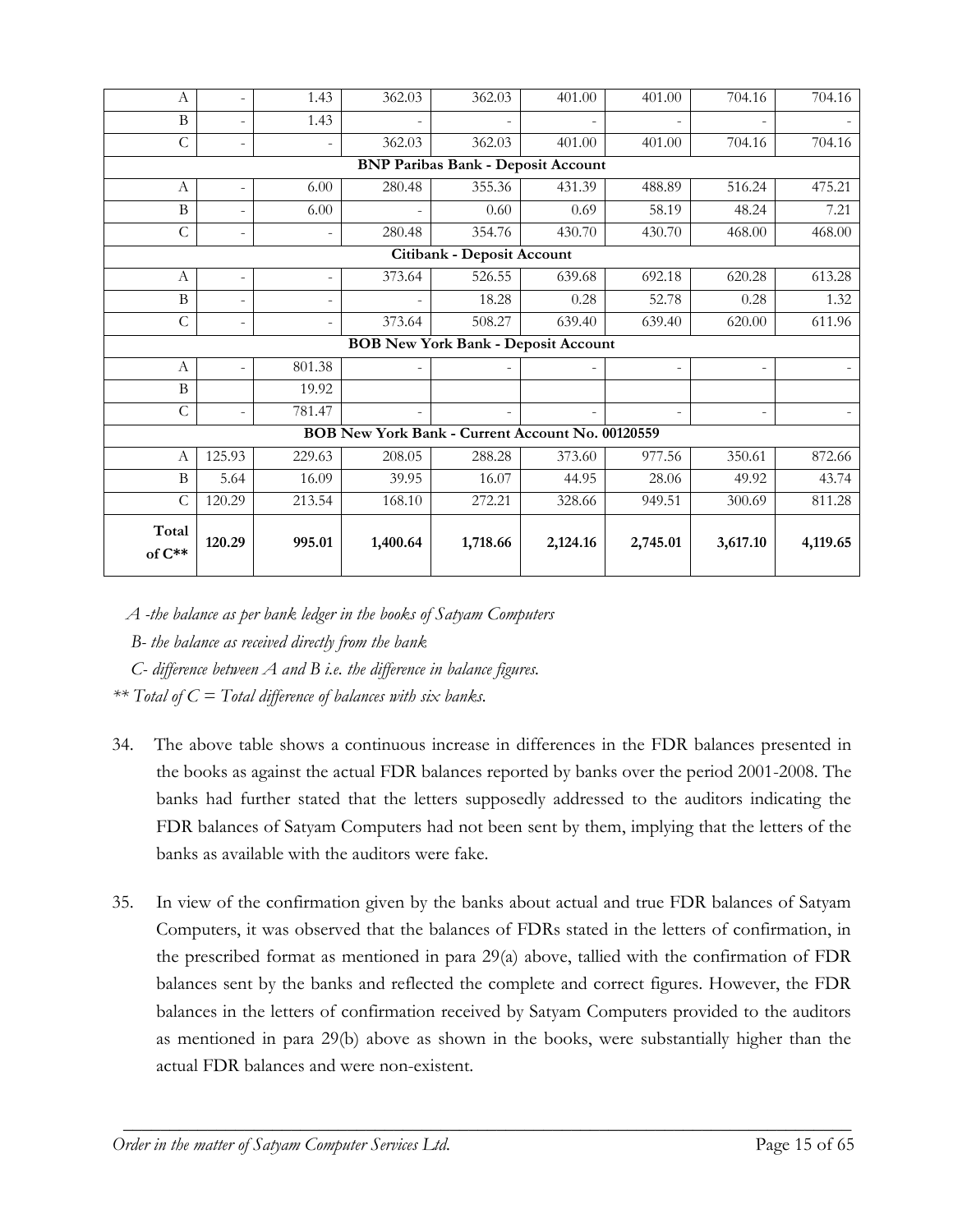| A               |                          | 1.43                     | 362.03                                           | 362.03                                     | 401.00                   | 401.00   | 704.16   | 704.16   |
|-----------------|--------------------------|--------------------------|--------------------------------------------------|--------------------------------------------|--------------------------|----------|----------|----------|
| $\bf{B}$        |                          | 1.43                     |                                                  |                                            | $\overline{\phantom{a}}$ |          |          |          |
| $\mathsf{C}$    |                          | $\overline{\phantom{a}}$ | 362.03                                           | 362.03                                     | 401.00                   | 401.00   | 704.16   | 704.16   |
|                 |                          |                          |                                                  | <b>BNP Paribas Bank - Deposit Account</b>  |                          |          |          |          |
| A               |                          | 6.00                     | 280.48                                           | 355.36                                     | 431.39                   | 488.89   | 516.24   | 475.21   |
| B               | $\equiv$                 | 6.00                     |                                                  | 0.60                                       | 0.69                     | 58.19    | 48.24    | 7.21     |
| $\mathsf{C}$    | ٠                        | $\overline{\phantom{a}}$ | 280.48                                           | 354.76                                     | 430.70                   | 430.70   | 468.00   | 468.00   |
|                 |                          |                          |                                                  | Citibank - Deposit Account                 |                          |          |          |          |
| A               | $\overline{\phantom{0}}$ | $\overline{\phantom{a}}$ | 373.64                                           | 526.55                                     | 639.68                   | 692.18   | 620.28   | 613.28   |
| B               | $\equiv$                 | $\overline{\phantom{0}}$ |                                                  | 18.28                                      | 0.28                     | 52.78    | 0.28     | 1.32     |
| $\mathsf{C}$    | $\overline{\phantom{0}}$ | $\overline{\phantom{a}}$ | 373.64                                           | 508.27                                     | 639.40                   | 639.40   | 620.00   | 611.96   |
|                 |                          |                          |                                                  | <b>BOB New York Bank - Deposit Account</b> |                          |          |          |          |
| A               |                          | 801.38                   |                                                  |                                            |                          |          |          |          |
| $\overline{B}$  |                          | 19.92                    |                                                  |                                            |                          |          |          |          |
| ${\cal C}$      | ÷.                       | 781.47                   |                                                  |                                            | $\overline{\phantom{a}}$ |          |          |          |
|                 |                          |                          | BOB New York Bank - Current Account No. 00120559 |                                            |                          |          |          |          |
| A               | 125.93                   | 229.63                   | 208.05                                           | 288.28                                     | 373.60                   | 977.56   | 350.61   | 872.66   |
| B               | 5.64                     | 16.09                    | 39.95                                            | 16.07                                      | 44.95                    | 28.06    | 49.92    | 43.74    |
| C               | 120.29                   | 213.54                   | 168.10                                           | 272.21                                     | 328.66                   | 949.51   | 300.69   | 811.28   |
| Total<br>of C** | 120.29                   | 995.01                   | 1,400.64                                         | 1,718.66                                   | 2,124.16                 | 2,745.01 | 3,617.10 | 4,119.65 |

 *A -the balance as per bank ledger in the books of Satyam Computers*

 *B- the balance as received directly from the bank*

 *C- difference between A and B i.e. the difference in balance figures.*

*\*\* Total of C = Total difference of balances with six banks.*

- 34. The above table shows a continuous increase in differences in the FDR balances presented in the books as against the actual FDR balances reported by banks over the period 2001-2008. The banks had further stated that the letters supposedly addressed to the auditors indicating the FDR balances of Satyam Computers had not been sent by them, implying that the letters of the banks as available with the auditors were fake.
- 35. In view of the confirmation given by the banks about actual and true FDR balances of Satyam Computers, it was observed that the balances of FDRs stated in the letters of confirmation, in the prescribed format as mentioned in para 29(a) above, tallied with the confirmation of FDR balances sent by the banks and reflected the complete and correct figures. However, the FDR balances in the letters of confirmation received by Satyam Computers provided to the auditors as mentioned in para 29(b) above as shown in the books, were substantially higher than the actual FDR balances and were non-existent.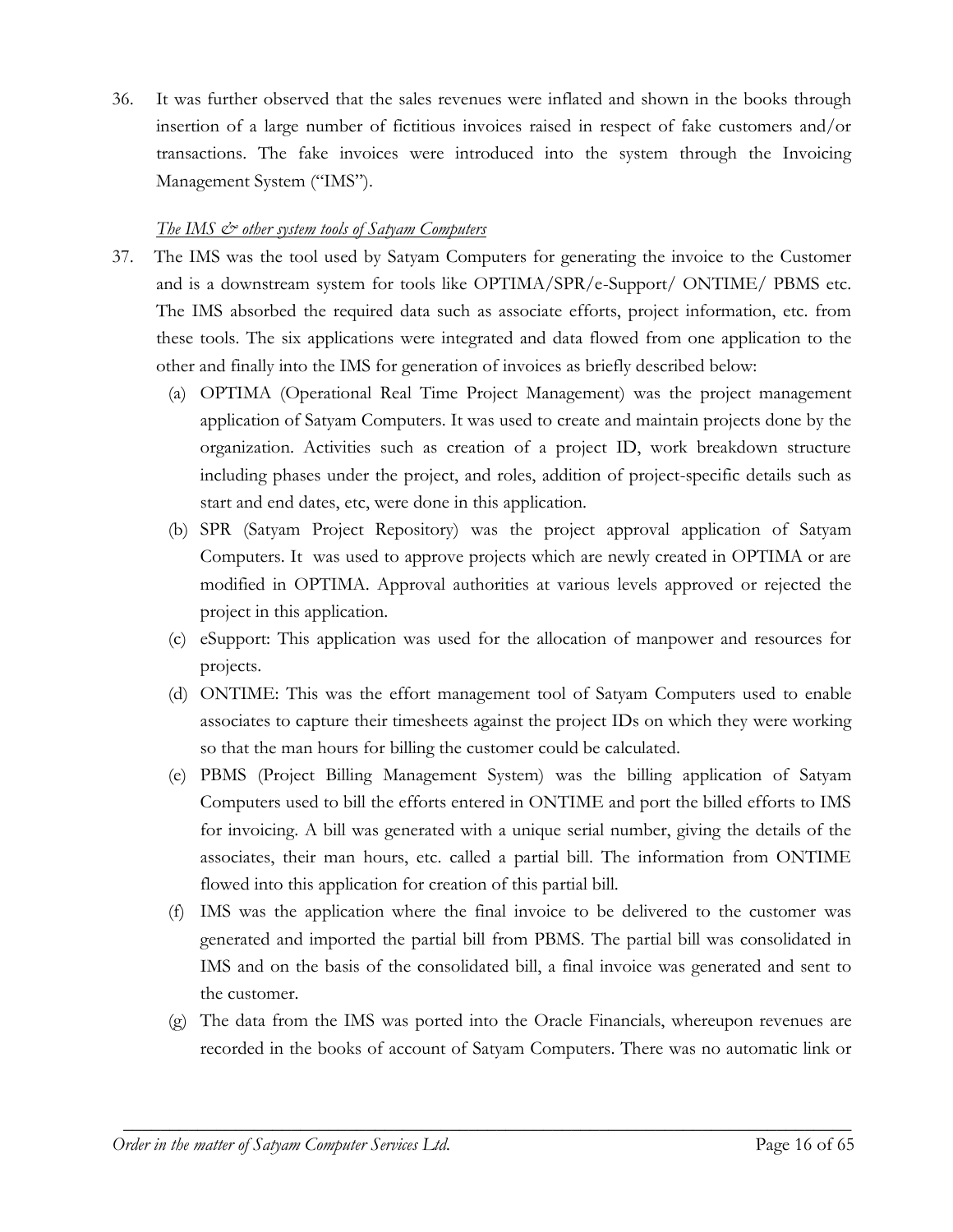36. It was further observed that the sales revenues were inflated and shown in the books through insertion of a large number of fictitious invoices raised in respect of fake customers and/or transactions. The fake invoices were introduced into the system through the Invoicing Management System ("IMS").

#### *The IMS*  $\breve{c}$  *other system tools of Satyam Computers*

- 37. The IMS was the tool used by Satyam Computers for generating the invoice to the Customer and is a downstream system for tools like OPTIMA/SPR/e-Support/ ONTIME/ PBMS etc. The IMS absorbed the required data such as associate efforts, project information, etc. from these tools. The six applications were integrated and data flowed from one application to the other and finally into the IMS for generation of invoices as briefly described below:
	- (a) OPTIMA (Operational Real Time Project Management) was the project management application of Satyam Computers. It was used to create and maintain projects done by the organization. Activities such as creation of a project ID, work breakdown structure including phases under the project, and roles, addition of project-specific details such as start and end dates, etc, were done in this application.
	- (b) SPR (Satyam Project Repository) was the project approval application of Satyam Computers. It was used to approve projects which are newly created in OPTIMA or are modified in OPTIMA. Approval authorities at various levels approved or rejected the project in this application.
	- (c) eSupport: This application was used for the allocation of manpower and resources for projects.
	- (d) ONTIME: This was the effort management tool of Satyam Computers used to enable associates to capture their timesheets against the project IDs on which they were working so that the man hours for billing the customer could be calculated.
	- (e) PBMS (Project Billing Management System) was the billing application of Satyam Computers used to bill the efforts entered in ONTIME and port the billed efforts to IMS for invoicing. A bill was generated with a unique serial number, giving the details of the associates, their man hours, etc. called a partial bill. The information from ONTIME flowed into this application for creation of this partial bill.
	- (f) IMS was the application where the final invoice to be delivered to the customer was generated and imported the partial bill from PBMS. The partial bill was consolidated in IMS and on the basis of the consolidated bill, a final invoice was generated and sent to the customer.
	- (g) The data from the IMS was ported into the Oracle Financials, whereupon revenues are recorded in the books of account of Satyam Computers. There was no automatic link or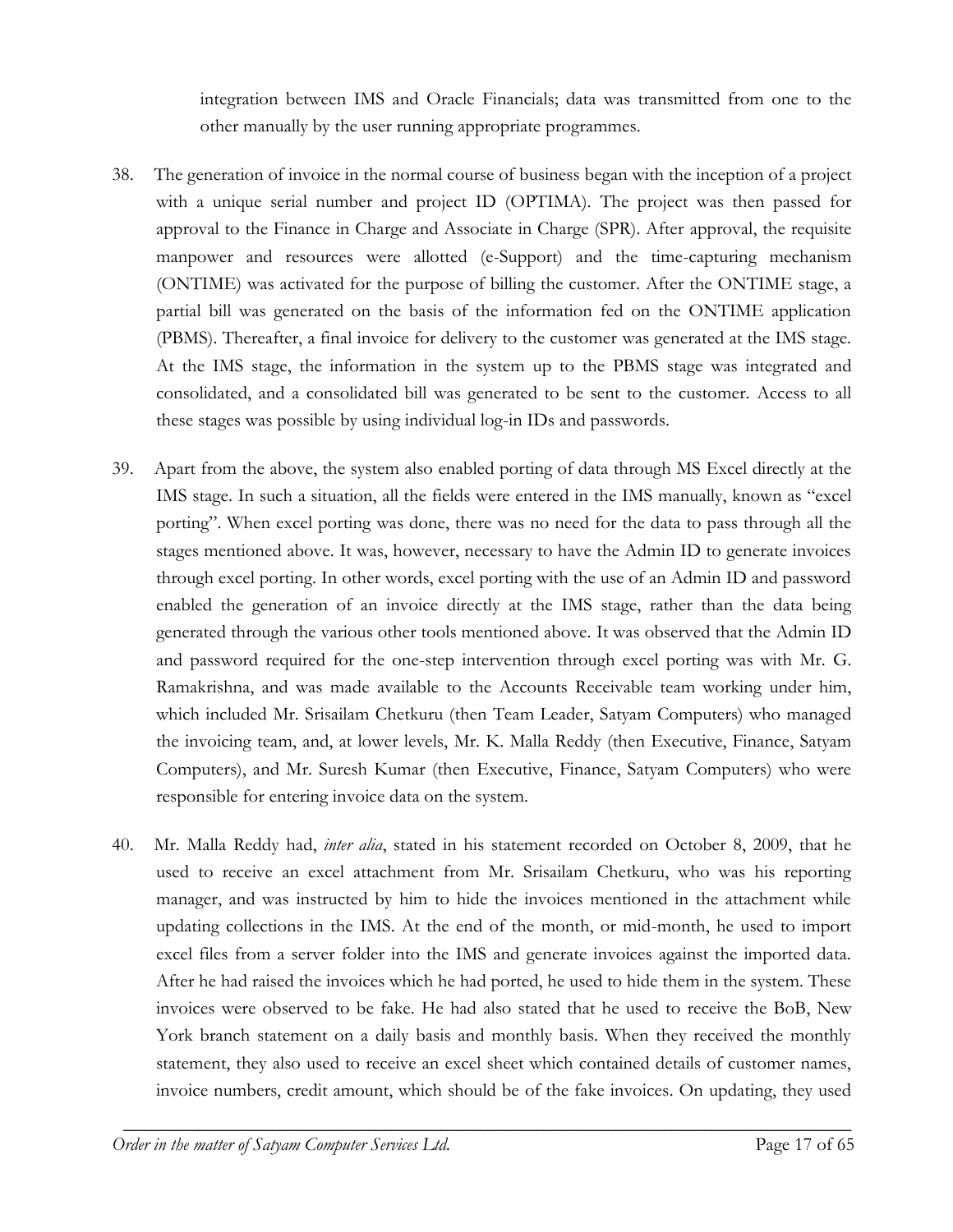integration between IMS and Oracle Financials; data was transmitted from one to the other manually by the user running appropriate programmes.

- 38. The generation of invoice in the normal course of business began with the inception of a project with a unique serial number and project ID (OPTIMA). The project was then passed for approval to the Finance in Charge and Associate in Charge (SPR). After approval, the requisite manpower and resources were allotted (e-Support) and the time-capturing mechanism (ONTIME) was activated for the purpose of billing the customer. After the ONTIME stage, a partial bill was generated on the basis of the information fed on the ONTIME application (PBMS). Thereafter, a final invoice for delivery to the customer was generated at the IMS stage. At the IMS stage, the information in the system up to the PBMS stage was integrated and consolidated, and a consolidated bill was generated to be sent to the customer. Access to all these stages was possible by using individual log-in IDs and passwords.
- 39. Apart from the above, the system also enabled porting of data through MS Excel directly at the IMS stage. In such a situation, all the fields were entered in the IMS manually, known as "excel porting". When excel porting was done, there was no need for the data to pass through all the stages mentioned above. It was, however, necessary to have the Admin ID to generate invoices through excel porting. In other words, excel porting with the use of an Admin ID and password enabled the generation of an invoice directly at the IMS stage, rather than the data being generated through the various other tools mentioned above. It was observed that the Admin ID and password required for the one-step intervention through excel porting was with Mr. G. Ramakrishna, and was made available to the Accounts Receivable team working under him, which included Mr. Srisailam Chetkuru (then Team Leader, Satyam Computers) who managed the invoicing team, and, at lower levels, Mr. K. Malla Reddy (then Executive, Finance, Satyam Computers), and Mr. Suresh Kumar (then Executive, Finance, Satyam Computers) who were responsible for entering invoice data on the system.
- 40. Mr. Malla Reddy had, *inter alia*, stated in his statement recorded on October 8, 2009, that he used to receive an excel attachment from Mr. Srisailam Chetkuru, who was his reporting manager, and was instructed by him to hide the invoices mentioned in the attachment while updating collections in the IMS. At the end of the month, or mid-month, he used to import excel files from a server folder into the IMS and generate invoices against the imported data. After he had raised the invoices which he had ported, he used to hide them in the system. These invoices were observed to be fake. He had also stated that he used to receive the BoB, New York branch statement on a daily basis and monthly basis. When they received the monthly statement, they also used to receive an excel sheet which contained details of customer names, invoice numbers, credit amount, which should be of the fake invoices. On updating, they used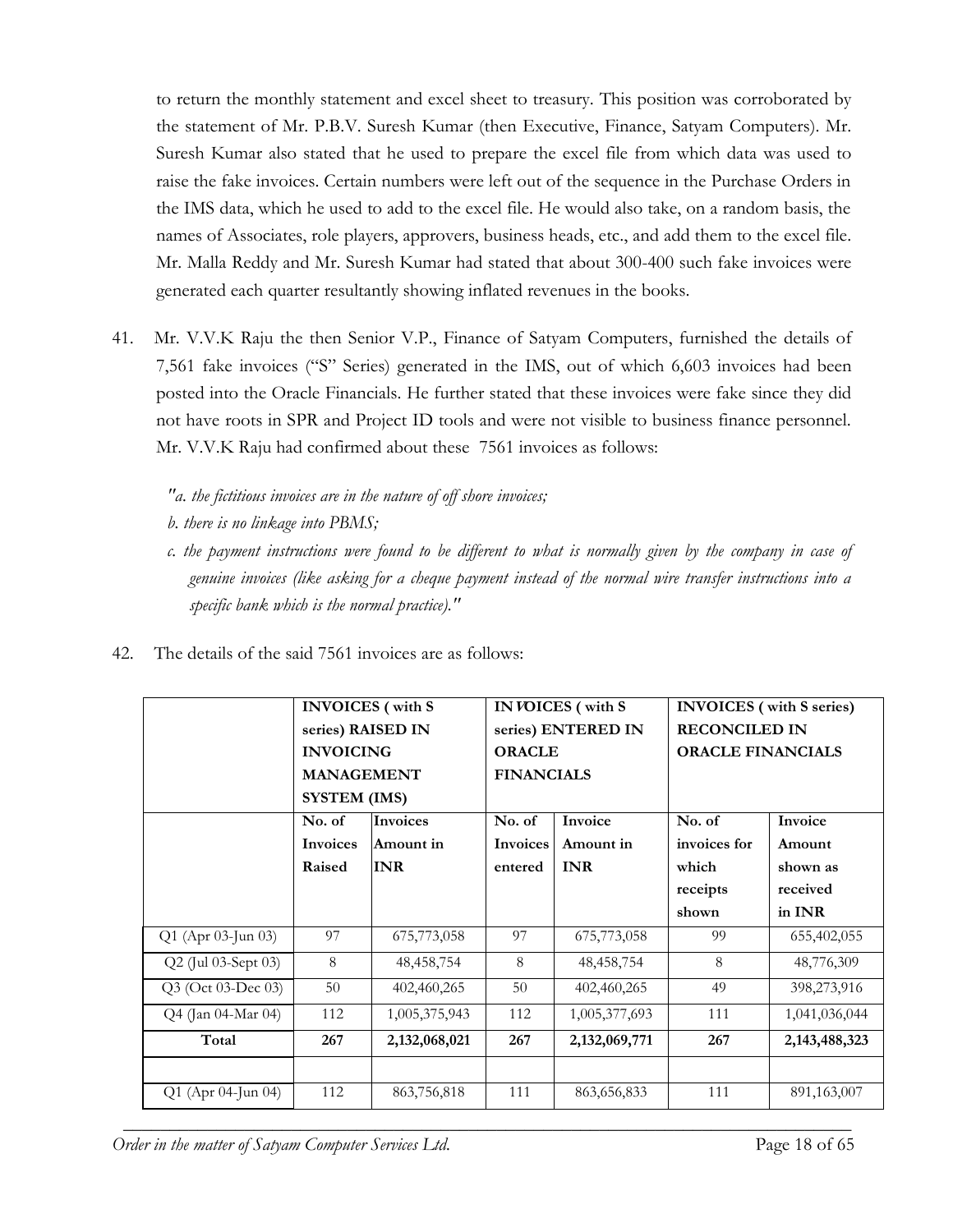to return the monthly statement and excel sheet to treasury. This position was corroborated by the statement of Mr. P.B.V. Suresh Kumar (then Executive, Finance, Satyam Computers). Mr. Suresh Kumar also stated that he used to prepare the excel file from which data was used to raise the fake invoices. Certain numbers were left out of the sequence in the Purchase Orders in the IMS data, which he used to add to the excel file. He would also take, on a random basis, the names of Associates, role players, approvers, business heads, etc., and add them to the excel file. Mr. Malla Reddy and Mr. Suresh Kumar had stated that about 300-400 such fake invoices were generated each quarter resultantly showing inflated revenues in the books.

41. Mr. V.V.K Raju the then Senior V.P., Finance of Satyam Computers, furnished the details of 7,561 fake invoices ("S" Series) generated in the IMS, out of which 6,603 invoices had been posted into the Oracle Financials. He further stated that these invoices were fake since they did not have roots in SPR and Project ID tools and were not visible to business finance personnel. Mr. V.V.K Raju had confirmed about these 7561 invoices as follows:

*"a. the fictitious invoices are in the nature of off shore invoices;*

*b. there is no linkage into PBMS;*

- *c. the payment instructions were found to be different to what is normally given by the company in case of genuine invoices (like asking for a cheque payment instead of the normal wire transfer instructions into a specific bank which is the normal practice)."*
- 42. The details of the said 7561 invoices are as follows:

|                     | <b>INVOICES</b> (with S |                 |                   | IN VOICES (with S  |                          | <b>INVOICES</b> (with S series) |  |
|---------------------|-------------------------|-----------------|-------------------|--------------------|--------------------------|---------------------------------|--|
|                     | series) RAISED IN       |                 |                   | series) ENTERED IN | <b>RECONCILED IN</b>     |                                 |  |
|                     | <b>INVOICING</b>        |                 | <b>ORACLE</b>     |                    | <b>ORACLE FINANCIALS</b> |                                 |  |
|                     | <b>MANAGEMENT</b>       |                 | <b>FINANCIALS</b> |                    |                          |                                 |  |
|                     | <b>SYSTEM (IMS)</b>     |                 |                   |                    |                          |                                 |  |
|                     | No. of                  | <b>Invoices</b> | No. of            | Invoice            | No. of                   | Invoice                         |  |
|                     | <b>Invoices</b>         | lAmount in      | <b>Invoices</b>   | Amount in          | invoices for             | Amount                          |  |
|                     | Raised                  | <b>INR</b>      | entered           | <b>INR</b>         | which                    | shown as                        |  |
|                     |                         |                 |                   |                    | receipts                 | received                        |  |
|                     |                         |                 |                   |                    | shown                    | in INR                          |  |
| Q1 (Apr 03-Jun 03)  | 97                      | 675,773,058     | 97                | 675,773,058        | 99                       | 655,402,055                     |  |
| Q2 (Jul 03-Sept 03) | 8                       | 48, 458, 754    | 8                 | 48,458,754         | 8                        | 48,776,309                      |  |
| Q3 (Oct 03-Dec 03)  | 50                      | 402,460,265     | 50                | 402,460,265        | 49                       | 398,273,916                     |  |
| Q4 (Jan 04-Mar 04)  | 112                     | 1,005,375,943   | 112               | 1,005,377,693      | 111                      | 1,041,036,044                   |  |
| Total               | 267                     | 2,132,068,021   | 267               | 2, 132, 069, 771   | 267                      | 2, 143, 488, 323                |  |
|                     |                         |                 |                   |                    |                          |                                 |  |
| Q1 (Apr 04-Jun 04)  | 112                     | 863,756,818     | 111               | 863,656,833        | 111                      | 891,163,007                     |  |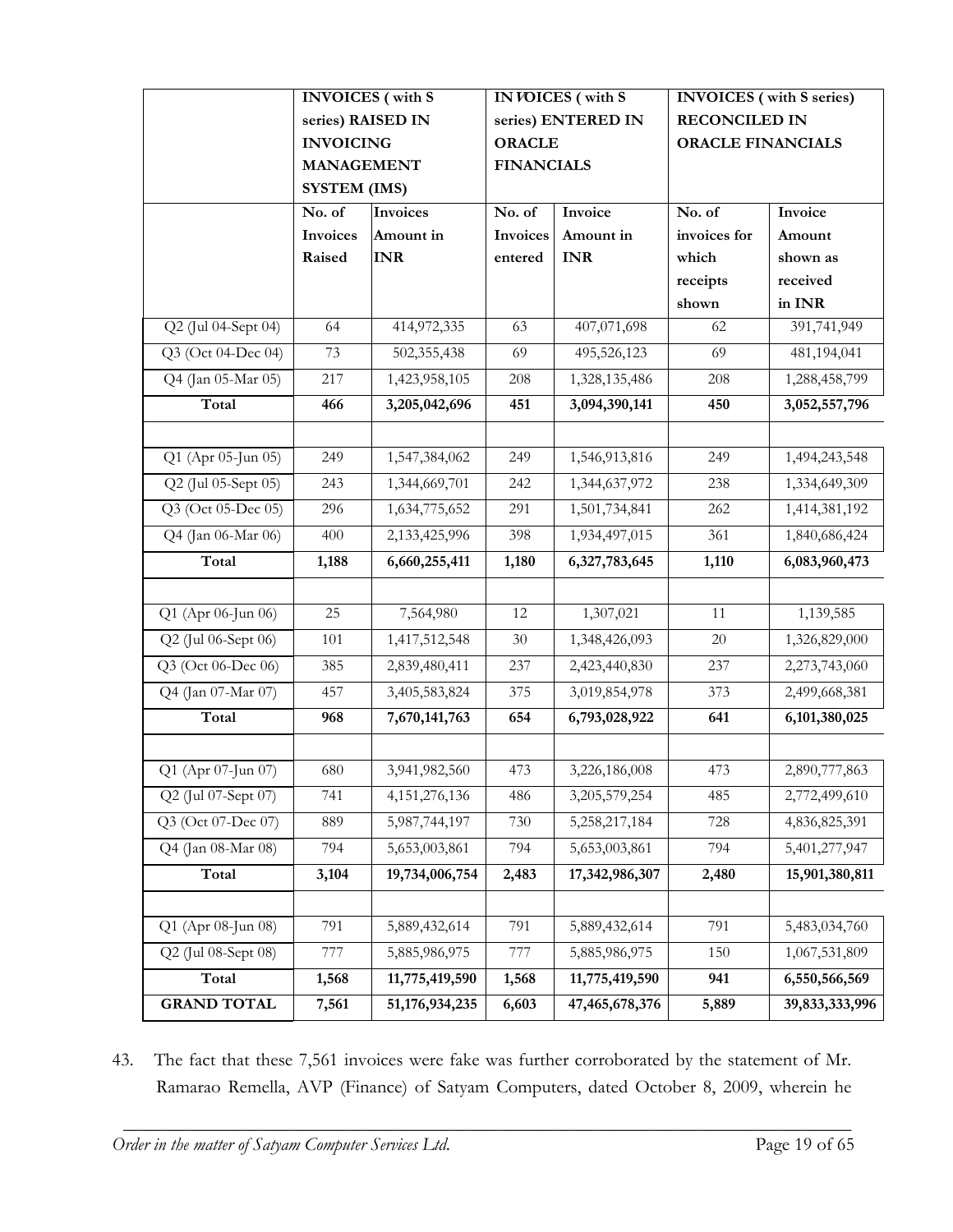|                     | <b>INVOICES</b> (with S |                  | IN VOICES (with S  |                | <b>INVOICES</b> (with S series) |                |  |
|---------------------|-------------------------|------------------|--------------------|----------------|---------------------------------|----------------|--|
|                     | series) RAISED IN       |                  | series) ENTERED IN |                | <b>RECONCILED IN</b>            |                |  |
|                     | <b>INVOICING</b>        |                  | <b>ORACLE</b>      |                | <b>ORACLE FINANCIALS</b>        |                |  |
|                     | <b>MANAGEMENT</b>       |                  | <b>FINANCIALS</b>  |                |                                 |                |  |
|                     | <b>SYSTEM (IMS)</b>     |                  |                    |                |                                 |                |  |
|                     | No. of                  | Invoices         | No. of             | Invoice        | No. of                          | Invoice        |  |
|                     | Invoices                | Amount in        | Invoices           | Amount in      | invoices for                    | Amount         |  |
|                     | Raised                  | <b>INR</b>       | entered            | <b>INR</b>     | which                           | shown as       |  |
|                     |                         |                  |                    |                | receipts                        | received       |  |
|                     |                         |                  |                    |                | shown                           | in INR         |  |
| Q2 (Jul 04-Sept 04) | 64                      | 414,972,335      | 63                 | 407,071,698    | 62                              | 391,741,949    |  |
| Q3 (Oct 04-Dec 04)  | 73                      | 502,355,438      | 69                 | 495,526,123    | 69                              | 481,194,041    |  |
| Q4 (Jan 05-Mar 05)  | 217                     | 1,423,958,105    | 208                | 1,328,135,486  | 208                             | 1,288,458,799  |  |
| Total               | 466                     | 3,205,042,696    | 451                | 3,094,390,141  | 450                             | 3,052,557,796  |  |
|                     |                         |                  |                    |                |                                 |                |  |
| Q1 (Apr 05-Jun 05)  | 249                     | 1,547,384,062    | 249                | 1,546,913,816  | 249                             | 1,494,243,548  |  |
| Q2 (Jul 05-Sept 05) | 243                     | 1,344,669,701    | 242                | 1,344,637,972  | 238                             | 1,334,649,309  |  |
| Q3 (Oct 05-Dec 05)  | 296                     | 1,634,775,652    | 291                | 1,501,734,841  | 262                             | 1,414,381,192  |  |
| Q4 (Jan 06-Mar 06)  | 400                     | 2,133,425,996    | 398                | 1,934,497,015  | 361                             | 1,840,686,424  |  |
| Total               | 1,188                   | 6,660,255,411    | 1,180              | 6,327,783,645  | 1,110                           | 6,083,960,473  |  |
|                     |                         |                  |                    |                |                                 |                |  |
| Q1 (Apr 06-Jun 06)  | 25                      | 7,564,980        | 12                 | 1,307,021      | 11                              | 1,139,585      |  |
| Q2 (Jul 06-Sept 06) | 101                     | 1,417,512,548    | 30                 | 1,348,426,093  | 20                              | 1,326,829,000  |  |
| Q3 (Oct 06-Dec 06)  | 385                     | 2,839,480,411    | 237                | 2,423,440,830  | 237                             | 2,273,743,060  |  |
| Q4 (Jan 07-Mar 07)  | 457                     | 3,405,583,824    | 375                | 3,019,854,978  | 373                             | 2,499,668,381  |  |
| Total               | 968                     | 7,670,141,763    | 654                | 6,793,028,922  | 641                             | 6,101,380,025  |  |
|                     |                         |                  |                    |                |                                 |                |  |
| Q1 (Apr 07-Jun 07)  | 680                     | 3,941,982,560    | 473                | 3,226,186,008  | 473                             | 2,890,777,863  |  |
| Q2 (Jul 07-Sept 07) | 741                     | 4, 151, 276, 136 | 486                | 3,205,579,254  | 485                             | 2,772,499,610  |  |
| Q3 (Oct 07-Dec 07)  | 889                     | 5,987,744,197    | 730                | 5,258,217,184  | 728                             | 4,836,825,391  |  |
| Q4 (Jan 08-Mar 08)  | 794                     | 5,653,003,861    | 794                | 5,653,003,861  | 794                             | 5,401,277,947  |  |
| Total               | 3,104                   | 19,734,006,754   | 2,483              | 17,342,986,307 | 2,480                           | 15,901,380,811 |  |
|                     |                         |                  |                    |                |                                 |                |  |
| Q1 (Apr 08-Jun 08)  | 791                     | 5,889,432,614    | 791                | 5,889,432,614  | 791                             | 5,483,034,760  |  |
| Q2 (Jul 08-Sept 08) | 777                     | 5,885,986,975    | 777                | 5,885,986,975  | 150                             | 1,067,531,809  |  |
| Total               | 1,568                   | 11,775,419,590   | 1,568              | 11,775,419,590 | 941                             | 6,550,566,569  |  |
| <b>GRAND TOTAL</b>  | 7,561                   | 51,176,934,235   | 6,603              | 47,465,678,376 | 5,889                           | 39,833,333,996 |  |

43. The fact that these 7,561 invoices were fake was further corroborated by the statement of Mr. Ramarao Remella, AVP (Finance) of Satyam Computers, dated October 8, 2009, wherein he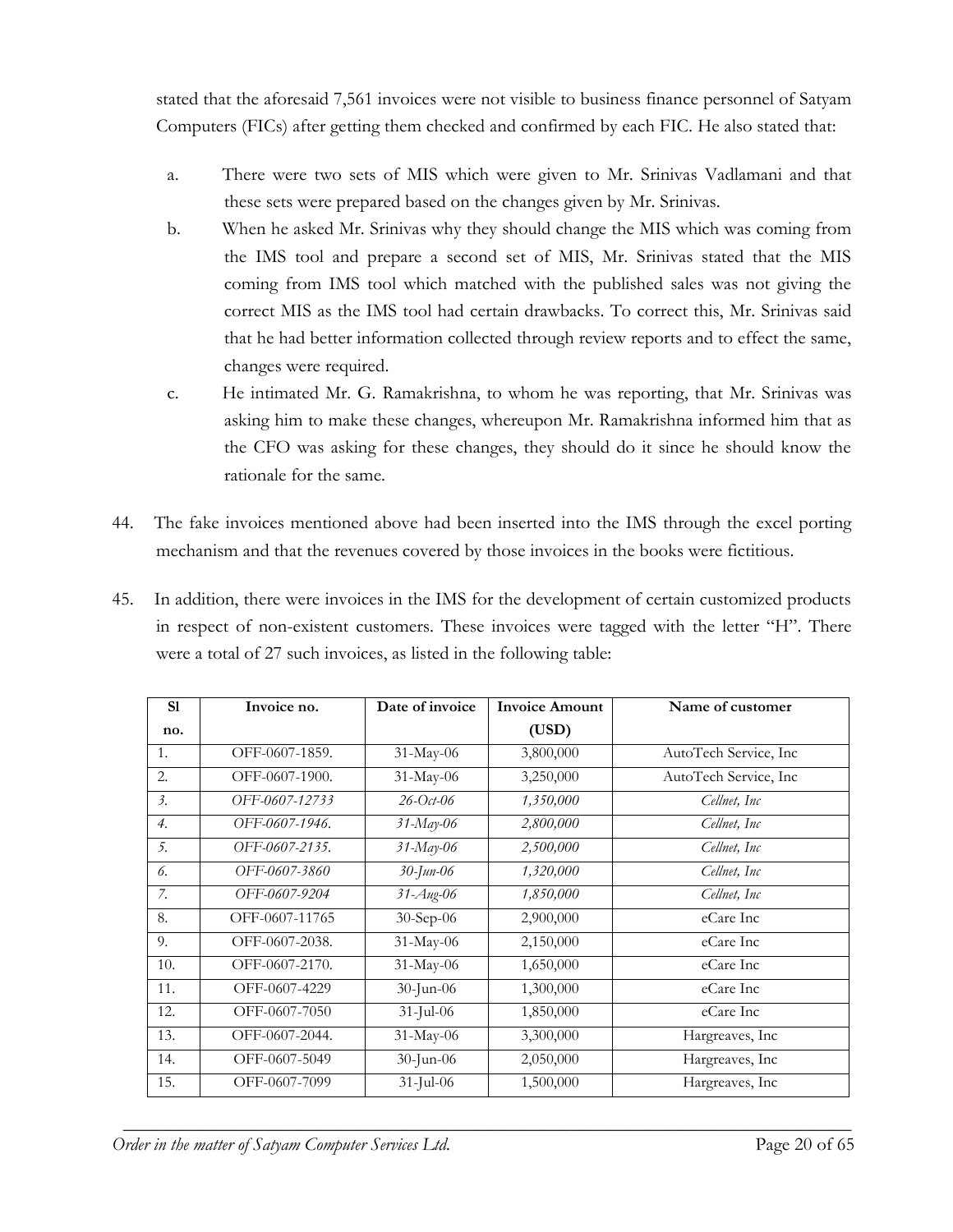stated that the aforesaid 7,561 invoices were not visible to business finance personnel of Satyam Computers (FICs) after getting them checked and confirmed by each FIC. He also stated that:

- a. There were two sets of MIS which were given to Mr. Srinivas Vadlamani and that these sets were prepared based on the changes given by Mr. Srinivas.
- b. When he asked Mr. Srinivas why they should change the MIS which was coming from the IMS tool and prepare a second set of MIS, Mr. Srinivas stated that the MIS coming from IMS tool which matched with the published sales was not giving the correct MIS as the IMS tool had certain drawbacks. To correct this, Mr. Srinivas said that he had better information collected through review reports and to effect the same, changes were required.
- c. He intimated Mr. G. Ramakrishna, to whom he was reporting, that Mr. Srinivas was asking him to make these changes, whereupon Mr. Ramakrishna informed him that as the CFO was asking for these changes, they should do it since he should know the rationale for the same.
- 44. The fake invoices mentioned above had been inserted into the IMS through the excel porting mechanism and that the revenues covered by those invoices in the books were fictitious.
- 45. In addition, there were invoices in the IMS for the development of certain customized products in respect of non-existent customers. These invoices were tagged with the letter "H". There were a total of 27 such invoices, as listed in the following table:

| S1               | Invoice no.    | Date of invoice    | <b>Invoice Amount</b> | Name of customer       |
|------------------|----------------|--------------------|-----------------------|------------------------|
| no.              |                |                    | (USD)                 |                        |
| 1.               | OFF-0607-1859. | 31-May-06          | 3,800,000             | AutoTech Service, Inc  |
| $\overline{2}$ . | OFF-0607-1900. | $31-May-06$        | 3,250,000             | AutoTech Service, Inc. |
| $\beta$ .        | OFF-0607-12733 | $26 - Oct - 06$    | 1,350,000             | Cellnet, Inc           |
| $\overline{4}$ . | OFF-0607-1946. | $31$ -May-06       | 2,800,000             | Cellnet, Inc           |
| 5.               | OFF-0607-2135. | $31$ -May-06       | 2,500,000             | Cellnet, Inc           |
| 6.               | OFF-0607-3860  | $30 - \frac{7}{4}$ | 1,320,000             | Cellnet, Inc           |
| $\overline{Z}$ . | OFF-0607-9204  | $31 - Aug-06$      | 1,850,000             | Cellnet, Inc           |
| 8.               | OFF-0607-11765 | $30-Sep-06$        | 2,900,000             | eCare Inc              |
| 9.               | OFF-0607-2038. | 31-May-06          | 2,150,000             | eCare Inc              |
| 10.              | OFF-0607-2170. | 31-May-06          | 1,650,000             | eCare Inc              |
| 11.              | OFF-0607-4229  | $30$ -Jun-06       | 1,300,000             | eCare Inc              |
| 12.              | OFF-0607-7050  | $31$ -Jul-06       | 1,850,000             | eCare Inc              |
| 13.              | OFF-0607-2044. | 31-May-06          | 3,300,000             | Hargreaves, Inc        |
| 14.              | OFF-0607-5049  | 30-Jun-06          | 2,050,000             | Hargreaves, Inc        |
| 15.              | OFF-0607-7099  | $31$ -Jul-06       | 1,500,000             | Hargreaves, Inc.       |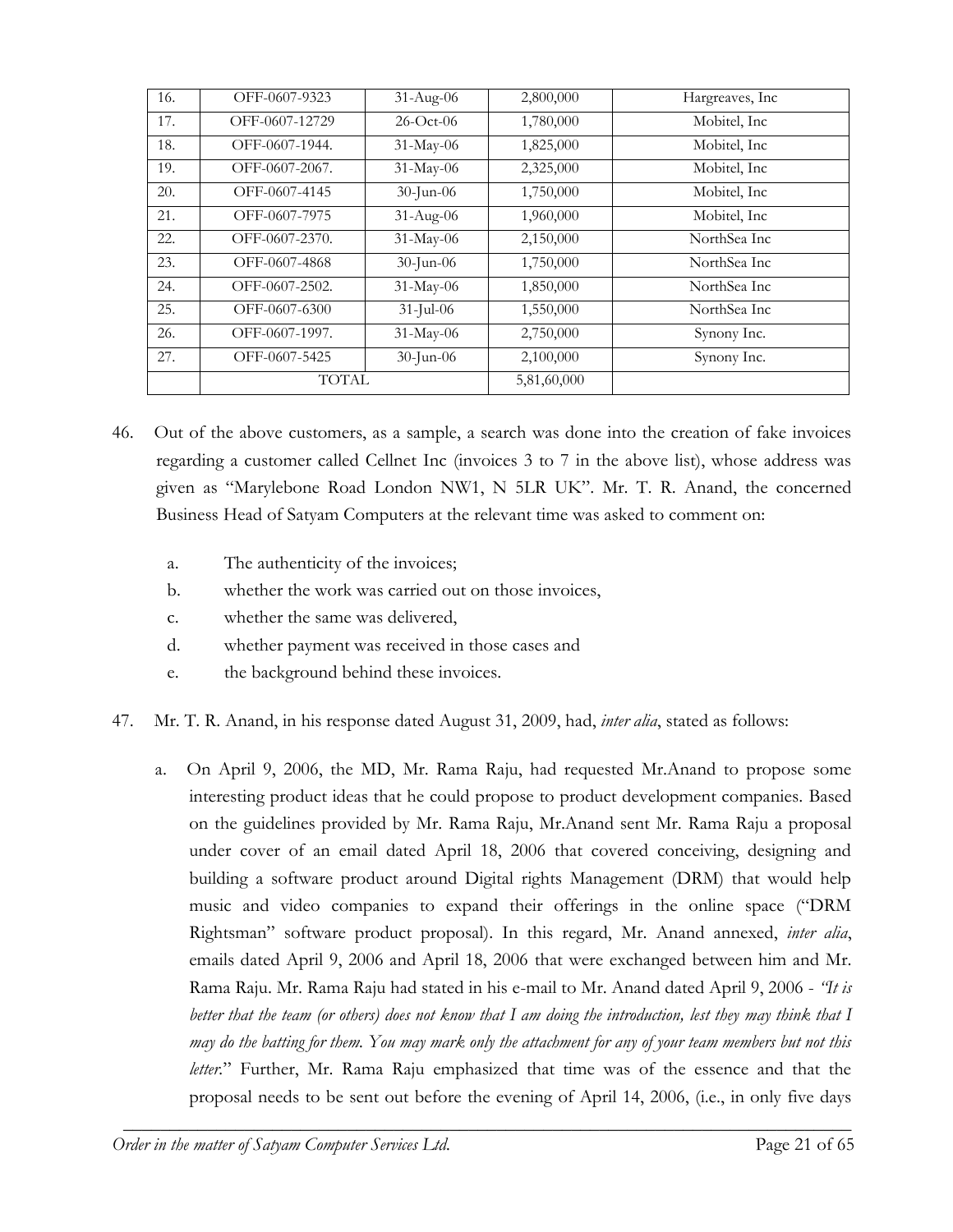| 16. | OFF-0607-9323  | $31-Aug-06$  | 2,800,000   | Hargreaves, Inc |
|-----|----------------|--------------|-------------|-----------------|
| 17. | OFF-0607-12729 | $26$ -Oct-06 | 1,780,000   | Mobitel, Inc    |
| 18. | OFF-0607-1944. | $31-May-06$  | 1,825,000   | Mobitel, Inc.   |
| 19. | OFF-0607-2067. | 31-May-06    | 2,325,000   | Mobitel, Inc    |
| 20. | OFF-0607-4145  | $30$ -Jun-06 | 1,750,000   | Mobitel, Inc    |
| 21. | OFF-0607-7975  | $31-Aug-06$  | 1,960,000   | Mobitel, Inc.   |
| 22. | OFF-0607-2370. | $31-May-06$  | 2,150,000   | NorthSea Inc    |
| 23. | OFF-0607-4868  | $30$ -Jun-06 | 1,750,000   | NorthSea Inc    |
| 24. | OFF-0607-2502. | $31$ -May-06 | 1,850,000   | NorthSea Inc    |
| 25. | OFF-0607-6300  | $31$ -Jul-06 | 1,550,000   | NorthSea Inc    |
| 26. | OFF-0607-1997. | 31-May-06    | 2,750,000   | Synony Inc.     |
| 27. | OFF-0607-5425  | $30$ -Jun-06 | 2,100,000   | Synony Inc.     |
|     | <b>TOTAL</b>   |              | 5,81,60,000 |                 |

- 46. Out of the above customers, as a sample, a search was done into the creation of fake invoices regarding a customer called Cellnet Inc (invoices 3 to 7 in the above list), whose address was given as "Marylebone Road London NW1, N 5LR UK". Mr. T. R. Anand, the concerned Business Head of Satyam Computers at the relevant time was asked to comment on:
	- a. The authenticity of the invoices;
	- b. whether the work was carried out on those invoices,
	- c. whether the same was delivered,
	- d. whether payment was received in those cases and
	- e. the background behind these invoices.
- 47. Mr. T. R. Anand, in his response dated August 31, 2009, had, *inter alia*, stated as follows:
	- a. On April 9, 2006, the MD, Mr. Rama Raju, had requested Mr.Anand to propose some interesting product ideas that he could propose to product development companies. Based on the guidelines provided by Mr. Rama Raju, Mr.Anand sent Mr. Rama Raju a proposal under cover of an email dated April 18, 2006 that covered conceiving, designing and building a software product around Digital rights Management (DRM) that would help music and video companies to expand their offerings in the online space ("DRM Rightsman" software product proposal). In this regard, Mr. Anand annexed, *inter alia*, emails dated April 9, 2006 and April 18, 2006 that were exchanged between him and Mr. Rama Raju. Mr. Rama Raju had stated in his e-mail to Mr. Anand dated April 9, 2006 - *"It is better that the team (or others) does not know that I am doing the introduction, lest they may think that I may do the batting for them. You may mark only the attachment for any of your team members but not this letter.*" Further, Mr. Rama Raju emphasized that time was of the essence and that the proposal needs to be sent out before the evening of April 14, 2006, (i.e., in only five days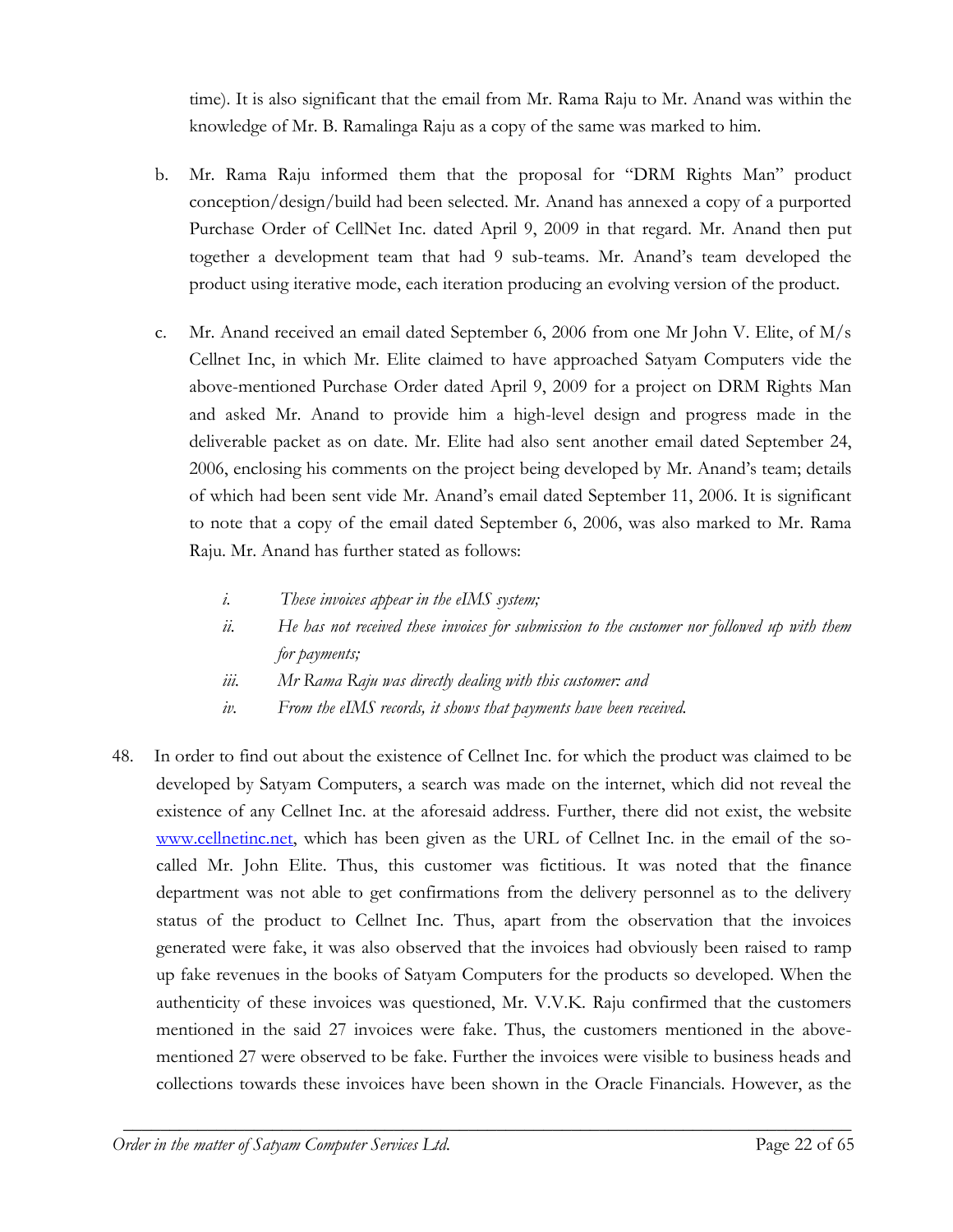time). It is also significant that the email from Mr. Rama Raju to Mr. Anand was within the knowledge of Mr. B. Ramalinga Raju as a copy of the same was marked to him.

- b. Mr. Rama Raju informed them that the proposal for "DRM Rights Man" product conception/design/build had been selected. Mr. Anand has annexed a copy of a purported Purchase Order of CellNet Inc. dated April 9, 2009 in that regard. Mr. Anand then put together a development team that had 9 sub-teams. Mr. Anand"s team developed the product using iterative mode, each iteration producing an evolving version of the product.
- c. Mr. Anand received an email dated September 6, 2006 from one Mr John V. Elite, of M/s Cellnet Inc, in which Mr. Elite claimed to have approached Satyam Computers vide the above-mentioned Purchase Order dated April 9, 2009 for a project on DRM Rights Man and asked Mr. Anand to provide him a high-level design and progress made in the deliverable packet as on date. Mr. Elite had also sent another email dated September 24, 2006, enclosing his comments on the project being developed by Mr. Anand"s team; details of which had been sent vide Mr. Anand"s email dated September 11, 2006. It is significant to note that a copy of the email dated September 6, 2006, was also marked to Mr. Rama Raju. Mr. Anand has further stated as follows:
	- *i. These invoices appear in the eIMS system;*
	- *ii. He has not received these invoices for submission to the customer nor followed up with them for payments;*
	- *iii. Mr Rama Raju was directly dealing with this customer: and*
	- *iv. From the eIMS records, it shows that payments have been received.*
- 48. In order to find out about the existence of Cellnet Inc. for which the product was claimed to be developed by Satyam Computers, a search was made on the internet, which did not reveal the existence of any Cellnet Inc. at the aforesaid address. Further, there did not exist, the website [www.cellnetinc.net,](http://www.cellnetinc.net/) which has been given as the URL of Cellnet Inc. in the email of the socalled Mr. John Elite. Thus, this customer was fictitious. It was noted that the finance department was not able to get confirmations from the delivery personnel as to the delivery status of the product to Cellnet Inc. Thus, apart from the observation that the invoices generated were fake, it was also observed that the invoices had obviously been raised to ramp up fake revenues in the books of Satyam Computers for the products so developed. When the authenticity of these invoices was questioned, Mr. V.V.K. Raju confirmed that the customers mentioned in the said 27 invoices were fake. Thus, the customers mentioned in the abovementioned 27 were observed to be fake. Further the invoices were visible to business heads and collections towards these invoices have been shown in the Oracle Financials. However, as the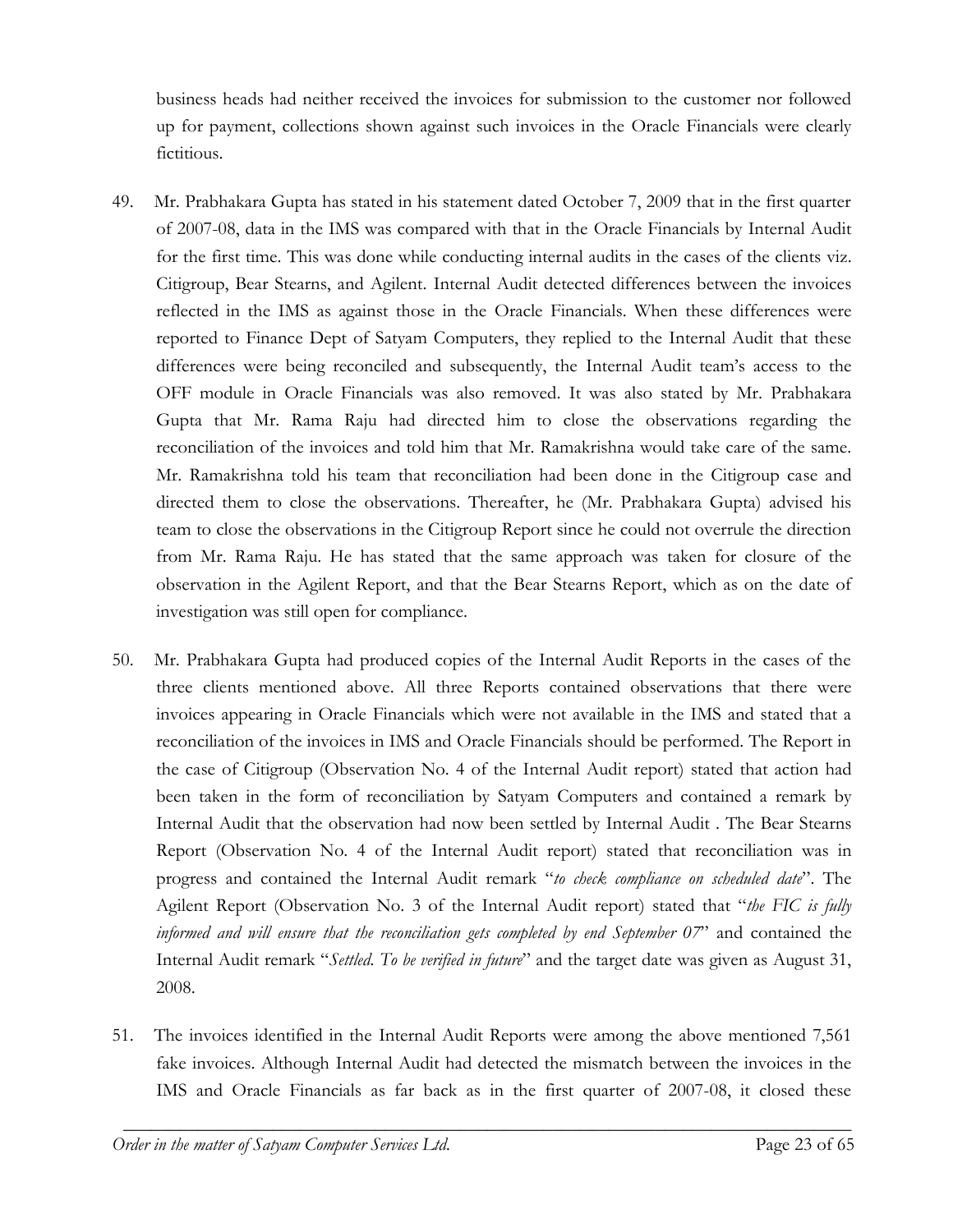business heads had neither received the invoices for submission to the customer nor followed up for payment, collections shown against such invoices in the Oracle Financials were clearly fictitious.

- 49. Mr. Prabhakara Gupta has stated in his statement dated October 7, 2009 that in the first quarter of 2007-08, data in the IMS was compared with that in the Oracle Financials by Internal Audit for the first time. This was done while conducting internal audits in the cases of the clients viz. Citigroup, Bear Stearns, and Agilent. Internal Audit detected differences between the invoices reflected in the IMS as against those in the Oracle Financials. When these differences were reported to Finance Dept of Satyam Computers, they replied to the Internal Audit that these differences were being reconciled and subsequently, the Internal Audit team"s access to the OFF module in Oracle Financials was also removed. It was also stated by Mr. Prabhakara Gupta that Mr. Rama Raju had directed him to close the observations regarding the reconciliation of the invoices and told him that Mr. Ramakrishna would take care of the same. Mr. Ramakrishna told his team that reconciliation had been done in the Citigroup case and directed them to close the observations. Thereafter, he (Mr. Prabhakara Gupta) advised his team to close the observations in the Citigroup Report since he could not overrule the direction from Mr. Rama Raju. He has stated that the same approach was taken for closure of the observation in the Agilent Report, and that the Bear Stearns Report, which as on the date of investigation was still open for compliance.
- 50. Mr. Prabhakara Gupta had produced copies of the Internal Audit Reports in the cases of the three clients mentioned above. All three Reports contained observations that there were invoices appearing in Oracle Financials which were not available in the IMS and stated that a reconciliation of the invoices in IMS and Oracle Financials should be performed. The Report in the case of Citigroup (Observation No. 4 of the Internal Audit report) stated that action had been taken in the form of reconciliation by Satyam Computers and contained a remark by Internal Audit that the observation had now been settled by Internal Audit . The Bear Stearns Report (Observation No. 4 of the Internal Audit report) stated that reconciliation was in progress and contained the Internal Audit remark "*to check compliance on scheduled date*". The Agilent Report (Observation No. 3 of the Internal Audit report) stated that "*the FIC is fully informed and will ensure that the reconciliation gets completed by end September 07*" and contained the Internal Audit remark "*Settled. To be verified in future*" and the target date was given as August 31, 2008.
- 51. The invoices identified in the Internal Audit Reports were among the above mentioned 7,561 fake invoices. Although Internal Audit had detected the mismatch between the invoices in the IMS and Oracle Financials as far back as in the first quarter of 2007-08, it closed these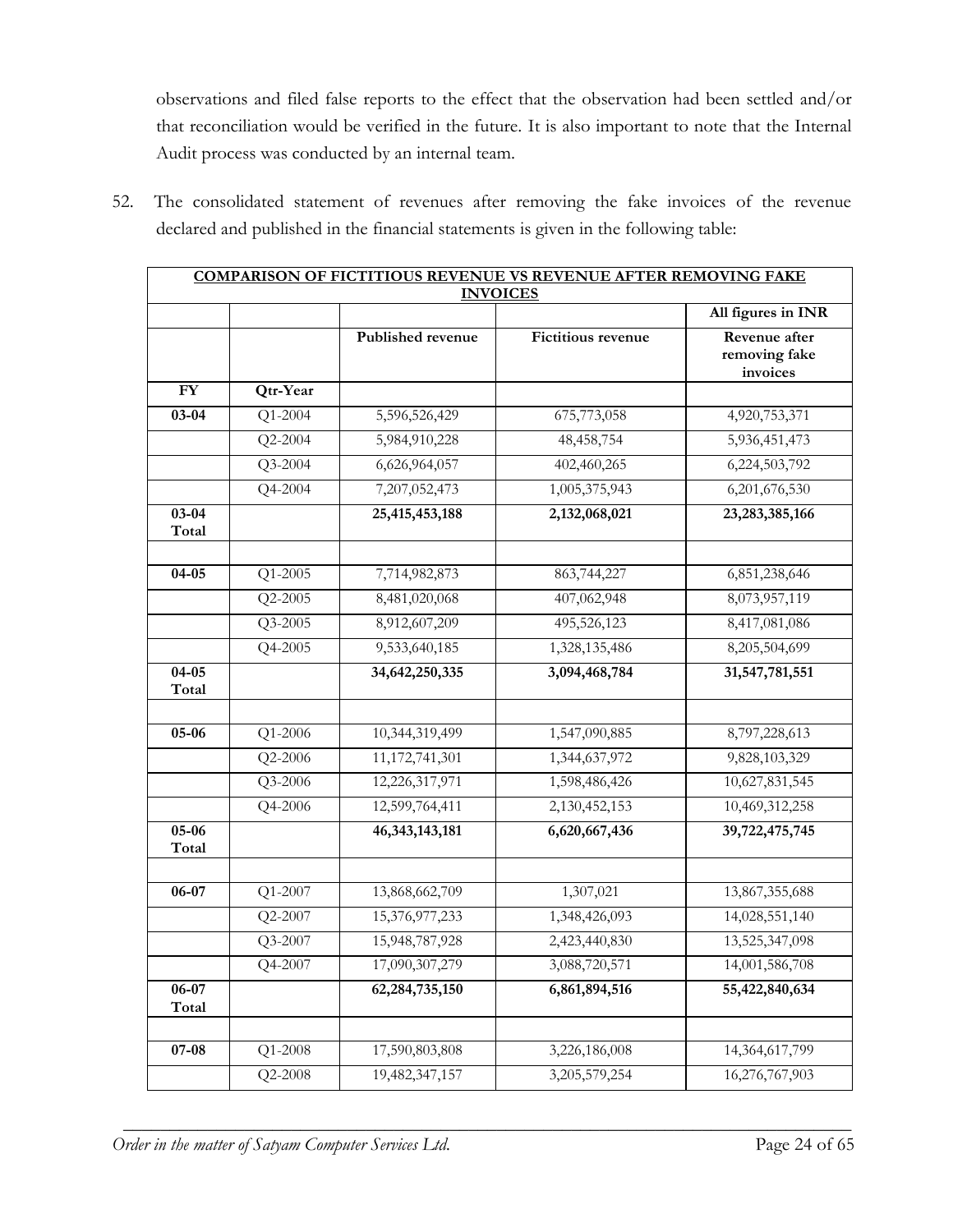observations and filed false reports to the effect that the observation had been settled and/or that reconciliation would be verified in the future. It is also important to note that the Internal Audit process was conducted by an internal team.

|                    |             | <b>INVOICES</b>   |                           |                                            |
|--------------------|-------------|-------------------|---------------------------|--------------------------------------------|
|                    |             |                   |                           | All figures in INR                         |
|                    |             | Published revenue | <b>Fictitious revenue</b> | Revenue after<br>removing fake<br>invoices |
| <b>FY</b>          | Qtr-Year    |                   |                           |                                            |
| $03 - 04$          | $Q1-2004$   | 5,596,526,429     | 675,773,058               | 4,920,753,371                              |
|                    | $Q2 - 2004$ | 5,984,910,228     | 48, 458, 754              | 5,936,451,473                              |
|                    | $Q3 - 2004$ | 6,626,964,057     | 402,460,265               | 6,224,503,792                              |
|                    | Q4-2004     | 7,207,052,473     | 1,005,375,943             | 6,201,676,530                              |
| $03 - 04$<br>Total |             | 25,415,453,188    | 2,132,068,021             | 23, 283, 385, 166                          |
| $04 - 05$          | $Q1-2005$   | 7,714,982,873     | 863,744,227               | 6,851,238,646                              |
|                    | $Q2-2005$   | 8,481,020,068     | 407,062,948               | 8,073,957,119                              |
|                    | Q3-2005     | 8,912,607,209     | 495,526,123               | 8,417,081,086                              |
|                    | Q4-2005     | 9,533,640,185     | 1,328,135,486             | 8,205,504,699                              |
| $04 - 05$<br>Total |             | 34,642,250,335    | 3,094,468,784             | 31,547,781,551                             |
| 05-06              | Q1-2006     | 10,344,319,499    | 1,547,090,885             | 8,797,228,613                              |
|                    | $Q2 - 2006$ | 11, 172, 741, 301 | 1,344,637,972             | 9,828,103,329                              |
|                    | Q3-2006     | 12,226,317,971    | 1,598,486,426             | 10,627,831,545                             |
|                    | Q4-2006     | 12,599,764,411    | 2,130,452,153             | 10,469,312,258                             |
| 05-06<br>Total     |             | 46, 343, 143, 181 | 6,620,667,436             | 39,722,475,745                             |
| $06 - 07$          | Q1-2007     | 13,868,662,709    | 1,307,021                 | 13,867,355,688                             |
|                    | Q2-2007     | 15,376,977,233    | 1,348,426,093             | 14,028,551,140                             |
|                    | Q3-2007     | 15,948,787,928    | 2,423,440,830             | 13,525,347,098                             |
|                    | Q4-2007     | 17,090,307,279    | 3,088,720,571             | 14,001,586,708                             |
| 06-07<br>Total     |             | 62,284,735,150    | 6,861,894,516             | 55,422,840,634                             |
| $07 - 08$          | $Q1 - 2008$ | 17,590,803,808    | 3,226,186,008             | 14,364,617,799                             |
|                    | $Q2 - 2008$ | 19,482,347,157    | 3,205,579,254             | 16,276,767,903                             |

*\_\_\_\_\_\_\_\_\_\_\_\_\_\_\_\_\_\_\_\_\_\_\_\_\_\_\_\_\_\_\_\_\_\_\_\_\_\_\_\_\_\_\_\_\_\_\_\_\_\_\_\_\_\_\_\_\_\_\_\_\_\_\_\_\_\_\_\_\_\_\_\_\_\_\_\_\_\_*

52. The consolidated statement of revenues after removing the fake invoices of the revenue declared and published in the financial statements is given in the following table: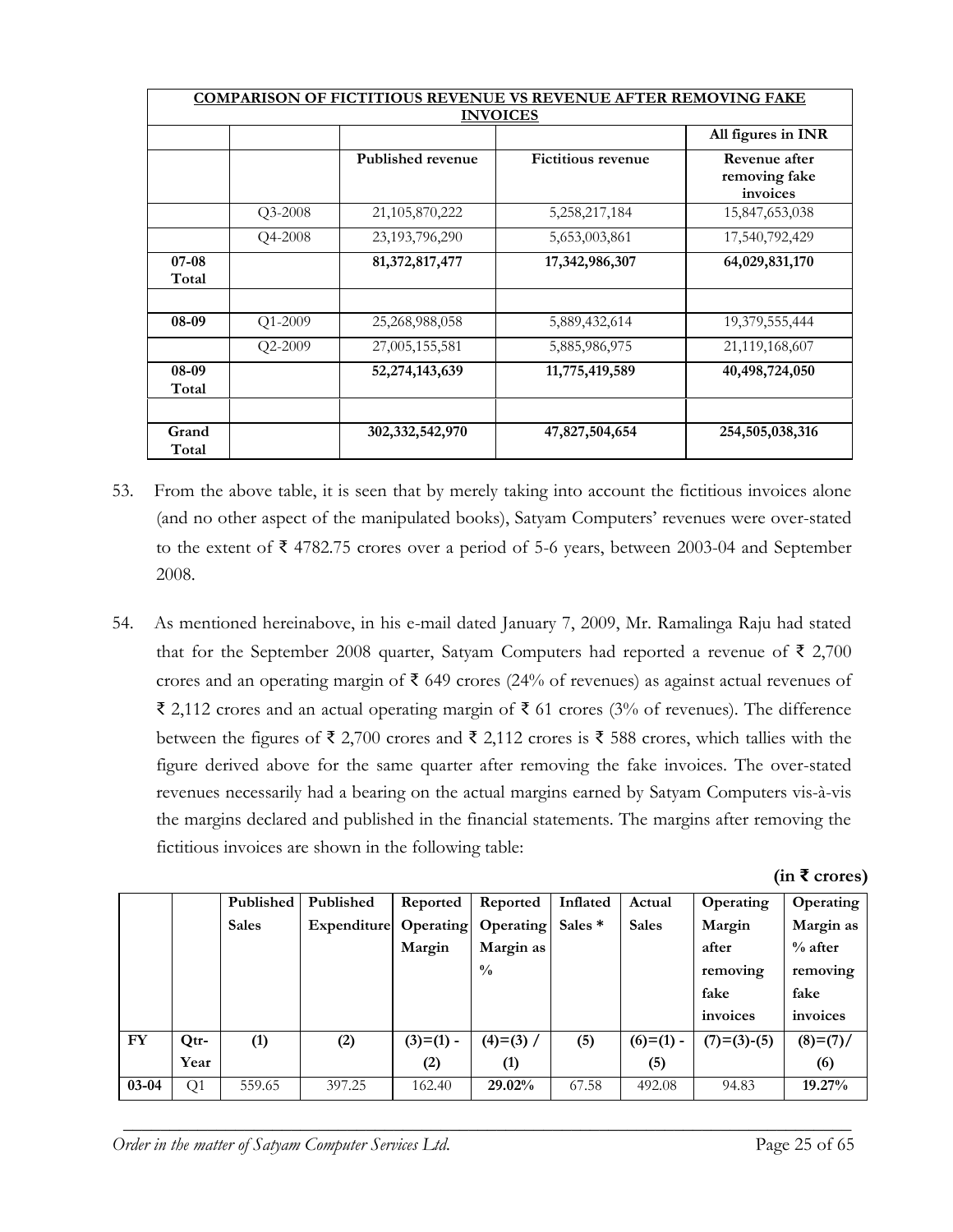|           | <b>COMPARISON OF FICTITIOUS REVENUE VS REVENUE AFTER REMOVING FAKE</b> |                          |                           |                    |  |  |  |  |  |  |
|-----------|------------------------------------------------------------------------|--------------------------|---------------------------|--------------------|--|--|--|--|--|--|
|           | <b>INVOICES</b>                                                        |                          |                           |                    |  |  |  |  |  |  |
|           |                                                                        |                          |                           | All figures in INR |  |  |  |  |  |  |
|           |                                                                        | <b>Published revenue</b> | <b>Fictitious revenue</b> | Revenue after      |  |  |  |  |  |  |
|           |                                                                        |                          |                           | removing fake      |  |  |  |  |  |  |
|           |                                                                        |                          |                           | invoices           |  |  |  |  |  |  |
|           | Q3-2008                                                                | 21,105,870,222           | 5,258,217,184             | 15,847,653,038     |  |  |  |  |  |  |
|           | Q4-2008                                                                | 23,193,796,290           | 5,653,003,861             | 17,540,792,429     |  |  |  |  |  |  |
| $07 - 08$ |                                                                        | 81, 372, 817, 477        | 17,342,986,307            | 64,029,831,170     |  |  |  |  |  |  |
| Total     |                                                                        |                          |                           |                    |  |  |  |  |  |  |
|           |                                                                        |                          |                           |                    |  |  |  |  |  |  |
| 08-09     | $Q1-2009$                                                              | 25,268,988,058           | 5,889,432,614             | 19,379,555,444     |  |  |  |  |  |  |
|           | Q2-2009                                                                | 27,005,155,581           | 5,885,986,975             | 21,119,168,607     |  |  |  |  |  |  |
| 08-09     |                                                                        | 52,274,143,639           | 11,775,419,589            | 40,498,724,050     |  |  |  |  |  |  |
| Total     |                                                                        |                          |                           |                    |  |  |  |  |  |  |
|           |                                                                        |                          |                           |                    |  |  |  |  |  |  |
| Grand     |                                                                        | 302, 332, 542, 970       | 47,827,504,654            | 254,505,038,316    |  |  |  |  |  |  |
| Total     |                                                                        |                          |                           |                    |  |  |  |  |  |  |

53. From the above table, it is seen that by merely taking into account the fictitious invoices alone (and no other aspect of the manipulated books), Satyam Computers" revenues were over-stated to the extent of ₹ 4782.75 crores over a period of 5-6 years, between 2003-04 and September 2008.

54. As mentioned hereinabove, in his e-mail dated January 7, 2009, Mr. Ramalinga Raju had stated that for the September 2008 quarter, Satyam Computers had reported a revenue of  $\bar{\tau}$  2,700 crores and an operating margin of  $\bar{\xi}$  649 crores (24% of revenues) as against actual revenues of ₹ 2,112 crores and an actual operating margin of ₹ 61 crores (3% of revenues). The difference between the figures of ₹ 2,700 crores and ₹ 2,112 crores is ₹ 588 crores, which tallies with the figure derived above for the same quarter after removing the fake invoices. The over-stated revenues necessarily had a bearing on the actual margins earned by Satyam Computers vis-à-vis the margins declared and published in the financial statements. The margins after removing the fictitious invoices are shown in the following table:

**(in ₹ crores)**

|           |                | <b>Published</b> | Published                         | Reported    | Reported    | Inflated  | Actual       | Operating     | Operating   |
|-----------|----------------|------------------|-----------------------------------|-------------|-------------|-----------|--------------|---------------|-------------|
|           |                | <b>Sales</b>     | Expenditure Operating   Operating |             |             | Sales $*$ | <b>Sales</b> | Margin        | Margin as   |
|           |                |                  |                                   | Margin      | Margin as   |           |              | after         | $\%$ after  |
|           |                |                  |                                   |             | $^{0}/_{0}$ |           |              | removing      | removing    |
|           |                |                  |                                   |             |             |           |              | fake          | fake        |
|           |                |                  |                                   |             |             |           |              | invoices      | invoices    |
| FY        | $Qtr-$         | (1)              | (2)                               | $(3)=(1) -$ | $(4)=(3)$ / | (5)       | $(6)=(1)$ -  | $(7)=(3)-(5)$ | $(8)=(7)$ / |
|           | Year           |                  |                                   | (2)         | (1)         |           | (5)          |               | (6)         |
| $03 - 04$ | O <sub>1</sub> | 559.65           | 397.25                            | 162.40      | 29.02%      | 67.58     | 492.08       | 94.83         | 19.27%      |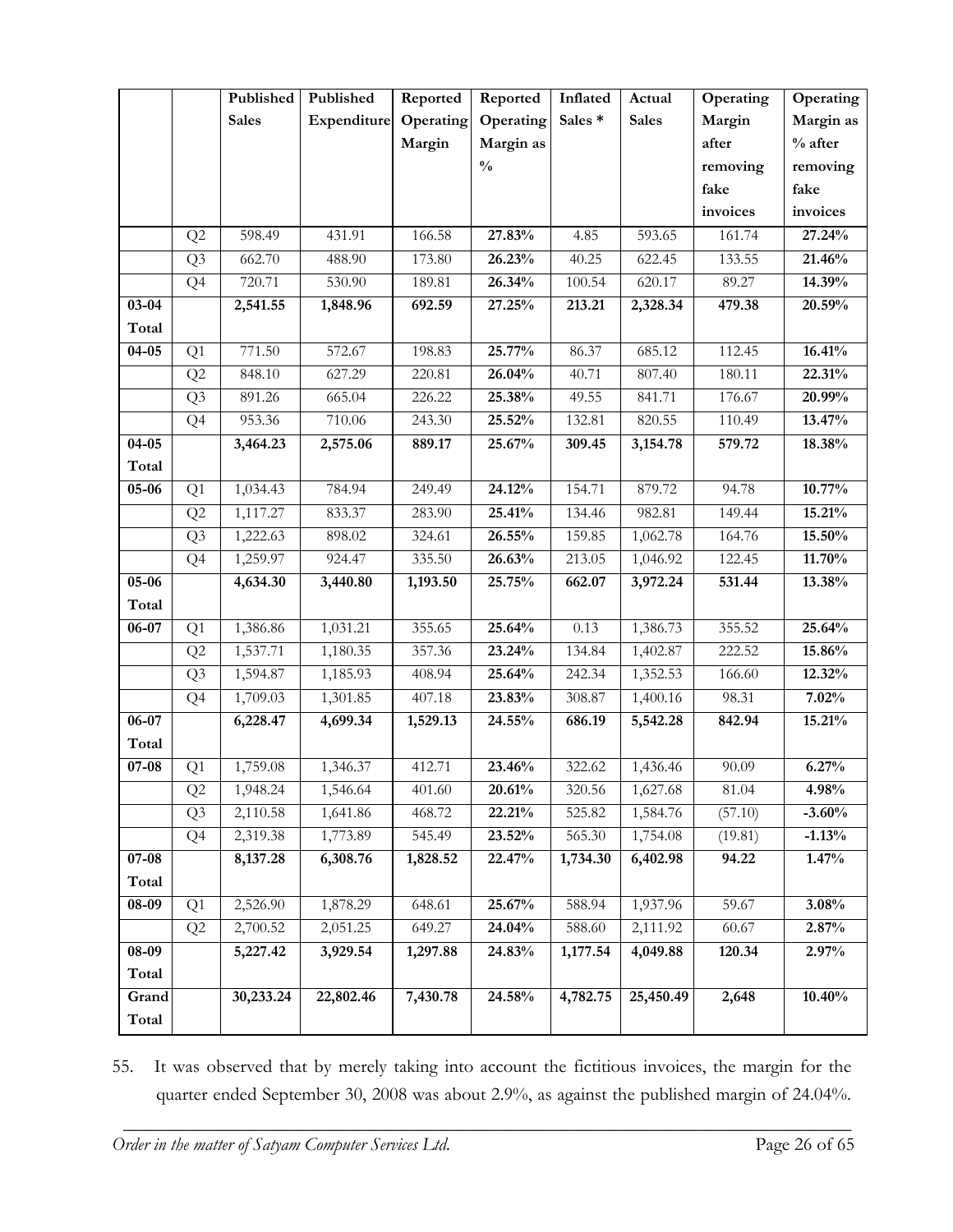|           |                | Published    | Published   | Reported  | Reported      | Inflated | Actual       | Operating | Operating |
|-----------|----------------|--------------|-------------|-----------|---------------|----------|--------------|-----------|-----------|
|           |                | <b>Sales</b> | Expenditure | Operating | Operating     | Sales *  | <b>Sales</b> | Margin    | Margin as |
|           |                |              |             | Margin    | Margin as     |          |              | after     | $%$ after |
|           |                |              |             |           | $\frac{0}{0}$ |          |              | removing  | removing  |
|           |                |              |             |           |               |          |              | fake      | fake      |
|           |                |              |             |           |               |          |              | invoices  | invoices  |
|           | Q2             | 598.49       | 431.91      | 166.58    | 27.83%        | 4.85     | 593.65       | 161.74    | 27.24%    |
|           | Q <sub>3</sub> | 662.70       | 488.90      | 173.80    | 26.23%        | 40.25    | 622.45       | 133.55    | 21.46%    |
|           | Q <sub>4</sub> | 720.71       | 530.90      | 189.81    | 26.34%        | 100.54   | 620.17       | 89.27     | 14.39%    |
| $03 - 04$ |                | 2,541.55     | 1,848.96    | 692.59    | 27.25%        | 213.21   | 2,328.34     | 479.38    | 20.59%    |
| Total     |                |              |             |           |               |          |              |           |           |
| $04 - 05$ | Q1             | 771.50       | 572.67      | 198.83    | 25.77%        | 86.37    | 685.12       | 112.45    | 16.41%    |
|           | Q2             | 848.10       | 627.29      | 220.81    | 26.04%        | 40.71    | 807.40       | 180.11    | 22.31%    |
|           | Q <sub>3</sub> | 891.26       | 665.04      | 226.22    | 25.38%        | 49.55    | 841.71       | 176.67    | 20.99%    |
|           | Q <sub>4</sub> | 953.36       | 710.06      | 243.30    | 25.52%        | 132.81   | 820.55       | 110.49    | 13.47%    |
| $04 - 05$ |                | 3,464.23     | 2,575.06    | 889.17    | 25.67%        | 309.45   | 3,154.78     | 579.72    | 18.38%    |
| Total     |                |              |             |           |               |          |              |           |           |
| 05-06     | Q1             | 1,034.43     | 784.94      | 249.49    | 24.12%        | 154.71   | 879.72       | 94.78     | 10.77%    |
|           | Q2             | 1,117.27     | 833.37      | 283.90    | 25.41%        | 134.46   | 982.81       | 149.44    | 15.21%    |
|           | Q <sub>3</sub> | 1,222.63     | 898.02      | 324.61    | 26.55%        | 159.85   | 1,062.78     | 164.76    | 15.50%    |
|           | Q <sub>4</sub> | 1,259.97     | 924.47      | 335.50    | 26.63%        | 213.05   | 1,046.92     | 122.45    | 11.70%    |
| 05-06     |                | 4,634.30     | 3,440.80    | 1,193.50  | 25.75%        | 662.07   | 3,972.24     | 531.44    | 13.38%    |
| Total     |                |              |             |           |               |          |              |           |           |
| 06-07     | Q1             | 1,386.86     | 1,031.21    | 355.65    | 25.64%        | 0.13     | 1,386.73     | 355.52    | 25.64%    |
|           | Q2             | 1,537.71     | 1,180.35    | 357.36    | 23.24%        | 134.84   | 1,402.87     | 222.52    | 15.86%    |
|           | Q <sub>3</sub> | 1,594.87     | 1,185.93    | 408.94    | 25.64%        | 242.34   | 1,352.53     | 166.60    | 12.32%    |
|           | Q <sub>4</sub> | 1,709.03     | 1,301.85    | 407.18    | 23.83%        | 308.87   | 1,400.16     | 98.31     | 7.02%     |
| 06-07     |                | 6,228.47     | 4,699.34    | 1,529.13  | 24.55%        | 686.19   | 5,542.28     | 842.94    | 15.21%    |
| Total     |                |              |             |           |               |          |              |           |           |
| $07 - 08$ | Q1             | 1,759.08     | 1,346.37    | 412.71    | 23.46%        | 322.62   | 1,436.46     | 90.09     | 6.27%     |
|           | Q2             | 1,948.24     | 1,546.64    | 401.60    | 20.61%        | 320.56   | 1,627.68     | 81.04     | 4.98%     |
|           | Q <sub>3</sub> | 2,110.58     | 1,641.86    | 468.72    | 22.21%        | 525.82   | 1,584.76     | (57.10)   | $-3.60%$  |
|           | Q <sub>4</sub> | 2,319.38     | 1,773.89    | 545.49    | 23.52%        | 565.30   | 1,754.08     | (19.81)   | $-1.13%$  |
| $07 - 08$ |                | 8,137.28     | 6,308.76    | 1,828.52  | 22.47%        | 1,734.30 | 6,402.98     | 94.22     | 1.47%     |
| Total     |                |              |             |           |               |          |              |           |           |
| 08-09     | Q1             | 2,526.90     | 1,878.29    | 648.61    | 25.67%        | 588.94   | 1,937.96     | 59.67     | 3.08%     |
|           | Q2             | 2,700.52     | 2,051.25    | 649.27    | 24.04%        | 588.60   | 2,111.92     | 60.67     | 2.87%     |
| 08-09     |                | 5,227.42     | 3,929.54    | 1,297.88  | 24.83%        | 1,177.54 | 4,049.88     | 120.34    | 2.97%     |
| Total     |                |              |             |           |               |          |              |           |           |
| Grand     |                | 30,233.24    | 22,802.46   | 7,430.78  | 24.58%        | 4,782.75 | 25,450.49    | 2,648     | 10.40%    |
| Total     |                |              |             |           |               |          |              |           |           |

55. It was observed that by merely taking into account the fictitious invoices, the margin for the quarter ended September 30, 2008 was about 2.9%, as against the published margin of 24.04%.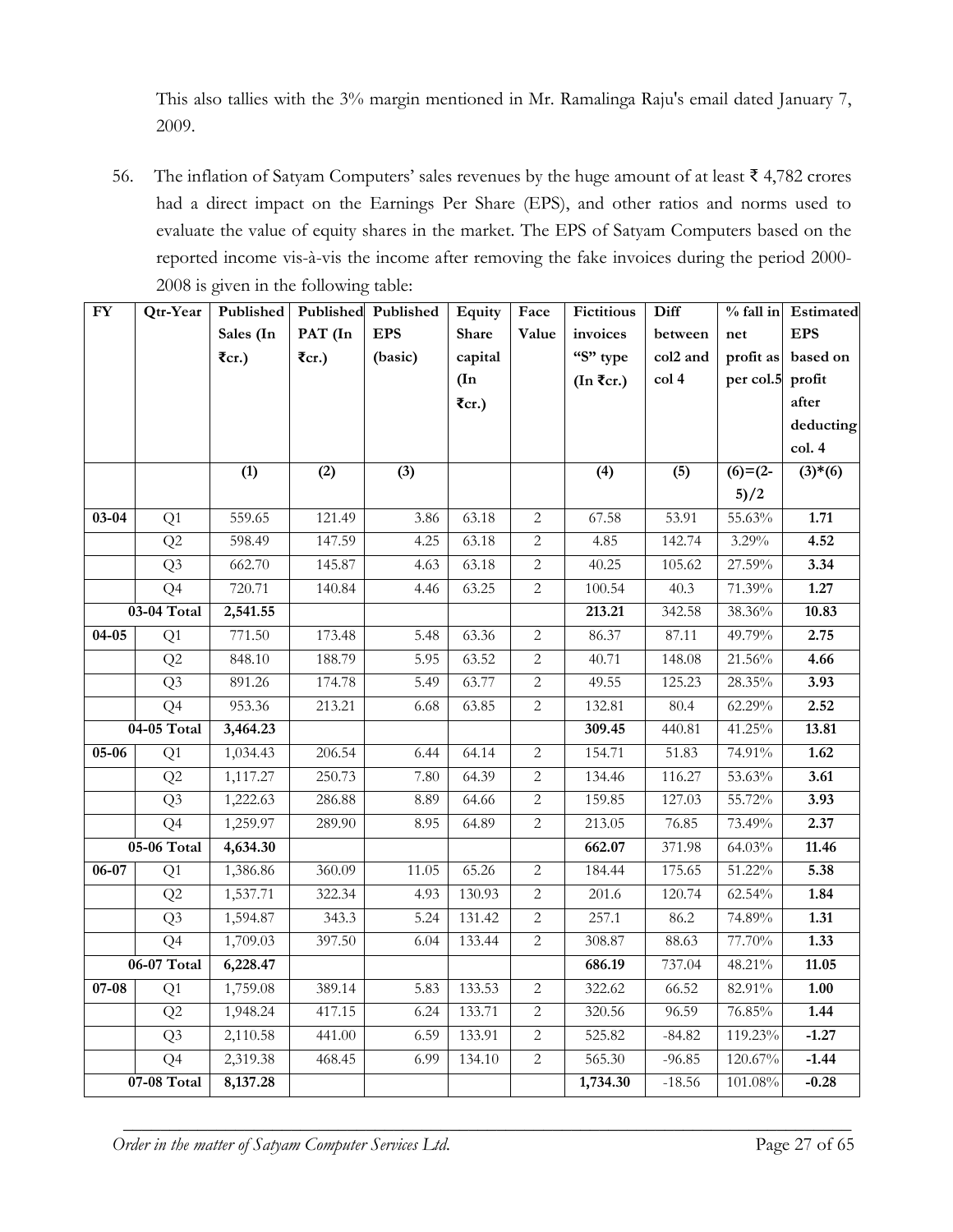This also tallies with the 3% margin mentioned in Mr. Ramalinga Raju's email dated January 7, 2009.

56. The inflation of Satyam Computers" sales revenues by the huge amount of at least ₹ 4,782 crores had a direct impact on the Earnings Per Share (EPS), and other ratios and norms used to evaluate the value of equity shares in the market. The EPS of Satyam Computers based on the reported income vis-à-vis the income after removing the fake invoices during the period 2000- 2008 is given in the following table:

| $\overline{FY}$ | Qtr-Year                 | Published<br>Sales (In<br>₹cr.) | PAT (In<br>₹cr.) | Published Published<br><b>EPS</b><br>(basic) | Equity<br>Share<br>capital<br>(In<br>₹cr.) | Face<br>Value  | <b>Fictitious</b><br>invoices<br>"S" type<br>(In ₹cr.) | Diff<br>between<br>col2 and<br>col 4 | $%$ fall in<br>net<br>profit as<br>per col.5 | Estimated<br><b>EPS</b><br>based on<br>profit<br>after<br>deducting<br>col. 4 |
|-----------------|--------------------------|---------------------------------|------------------|----------------------------------------------|--------------------------------------------|----------------|--------------------------------------------------------|--------------------------------------|----------------------------------------------|-------------------------------------------------------------------------------|
|                 |                          | $\overline{1}$                  | $\overline{(2)}$ | $\overline{(3)}$                             |                                            |                | (4)                                                    | $\overline{(5)}$                     | $\overline{(6)} = (2 -$<br>5)/2              | $(3)*(6)$                                                                     |
| $03 - 04$       | Q1                       | 559.65                          | 121.49           | 3.86                                         | 63.18                                      | $\mathbf{2}$   | 67.58                                                  | 53.91                                | 55.63%                                       | 1.71                                                                          |
|                 | $\overline{Q2}$          | 598.49                          | 147.59           | 4.25                                         | 63.18                                      | $\overline{2}$ | 4.85                                                   | 142.74                               | 3.29%                                        | 4.52                                                                          |
|                 | Q <sub>3</sub>           | 662.70                          | 145.87           | 4.63                                         | 63.18                                      | $\sqrt{2}$     | 40.25                                                  | 105.62                               | 27.59%                                       | 3.34                                                                          |
|                 | Q <sub>4</sub>           | 720.71                          | 140.84           | 4.46                                         | 63.25                                      | $\overline{2}$ | 100.54                                                 | 40.3                                 | 71.39%                                       | 1.27                                                                          |
|                 | 03-04 Total              | 2,541.55                        |                  |                                              |                                            |                | 213.21                                                 | 342.58                               | 38.36%                                       | 10.83                                                                         |
| $04 - 05$       | Q1                       | 771.50                          | 173.48           | 5.48                                         | 63.36                                      | $\overline{2}$ | 86.37                                                  | 87.11                                | 49.79%                                       | 2.75                                                                          |
|                 | Q2                       | 848.10                          | 188.79           | 5.95                                         | 63.52                                      | $\sqrt{2}$     | 40.71                                                  | 148.08                               | 21.56%                                       | 4.66                                                                          |
|                 | Q <sub>3</sub>           | 891.26                          | 174.78           | 5.49                                         | 63.77                                      | $\sqrt{2}$     | 49.55                                                  | 125.23                               | $28.35\%$                                    | 3.93                                                                          |
|                 | Q <sub>4</sub>           | 953.36                          | 213.21           | 6.68                                         | 63.85                                      | $\sqrt{2}$     | 132.81                                                 | 80.4                                 | $62.29\%$                                    | 2.52                                                                          |
|                 | $\overline{04-05}$ Total | 3,464.23                        |                  |                                              |                                            |                | 309.45                                                 | 440.81                               | 41.25%                                       | 13.81                                                                         |
| 05-06           | Q1                       | 1,034.43                        | 206.54           | 6.44                                         | 64.14                                      | $\sqrt{2}$     | 154.71                                                 | 51.83                                | 74.91%                                       | 1.62                                                                          |
|                 | $\overline{Q2}$          | 1,117.27                        | 250.73           | 7.80                                         | 64.39                                      | $\overline{c}$ | 134.46                                                 | 116.27                               | 53.63%                                       | 3.61                                                                          |
|                 | Q <sub>3</sub>           | 1,222.63                        | 286.88           | 8.89                                         | 64.66                                      | $\sqrt{2}$     | 159.85                                                 | 127.03                               | 55.72%                                       | 3.93                                                                          |
|                 | Q <sub>4</sub>           | 1,259.97                        | 289.90           | 8.95                                         | 64.89                                      | $\overline{2}$ | 213.05                                                 | 76.85                                | 73.49%                                       | 2.37                                                                          |
|                 | 05-06 Total              | 4,634.30                        |                  |                                              |                                            |                | 662.07                                                 | 371.98                               | 64.03%                                       | 11.46                                                                         |
| 06-07           | Q1                       | 1,386.86                        | 360.09           | 11.05                                        | 65.26                                      | $\overline{2}$ | 184.44                                                 | 175.65                               | $51.22\%$                                    | 5.38                                                                          |
|                 | Q2                       | 1,537.71                        | 322.34           | 4.93                                         | 130.93                                     | $\sqrt{2}$     | 201.6                                                  | 120.74                               | 62.54%                                       | 1.84                                                                          |
|                 | Q3                       | 1,594.87                        | 343.3            | 5.24                                         | 131.42                                     | $\overline{2}$ | 257.1                                                  | 86.2                                 | 74.89%                                       | 1.31                                                                          |
|                 | Q <sub>4</sub>           | 1,709.03                        | 397.50           | 6.04                                         | 133.44                                     | $\sqrt{2}$     | 308.87                                                 | 88.63                                | 77.70%                                       | 1.33                                                                          |
|                 | 06-07 Total              | 6,228.47                        |                  |                                              |                                            |                | 686.19                                                 | 737.04                               | 48.21%                                       | 11.05                                                                         |
| $07 - 08$       | Q1                       | 1,759.08                        | 389.14           | 5.83                                         | 133.53                                     | $\sqrt{2}$     | 322.62                                                 | 66.52                                | 82.91%                                       | 1.00                                                                          |
|                 | Q2                       | 1,948.24                        | 417.15           | 6.24                                         | 133.71                                     | $\sqrt{2}$     | 320.56                                                 | 96.59                                | $76.85\%$                                    | 1.44                                                                          |
|                 | Q <sub>3</sub>           | 2,110.58                        | 441.00           | 6.59                                         | 133.91                                     | $\sqrt{2}$     | 525.82                                                 | $-84.82$                             | 119.23%                                      | $-1.27$                                                                       |
|                 | Q <sub>4</sub>           | 2,319.38                        | 468.45           | 6.99                                         | 134.10                                     | $\mathbf{2}$   | 565.30                                                 | $-96.85$                             | 120.67%                                      | $-1.44$                                                                       |
|                 | 07-08 Total              | 8,137.28                        |                  |                                              |                                            |                | 1,734.30                                               | $-18.56$                             | 101.08%                                      | $-0.28$                                                                       |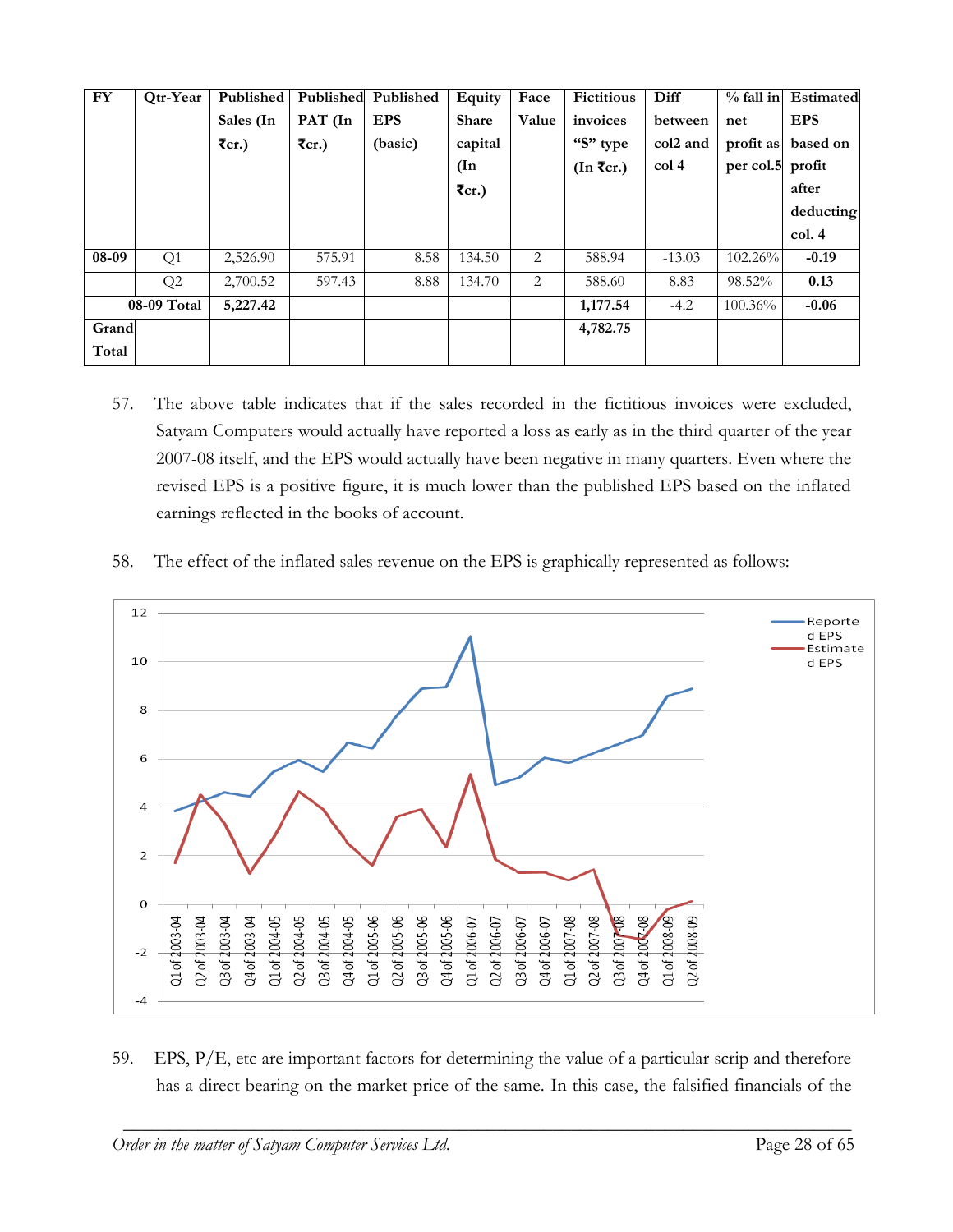| FY    | Otr-Year    | Published | Published | Published  | Equity       | Face  | <b>Fictitious</b>  | Diff     | $%$ fall in      | Estimated  |
|-------|-------------|-----------|-----------|------------|--------------|-------|--------------------|----------|------------------|------------|
|       |             | Sales (In | PAT (In   | <b>EPS</b> | <b>Share</b> | Value | invoices           | between  | net              | <b>EPS</b> |
|       |             | ₹cr.)     | ₹cr.)     | (basic)    | capital      |       | "S" type           | col2 and | profit as        | based on   |
|       |             |           |           |            | (In          |       | $(In \bar{X}$ cr.) | col 4    | per col.5 profit |            |
|       |             |           |           |            | ₹cr.)        |       |                    |          |                  | after      |
|       |             |           |           |            |              |       |                    |          |                  | deducting  |
|       |             |           |           |            |              |       |                    |          |                  | col.4      |
| 08-09 | Q1          | 2,526.90  | 575.91    | 8.58       | 134.50       | 2     | 588.94             | $-13.03$ | 102.26%          | $-0.19$    |
|       | Q2          | 2,700.52  | 597.43    | 8.88       | 134.70       | 2     | 588.60             | 8.83     | 98.52%           | 0.13       |
|       | 08-09 Total | 5,227.42  |           |            |              |       | 1,177.54           | $-4.2$   | $100.36\%$       | $-0.06$    |
| Grand |             |           |           |            |              |       | 4,782.75           |          |                  |            |
| Total |             |           |           |            |              |       |                    |          |                  |            |

- 57. The above table indicates that if the sales recorded in the fictitious invoices were excluded, Satyam Computers would actually have reported a loss as early as in the third quarter of the year 2007-08 itself, and the EPS would actually have been negative in many quarters. Even where the revised EPS is a positive figure, it is much lower than the published EPS based on the inflated earnings reflected in the books of account.
- 58. The effect of the inflated sales revenue on the EPS is graphically represented as follows:



59. EPS, P/E, etc are important factors for determining the value of a particular scrip and therefore has a direct bearing on the market price of the same. In this case, the falsified financials of the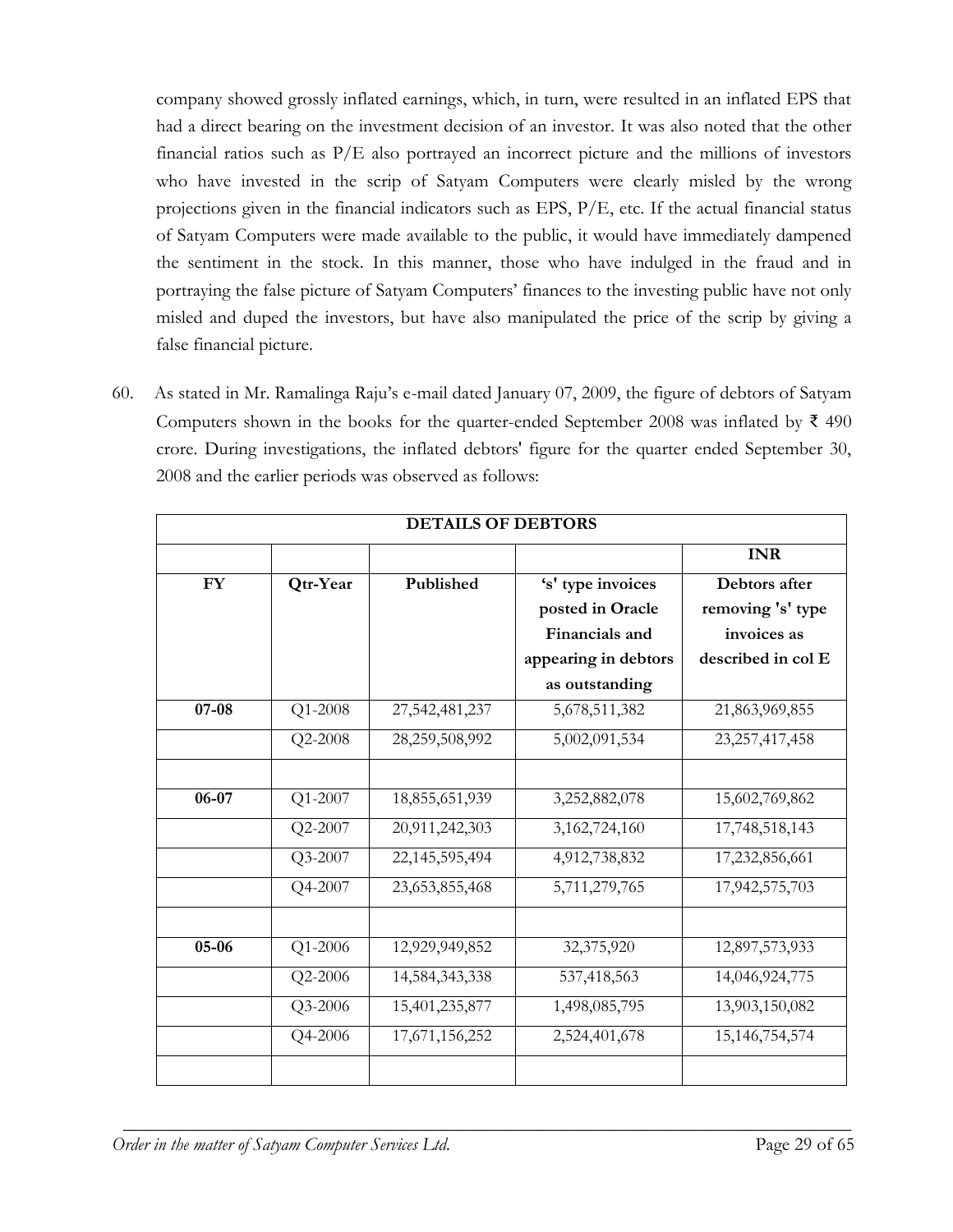company showed grossly inflated earnings, which, in turn, were resulted in an inflated EPS that had a direct bearing on the investment decision of an investor. It was also noted that the other financial ratios such as P/E also portrayed an incorrect picture and the millions of investors who have invested in the scrip of Satyam Computers were clearly misled by the wrong projections given in the financial indicators such as EPS, P/E, etc. If the actual financial status of Satyam Computers were made available to the public, it would have immediately dampened the sentiment in the stock. In this manner, those who have indulged in the fraud and in portraying the false picture of Satyam Computers' finances to the investing public have not only misled and duped the investors, but have also manipulated the price of the scrip by giving a false financial picture.

60. As stated in Mr. Ramalinga Raju"s e-mail dated January 07, 2009, the figure of debtors of Satyam Computers shown in the books for the quarter-ended September 2008 was inflated by ₹ 490 crore. During investigations, the inflated debtors' figure for the quarter ended September 30, 2008 and the earlier periods was observed as follows:

| <b>DETAILS OF DEBTORS</b> |           |                |                      |                    |  |  |  |  |
|---------------------------|-----------|----------------|----------------------|--------------------|--|--|--|--|
|                           |           |                |                      | <b>INR</b>         |  |  |  |  |
| <b>FY</b>                 | Qtr-Year  | Published      | 's' type invoices    | Debtors after      |  |  |  |  |
|                           |           |                | posted in Oracle     | removing 's' type  |  |  |  |  |
|                           |           |                | Financials and       | invoices as        |  |  |  |  |
|                           |           |                | appearing in debtors | described in col E |  |  |  |  |
|                           |           |                | as outstanding       |                    |  |  |  |  |
| $07 - 08$                 | Q1-2008   | 27,542,481,237 | 5,678,511,382        | 21,863,969,855     |  |  |  |  |
|                           | $Q2-2008$ | 28,259,508,992 | 5,002,091,534        | 23, 257, 417, 458  |  |  |  |  |
|                           |           |                |                      |                    |  |  |  |  |
| 06-07                     | Q1-2007   | 18,855,651,939 | 3,252,882,078        | 15,602,769,862     |  |  |  |  |
|                           | Q2-2007   | 20,911,242,303 | 3,162,724,160        | 17,748,518,143     |  |  |  |  |
|                           | Q3-2007   | 22,145,595,494 | 4,912,738,832        | 17,232,856,661     |  |  |  |  |
|                           | Q4-2007   | 23,653,855,468 | 5,711,279,765        | 17,942,575,703     |  |  |  |  |
|                           |           |                |                      |                    |  |  |  |  |
| 05-06                     | Q1-2006   | 12,929,949,852 | 32,375,920           | 12,897,573,933     |  |  |  |  |
|                           | Q2-2006   | 14,584,343,338 | 537,418,563          | 14,046,924,775     |  |  |  |  |
|                           | Q3-2006   | 15,401,235,877 | 1,498,085,795        | 13,903,150,082     |  |  |  |  |
|                           | Q4-2006   | 17,671,156,252 | 2,524,401,678        | 15, 146, 754, 574  |  |  |  |  |
|                           |           |                |                      |                    |  |  |  |  |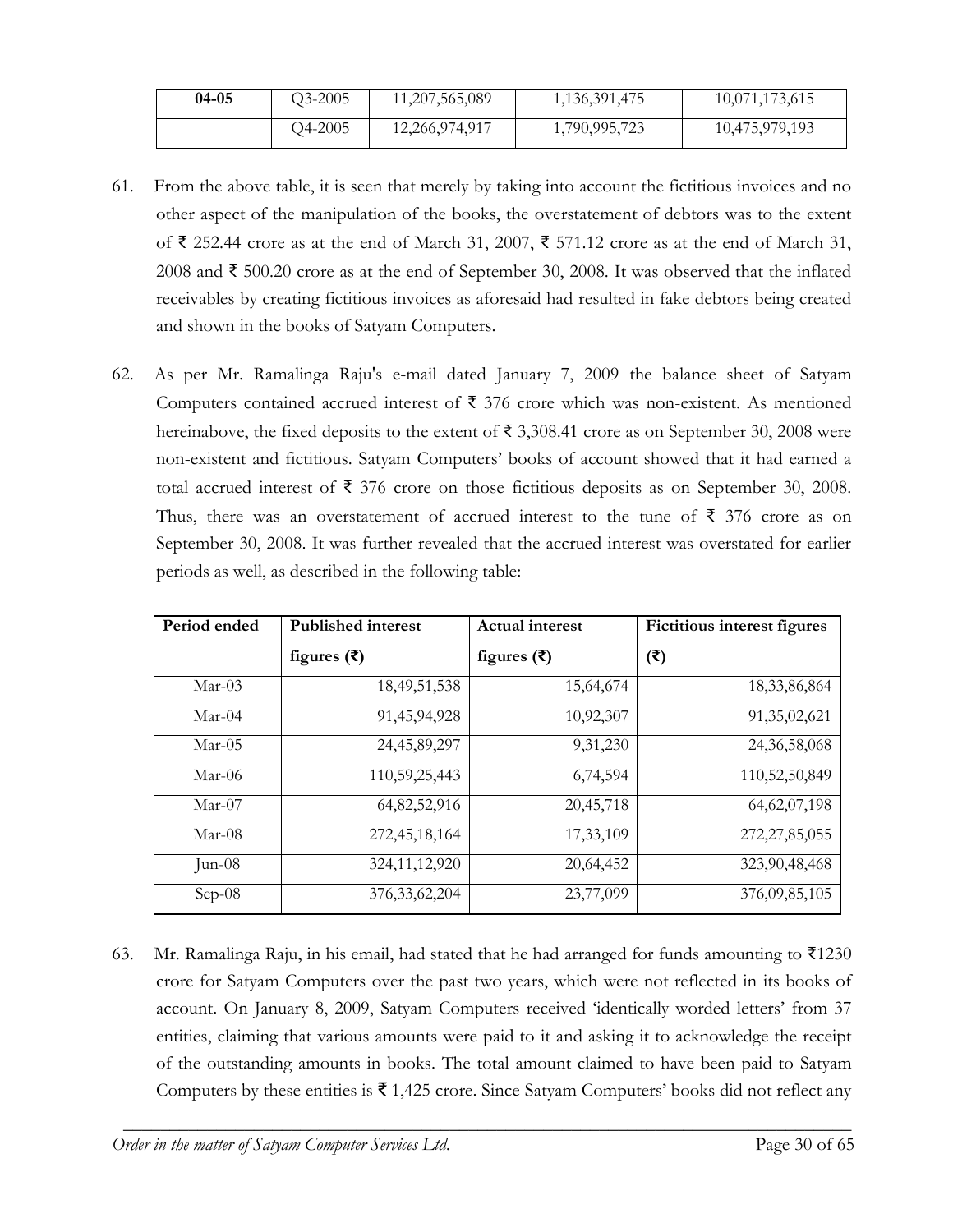| $04 - 05$ | O3-2005 | 11,207,565,089 | 1, 136, 391, 475 | 10,071,173,615 |
|-----------|---------|----------------|------------------|----------------|
|           | O4-2005 | 12,266,974,917 | 1,790,995,723    | 10,475,979,193 |

- 61. From the above table, it is seen that merely by taking into account the fictitious invoices and no other aspect of the manipulation of the books, the overstatement of debtors was to the extent of ₹ 252.44 crore as at the end of March 31, 2007, ₹ 571.12 crore as at the end of March 31, 2008 and ₹ 500.20 crore as at the end of September 30, 2008. It was observed that the inflated receivables by creating fictitious invoices as aforesaid had resulted in fake debtors being created and shown in the books of Satyam Computers.
- 62. As per Mr. Ramalinga Raju's e-mail dated January 7, 2009 the balance sheet of Satyam Computers contained accrued interest of  $\bar{\tau}$  376 crore which was non-existent. As mentioned hereinabove, the fixed deposits to the extent of  $\bar{\xi}$  3,308.41 crore as on September 30, 2008 were non-existent and fictitious. Satyam Computers" books of account showed that it had earned a total accrued interest of  $\bar{\xi}$  376 crore on those fictitious deposits as on September 30, 2008. Thus, there was an overstatement of accrued interest to the tune of  $\bar{\xi}$  376 crore as on September 30, 2008. It was further revealed that the accrued interest was overstated for earlier periods as well, as described in the following table:

| Period ended | <b>Published interest</b>        | <b>Actual interest</b>           | Fictitious interest figures |
|--------------|----------------------------------|----------------------------------|-----------------------------|
|              | figures $(\bar{\mathbf{\zeta}})$ | figures $(\bar{\mathbf{\zeta}})$ | (3)                         |
| $Mar-03$     | 18,49,51,538                     | 15,64,674                        | 18,33,86,864                |
| $Mar-04$     | 91,45,94,928                     | 10,92,307                        | 91,35,02,621                |
| $Mar-05$     | 24,45,89,297                     | 9,31,230                         | 24, 36, 58, 068             |
| $Mar-06$     | 110,59,25,443                    | 6,74,594                         | 110,52,50,849               |
| $Mar-07$     | 64, 82, 52, 916                  | 20,45,718                        | 64, 62, 07, 198             |
| $Mar-08$     | 272,45,18,164                    | 17,33,109                        | 272, 27, 85, 055            |
| $Jun-08$     | 324, 11, 12, 920                 | 20,64,452                        | 323,90,48,468               |
| $Sep-08$     | 376, 33, 62, 204                 | 23,77,099                        | 376,09,85,105               |

63. Mr. Ramalinga Raju, in his email, had stated that he had arranged for funds amounting to ₹1230 crore for Satyam Computers over the past two years, which were not reflected in its books of account. On January 8, 2009, Satyam Computers received "identically worded letters" from 37 entities, claiming that various amounts were paid to it and asking it to acknowledge the receipt of the outstanding amounts in books. The total amount claimed to have been paid to Satyam Computers by these entities is  $\bar{\mathfrak{F}}$  1,425 crore. Since Satyam Computers' books did not reflect any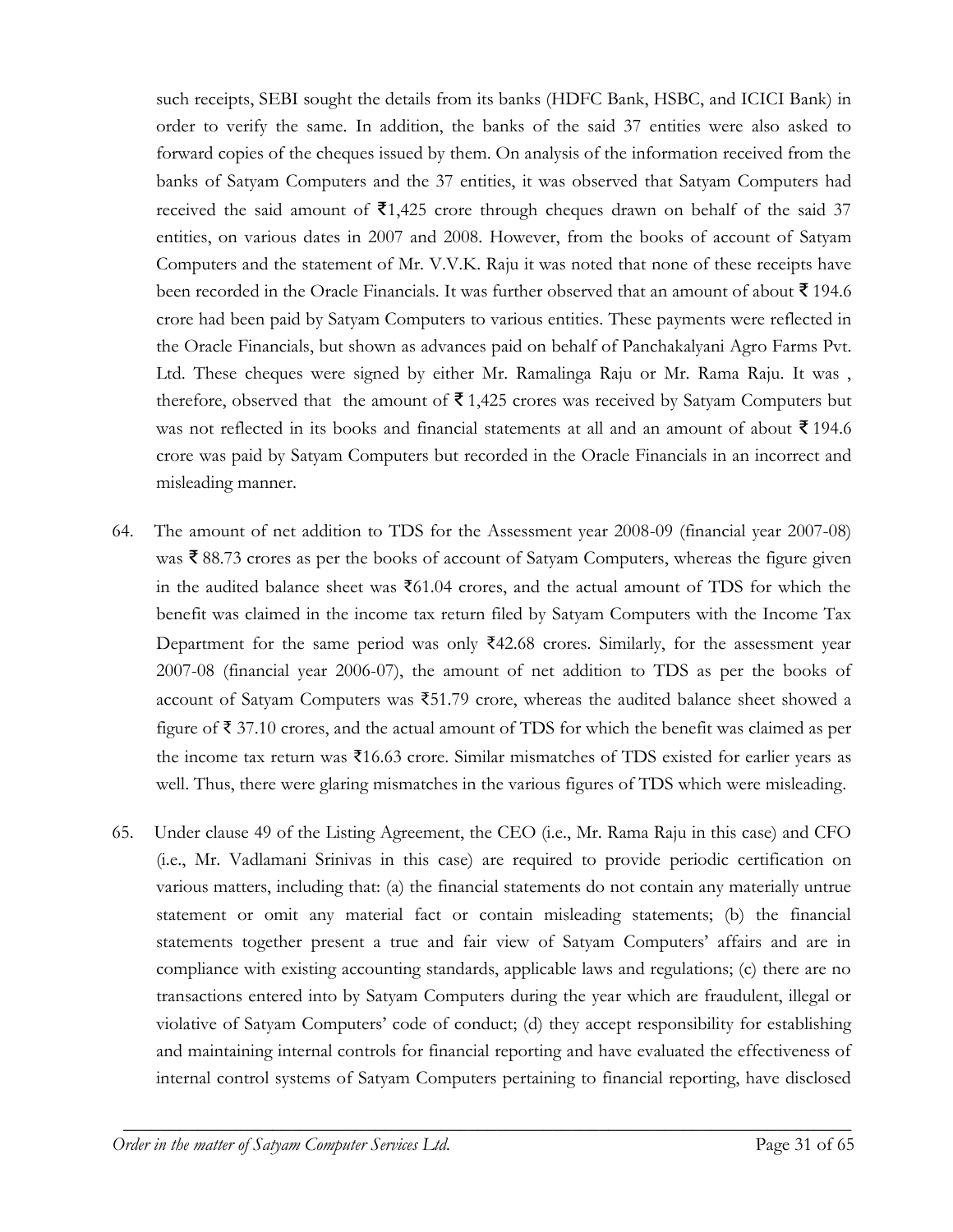such receipts, SEBI sought the details from its banks (HDFC Bank, HSBC, and ICICI Bank) in order to verify the same. In addition, the banks of the said 37 entities were also asked to forward copies of the cheques issued by them. On analysis of the information received from the banks of Satyam Computers and the 37 entities, it was observed that Satyam Computers had received the said amount of  $\bar{\mathbf{z}}$ 1,425 crore through cheques drawn on behalf of the said 37 entities, on various dates in 2007 and 2008. However, from the books of account of Satyam Computers and the statement of Mr. V.V.K. Raju it was noted that none of these receipts have been recorded in the Oracle Financials. It was further observed that an amount of about ₹ 194.6 crore had been paid by Satyam Computers to various entities. These payments were reflected in the Oracle Financials, but shown as advances paid on behalf of Panchakalyani Agro Farms Pvt. Ltd. These cheques were signed by either Mr. Ramalinga Raju or Mr. Rama Raju. It was , therefore, observed that the amount of  $\bar{\mathbf{z}}$  1,425 crores was received by Satyam Computers but was not reflected in its books and financial statements at all and an amount of about ₹ 194.6 crore was paid by Satyam Computers but recorded in the Oracle Financials in an incorrect and misleading manner.

- 64. The amount of net addition to TDS for the Assessment year 2008-09 (financial year 2007-08) was ₹ 88.73 crores as per the books of account of Satyam Computers, whereas the figure given in the audited balance sheet was ₹61.04 crores, and the actual amount of TDS for which the benefit was claimed in the income tax return filed by Satyam Computers with the Income Tax Department for the same period was only ₹42.68 crores. Similarly, for the assessment year 2007-08 (financial year 2006-07), the amount of net addition to TDS as per the books of account of Satyam Computers was ₹51.79 crore, whereas the audited balance sheet showed a figure of ₹ 37.10 crores, and the actual amount of TDS for which the benefit was claimed as per the income tax return was ₹16.63 crore. Similar mismatches of TDS existed for earlier years as well. Thus, there were glaring mismatches in the various figures of TDS which were misleading.
- 65. Under clause 49 of the Listing Agreement, the CEO (i.e., Mr. Rama Raju in this case) and CFO (i.e., Mr. Vadlamani Srinivas in this case) are required to provide periodic certification on various matters, including that: (a) the financial statements do not contain any materially untrue statement or omit any material fact or contain misleading statements; (b) the financial statements together present a true and fair view of Satyam Computers' affairs and are in compliance with existing accounting standards, applicable laws and regulations; (c) there are no transactions entered into by Satyam Computers during the year which are fraudulent, illegal or violative of Satyam Computers' code of conduct; (d) they accept responsibility for establishing and maintaining internal controls for financial reporting and have evaluated the effectiveness of internal control systems of Satyam Computers pertaining to financial reporting, have disclosed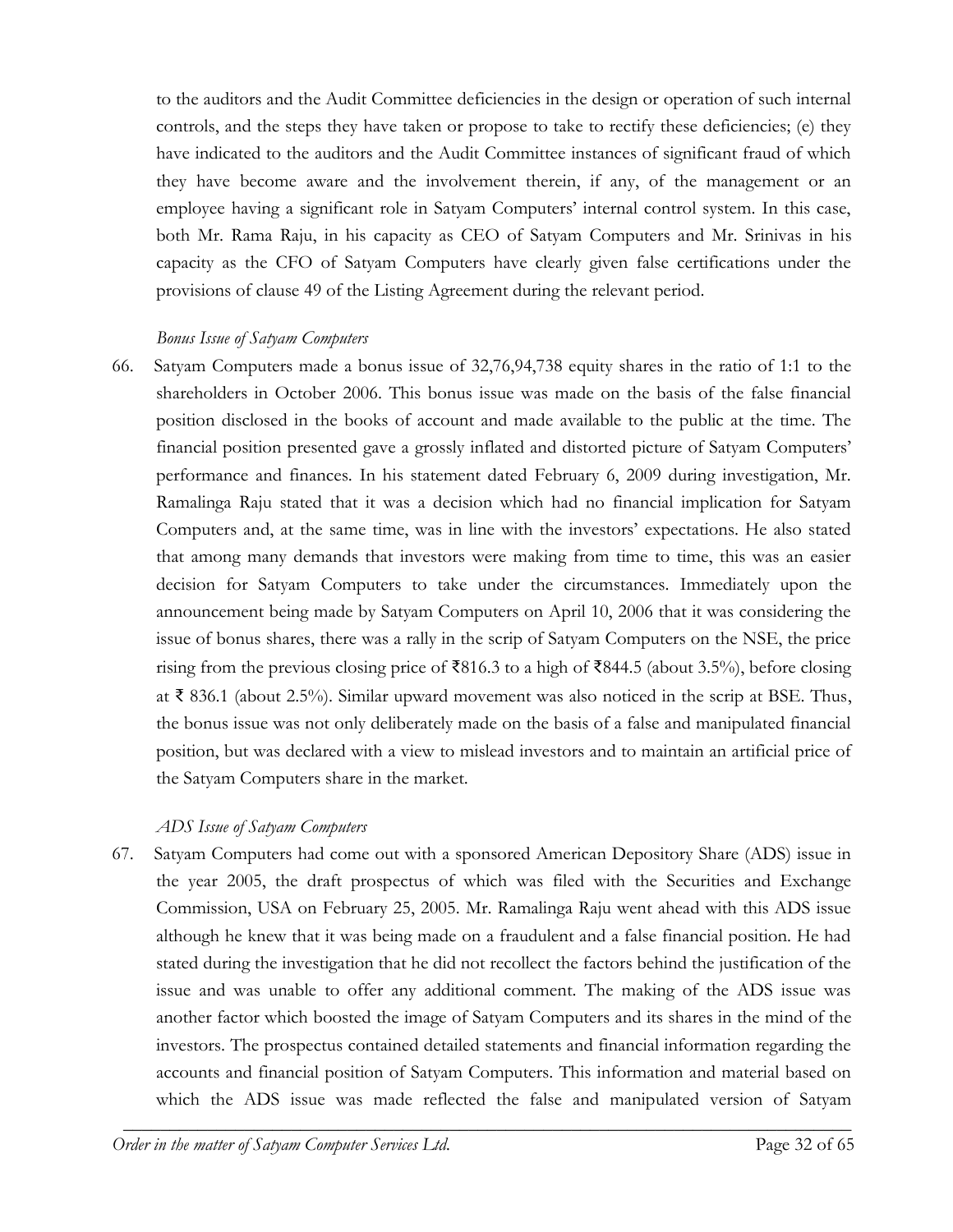to the auditors and the Audit Committee deficiencies in the design or operation of such internal controls, and the steps they have taken or propose to take to rectify these deficiencies; (e) they have indicated to the auditors and the Audit Committee instances of significant fraud of which they have become aware and the involvement therein, if any, of the management or an employee having a significant role in Satyam Computers" internal control system. In this case, both Mr. Rama Raju, in his capacity as CEO of Satyam Computers and Mr. Srinivas in his capacity as the CFO of Satyam Computers have clearly given false certifications under the provisions of clause 49 of the Listing Agreement during the relevant period.

#### *Bonus Issue of Satyam Computers*

66. Satyam Computers made a bonus issue of 32,76,94,738 equity shares in the ratio of 1:1 to the shareholders in October 2006. This bonus issue was made on the basis of the false financial position disclosed in the books of account and made available to the public at the time. The financial position presented gave a grossly inflated and distorted picture of Satyam Computers" performance and finances. In his statement dated February 6, 2009 during investigation, Mr. Ramalinga Raju stated that it was a decision which had no financial implication for Satyam Computers and, at the same time, was in line with the investors" expectations. He also stated that among many demands that investors were making from time to time, this was an easier decision for Satyam Computers to take under the circumstances. Immediately upon the announcement being made by Satyam Computers on April 10, 2006 that it was considering the issue of bonus shares, there was a rally in the scrip of Satyam Computers on the NSE, the price rising from the previous closing price of ₹816.3 to a high of ₹844.5 (about 3.5%), before closing at ₹ 836.1 (about 2.5%). Similar upward movement was also noticed in the scrip at BSE. Thus, the bonus issue was not only deliberately made on the basis of a false and manipulated financial position, but was declared with a view to mislead investors and to maintain an artificial price of the Satyam Computers share in the market.

#### *ADS Issue of Satyam Computers*

67. Satyam Computers had come out with a sponsored American Depository Share (ADS) issue in the year 2005, the draft prospectus of which was filed with the Securities and Exchange Commission, USA on February 25, 2005. Mr. Ramalinga Raju went ahead with this ADS issue although he knew that it was being made on a fraudulent and a false financial position. He had stated during the investigation that he did not recollect the factors behind the justification of the issue and was unable to offer any additional comment. The making of the ADS issue was another factor which boosted the image of Satyam Computers and its shares in the mind of the investors. The prospectus contained detailed statements and financial information regarding the accounts and financial position of Satyam Computers. This information and material based on which the ADS issue was made reflected the false and manipulated version of Satyam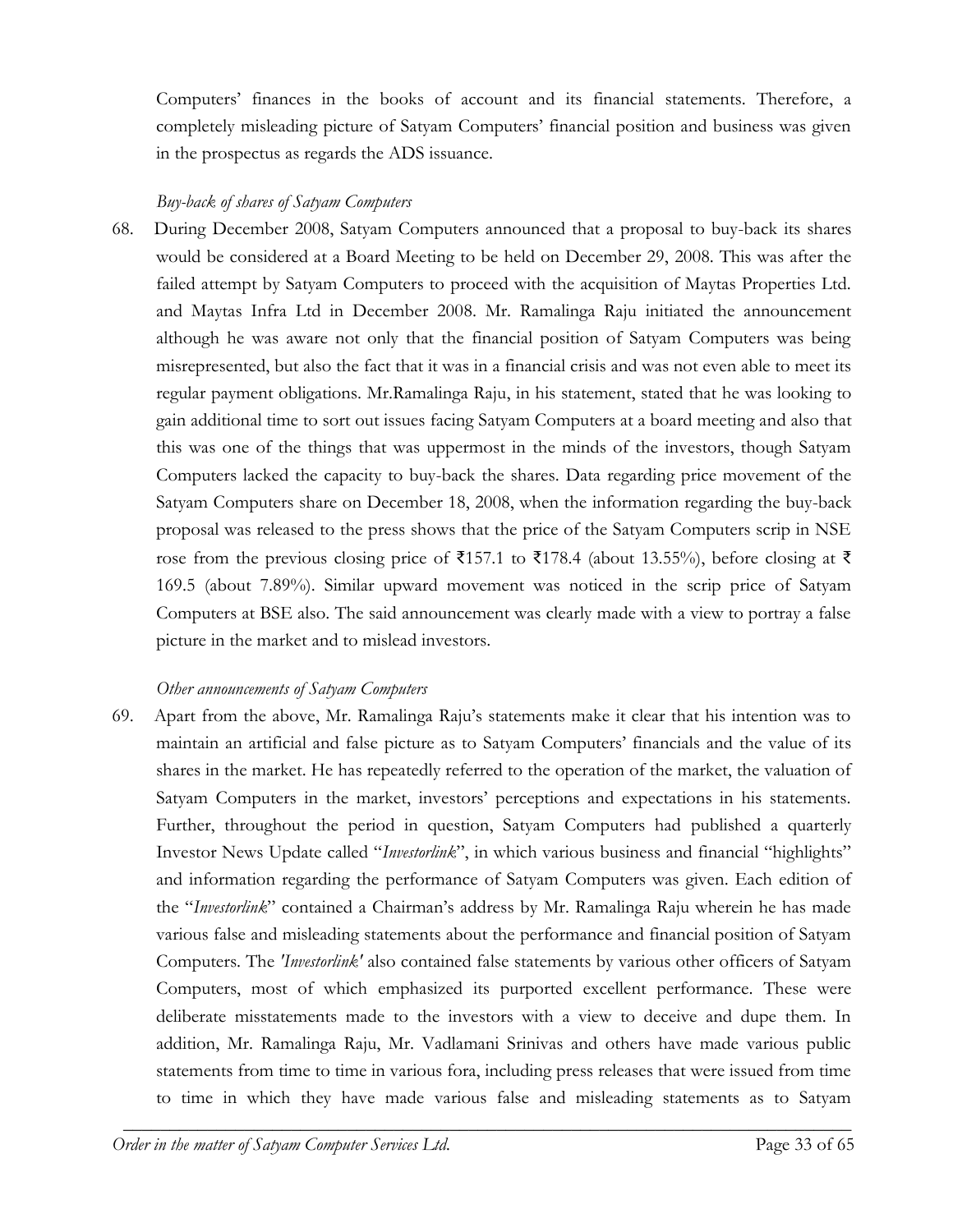Computers" finances in the books of account and its financial statements. Therefore, a completely misleading picture of Satyam Computers" financial position and business was given in the prospectus as regards the ADS issuance.

#### *Buy-back of shares of Satyam Computers*

68. During December 2008, Satyam Computers announced that a proposal to buy-back its shares would be considered at a Board Meeting to be held on December 29, 2008. This was after the failed attempt by Satyam Computers to proceed with the acquisition of Maytas Properties Ltd. and Maytas Infra Ltd in December 2008. Mr. Ramalinga Raju initiated the announcement although he was aware not only that the financial position of Satyam Computers was being misrepresented, but also the fact that it was in a financial crisis and was not even able to meet its regular payment obligations. Mr.Ramalinga Raju, in his statement, stated that he was looking to gain additional time to sort out issues facing Satyam Computers at a board meeting and also that this was one of the things that was uppermost in the minds of the investors, though Satyam Computers lacked the capacity to buy-back the shares. Data regarding price movement of the Satyam Computers share on December 18, 2008, when the information regarding the buy-back proposal was released to the press shows that the price of the Satyam Computers scrip in NSE rose from the previous closing price of ₹157.1 to ₹178.4 (about 13.55%), before closing at ₹ 169.5 (about 7.89%). Similar upward movement was noticed in the scrip price of Satyam Computers at BSE also. The said announcement was clearly made with a view to portray a false picture in the market and to mislead investors.

#### *Other announcements of Satyam Computers*

69. Apart from the above, Mr. Ramalinga Raju"s statements make it clear that his intention was to maintain an artificial and false picture as to Satyam Computers' financials and the value of its shares in the market. He has repeatedly referred to the operation of the market, the valuation of Satyam Computers in the market, investors" perceptions and expectations in his statements. Further, throughout the period in question, Satyam Computers had published a quarterly Investor News Update called "*Investorlink*", in which various business and financial "highlights" and information regarding the performance of Satyam Computers was given. Each edition of the "*Investorlink*" contained a Chairman"s address by Mr. Ramalinga Raju wherein he has made various false and misleading statements about the performance and financial position of Satyam Computers. The *'Investorlink'* also contained false statements by various other officers of Satyam Computers, most of which emphasized its purported excellent performance. These were deliberate misstatements made to the investors with a view to deceive and dupe them. In addition, Mr. Ramalinga Raju, Mr. Vadlamani Srinivas and others have made various public statements from time to time in various fora, including press releases that were issued from time to time in which they have made various false and misleading statements as to Satyam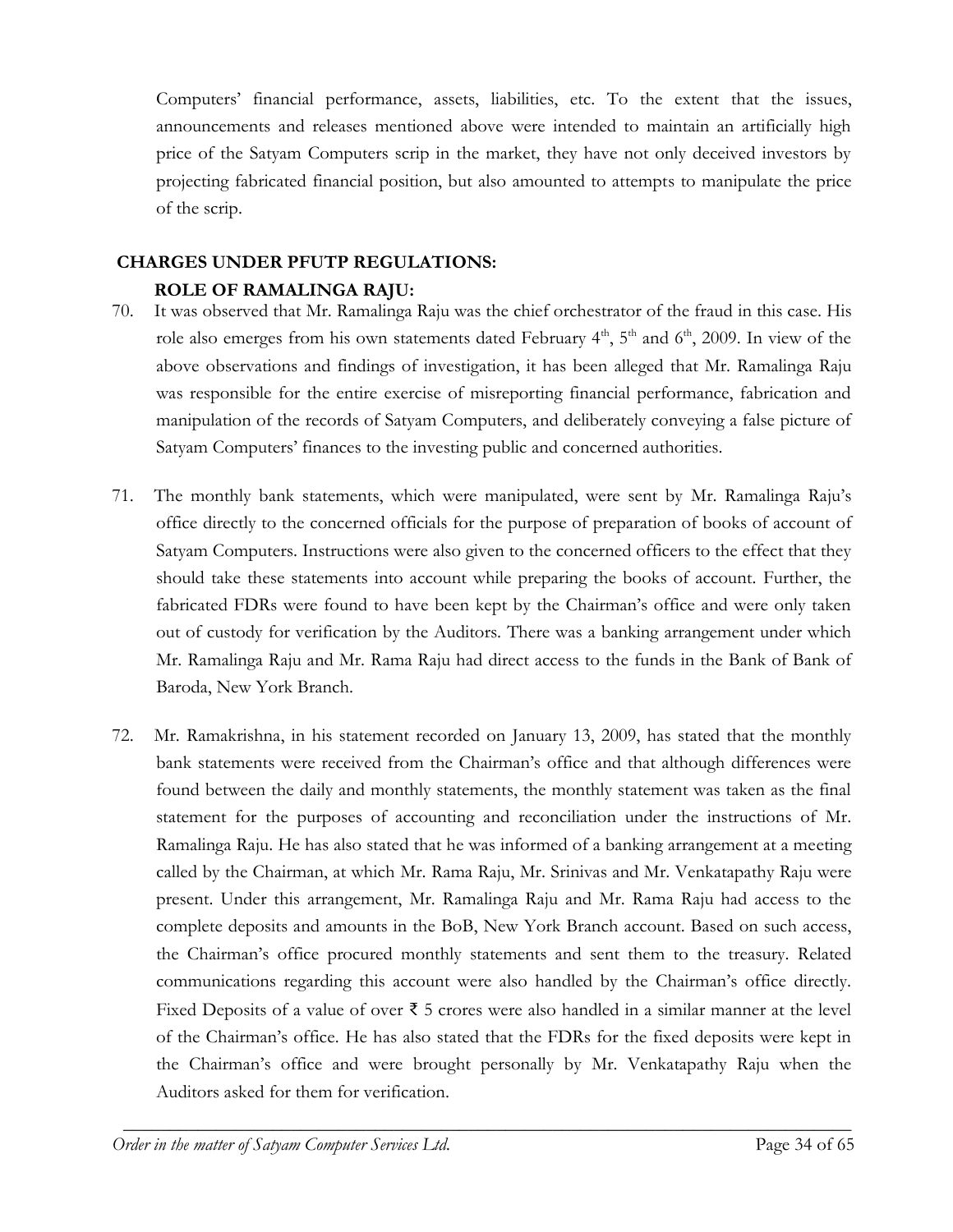Computers" financial performance, assets, liabilities, etc. To the extent that the issues, announcements and releases mentioned above were intended to maintain an artificially high price of the Satyam Computers scrip in the market, they have not only deceived investors by projecting fabricated financial position, but also amounted to attempts to manipulate the price of the scrip.

# **CHARGES UNDER PFUTP REGULATIONS: ROLE OF RAMALINGA RAJU:**

- 70. It was observed that Mr. Ramalinga Raju was the chief orchestrator of the fraud in this case. His role also emerges from his own statements dated February  $4<sup>th</sup>$ ,  $5<sup>th</sup>$  and  $6<sup>th</sup>$ , 2009. In view of the above observations and findings of investigation, it has been alleged that Mr. Ramalinga Raju was responsible for the entire exercise of misreporting financial performance, fabrication and manipulation of the records of Satyam Computers, and deliberately conveying a false picture of Satyam Computers' finances to the investing public and concerned authorities.
- 71. The monthly bank statements, which were manipulated, were sent by Mr. Ramalinga Raju"s office directly to the concerned officials for the purpose of preparation of books of account of Satyam Computers. Instructions were also given to the concerned officers to the effect that they should take these statements into account while preparing the books of account. Further, the fabricated FDRs were found to have been kept by the Chairman's office and were only taken out of custody for verification by the Auditors. There was a banking arrangement under which Mr. Ramalinga Raju and Mr. Rama Raju had direct access to the funds in the Bank of Bank of Baroda, New York Branch.
- 72. Mr. Ramakrishna, in his statement recorded on January 13, 2009, has stated that the monthly bank statements were received from the Chairman"s office and that although differences were found between the daily and monthly statements, the monthly statement was taken as the final statement for the purposes of accounting and reconciliation under the instructions of Mr. Ramalinga Raju. He has also stated that he was informed of a banking arrangement at a meeting called by the Chairman, at which Mr. Rama Raju, Mr. Srinivas and Mr. Venkatapathy Raju were present. Under this arrangement, Mr. Ramalinga Raju and Mr. Rama Raju had access to the complete deposits and amounts in the BoB, New York Branch account. Based on such access, the Chairman's office procured monthly statements and sent them to the treasury. Related communications regarding this account were also handled by the Chairman"s office directly. Fixed Deposits of a value of over  $\bar{\xi}$  5 crores were also handled in a similar manner at the level of the Chairman"s office. He has also stated that the FDRs for the fixed deposits were kept in the Chairman"s office and were brought personally by Mr. Venkatapathy Raju when the Auditors asked for them for verification.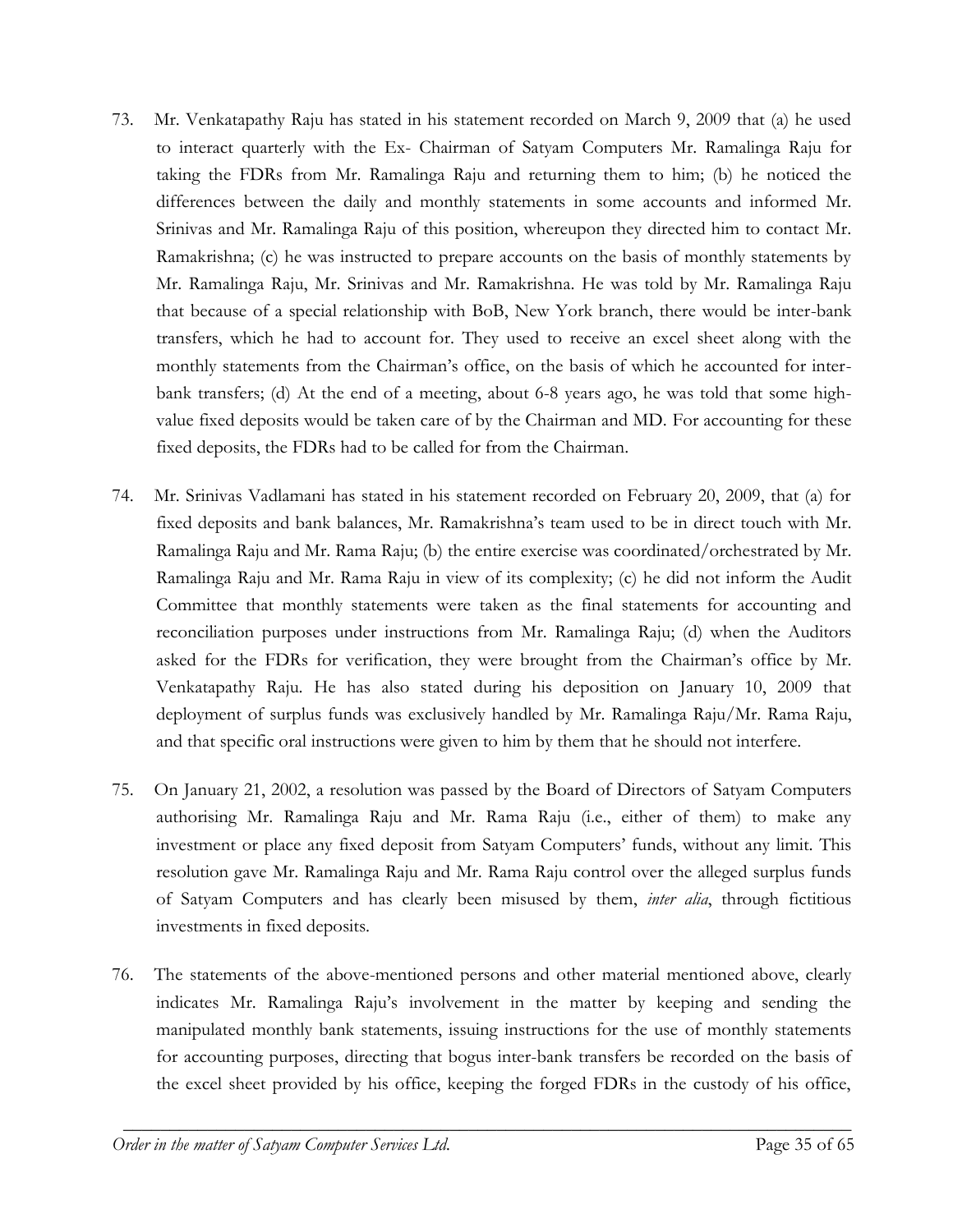- 73. Mr. Venkatapathy Raju has stated in his statement recorded on March 9, 2009 that (a) he used to interact quarterly with the Ex- Chairman of Satyam Computers Mr. Ramalinga Raju for taking the FDRs from Mr. Ramalinga Raju and returning them to him; (b) he noticed the differences between the daily and monthly statements in some accounts and informed Mr. Srinivas and Mr. Ramalinga Raju of this position, whereupon they directed him to contact Mr. Ramakrishna; (c) he was instructed to prepare accounts on the basis of monthly statements by Mr. Ramalinga Raju, Mr. Srinivas and Mr. Ramakrishna. He was told by Mr. Ramalinga Raju that because of a special relationship with BoB, New York branch, there would be inter-bank transfers, which he had to account for. They used to receive an excel sheet along with the monthly statements from the Chairman"s office, on the basis of which he accounted for interbank transfers; (d) At the end of a meeting, about 6-8 years ago, he was told that some highvalue fixed deposits would be taken care of by the Chairman and MD. For accounting for these fixed deposits, the FDRs had to be called for from the Chairman.
- 74. Mr. Srinivas Vadlamani has stated in his statement recorded on February 20, 2009, that (a) for fixed deposits and bank balances, Mr. Ramakrishna"s team used to be in direct touch with Mr. Ramalinga Raju and Mr. Rama Raju; (b) the entire exercise was coordinated/orchestrated by Mr. Ramalinga Raju and Mr. Rama Raju in view of its complexity; (c) he did not inform the Audit Committee that monthly statements were taken as the final statements for accounting and reconciliation purposes under instructions from Mr. Ramalinga Raju; (d) when the Auditors asked for the FDRs for verification, they were brought from the Chairman"s office by Mr. Venkatapathy Raju. He has also stated during his deposition on January 10, 2009 that deployment of surplus funds was exclusively handled by Mr. Ramalinga Raju/Mr. Rama Raju, and that specific oral instructions were given to him by them that he should not interfere.
- 75. On January 21, 2002, a resolution was passed by the Board of Directors of Satyam Computers authorising Mr. Ramalinga Raju and Mr. Rama Raju (i.e., either of them) to make any investment or place any fixed deposit from Satyam Computers" funds, without any limit. This resolution gave Mr. Ramalinga Raju and Mr. Rama Raju control over the alleged surplus funds of Satyam Computers and has clearly been misused by them, *inter alia*, through fictitious investments in fixed deposits.
- 76. The statements of the above-mentioned persons and other material mentioned above, clearly indicates Mr. Ramalinga Raju"s involvement in the matter by keeping and sending the manipulated monthly bank statements, issuing instructions for the use of monthly statements for accounting purposes, directing that bogus inter-bank transfers be recorded on the basis of the excel sheet provided by his office, keeping the forged FDRs in the custody of his office,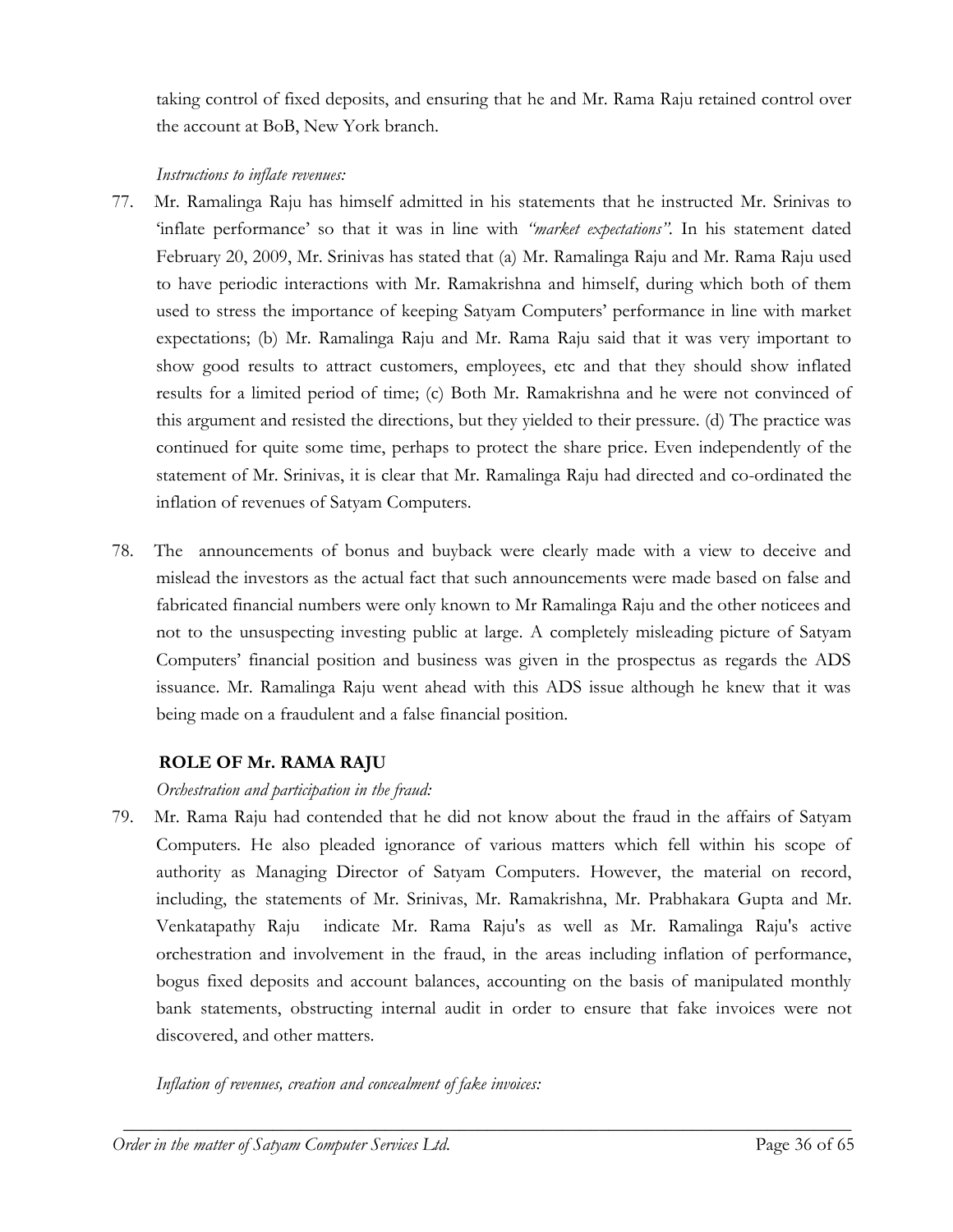taking control of fixed deposits, and ensuring that he and Mr. Rama Raju retained control over the account at BoB, New York branch.

#### *Instructions to inflate revenues:*

- 77. Mr. Ramalinga Raju has himself admitted in his statements that he instructed Mr. Srinivas to "inflate performance" so that it was in line with *"market expectations".* In his statement dated February 20, 2009, Mr. Srinivas has stated that (a) Mr. Ramalinga Raju and Mr. Rama Raju used to have periodic interactions with Mr. Ramakrishna and himself, during which both of them used to stress the importance of keeping Satyam Computers" performance in line with market expectations; (b) Mr. Ramalinga Raju and Mr. Rama Raju said that it was very important to show good results to attract customers, employees, etc and that they should show inflated results for a limited period of time; (c) Both Mr. Ramakrishna and he were not convinced of this argument and resisted the directions, but they yielded to their pressure. (d) The practice was continued for quite some time, perhaps to protect the share price. Even independently of the statement of Mr. Srinivas, it is clear that Mr. Ramalinga Raju had directed and co-ordinated the inflation of revenues of Satyam Computers.
- 78. The announcements of bonus and buyback were clearly made with a view to deceive and mislead the investors as the actual fact that such announcements were made based on false and fabricated financial numbers were only known to Mr Ramalinga Raju and the other noticees and not to the unsuspecting investing public at large. A completely misleading picture of Satyam Computers" financial position and business was given in the prospectus as regards the ADS issuance. Mr. Ramalinga Raju went ahead with this ADS issue although he knew that it was being made on a fraudulent and a false financial position.

# **ROLE OF Mr. RAMA RAJU**

#### *Orchestration and participation in the fraud:*

79. Mr. Rama Raju had contended that he did not know about the fraud in the affairs of Satyam Computers. He also pleaded ignorance of various matters which fell within his scope of authority as Managing Director of Satyam Computers. However, the material on record, including, the statements of Mr. Srinivas, Mr. Ramakrishna, Mr. Prabhakara Gupta and Mr. Venkatapathy Raju indicate Mr. Rama Raju's as well as Mr. Ramalinga Raju's active orchestration and involvement in the fraud, in the areas including inflation of performance, bogus fixed deposits and account balances, accounting on the basis of manipulated monthly bank statements, obstructing internal audit in order to ensure that fake invoices were not discovered, and other matters.

*\_\_\_\_\_\_\_\_\_\_\_\_\_\_\_\_\_\_\_\_\_\_\_\_\_\_\_\_\_\_\_\_\_\_\_\_\_\_\_\_\_\_\_\_\_\_\_\_\_\_\_\_\_\_\_\_\_\_\_\_\_\_\_\_\_\_\_\_\_\_\_\_\_\_\_\_\_\_*

*Inflation of revenues, creation and concealment of fake invoices:*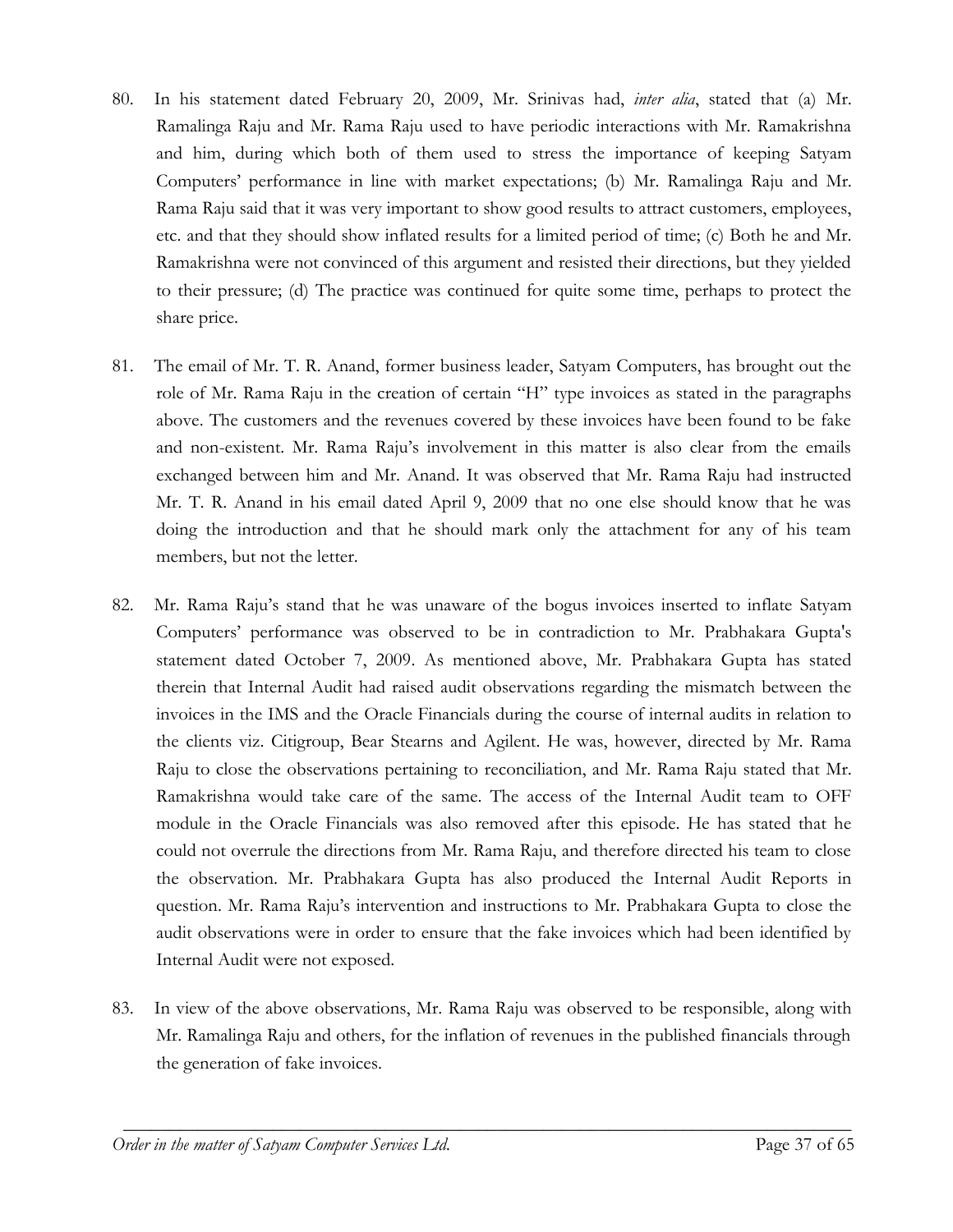- 80. In his statement dated February 20, 2009, Mr. Srinivas had, *inter alia*, stated that (a) Mr. Ramalinga Raju and Mr. Rama Raju used to have periodic interactions with Mr. Ramakrishna and him, during which both of them used to stress the importance of keeping Satyam Computers" performance in line with market expectations; (b) Mr. Ramalinga Raju and Mr. Rama Raju said that it was very important to show good results to attract customers, employees, etc. and that they should show inflated results for a limited period of time; (c) Both he and Mr. Ramakrishna were not convinced of this argument and resisted their directions, but they yielded to their pressure; (d) The practice was continued for quite some time, perhaps to protect the share price.
- 81. The email of Mr. T. R. Anand, former business leader, Satyam Computers, has brought out the role of Mr. Rama Raju in the creation of certain "H" type invoices as stated in the paragraphs above. The customers and the revenues covered by these invoices have been found to be fake and non-existent. Mr. Rama Raju"s involvement in this matter is also clear from the emails exchanged between him and Mr. Anand. It was observed that Mr. Rama Raju had instructed Mr. T. R. Anand in his email dated April 9, 2009 that no one else should know that he was doing the introduction and that he should mark only the attachment for any of his team members, but not the letter.
- 82. Mr. Rama Raju"s stand that he was unaware of the bogus invoices inserted to inflate Satyam Computers" performance was observed to be in contradiction to Mr. Prabhakara Gupta's statement dated October 7, 2009. As mentioned above, Mr. Prabhakara Gupta has stated therein that Internal Audit had raised audit observations regarding the mismatch between the invoices in the IMS and the Oracle Financials during the course of internal audits in relation to the clients viz. Citigroup, Bear Stearns and Agilent. He was, however, directed by Mr. Rama Raju to close the observations pertaining to reconciliation, and Mr. Rama Raju stated that Mr. Ramakrishna would take care of the same. The access of the Internal Audit team to OFF module in the Oracle Financials was also removed after this episode. He has stated that he could not overrule the directions from Mr. Rama Raju, and therefore directed his team to close the observation. Mr. Prabhakara Gupta has also produced the Internal Audit Reports in question. Mr. Rama Raju"s intervention and instructions to Mr. Prabhakara Gupta to close the audit observations were in order to ensure that the fake invoices which had been identified by Internal Audit were not exposed.
- 83. In view of the above observations, Mr. Rama Raju was observed to be responsible, along with Mr. Ramalinga Raju and others, for the inflation of revenues in the published financials through the generation of fake invoices.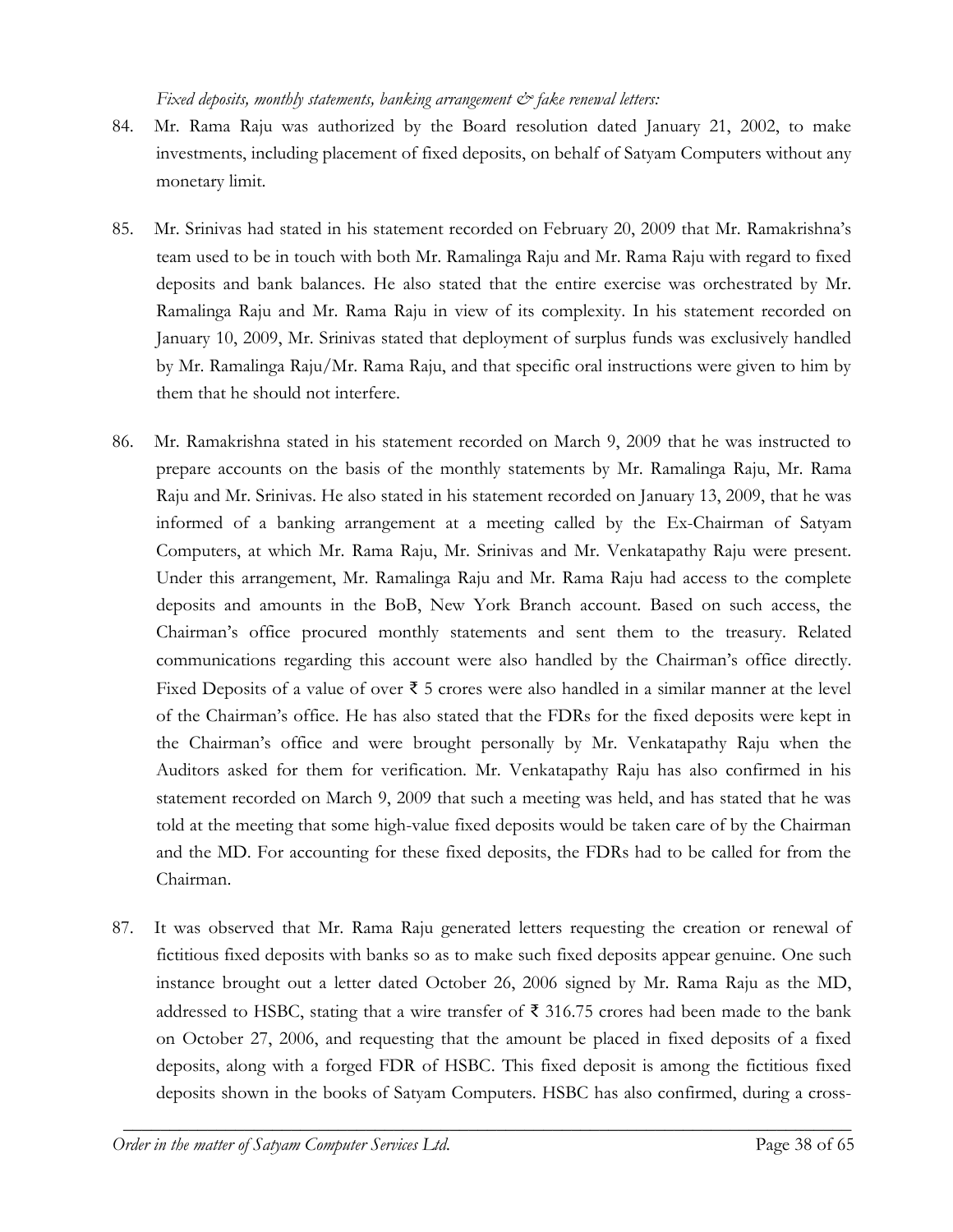*Fixed deposits, monthly statements, banking arrangement*  $\mathcal{O}^*$  *fake renewal letters:* 

- 84. Mr. Rama Raju was authorized by the Board resolution dated January 21, 2002, to make investments, including placement of fixed deposits, on behalf of Satyam Computers without any monetary limit.
- 85. Mr. Srinivas had stated in his statement recorded on February 20, 2009 that Mr. Ramakrishna"s team used to be in touch with both Mr. Ramalinga Raju and Mr. Rama Raju with regard to fixed deposits and bank balances. He also stated that the entire exercise was orchestrated by Mr. Ramalinga Raju and Mr. Rama Raju in view of its complexity. In his statement recorded on January 10, 2009, Mr. Srinivas stated that deployment of surplus funds was exclusively handled by Mr. Ramalinga Raju/Mr. Rama Raju, and that specific oral instructions were given to him by them that he should not interfere.
- 86. Mr. Ramakrishna stated in his statement recorded on March 9, 2009 that he was instructed to prepare accounts on the basis of the monthly statements by Mr. Ramalinga Raju, Mr. Rama Raju and Mr. Srinivas. He also stated in his statement recorded on January 13, 2009, that he was informed of a banking arrangement at a meeting called by the Ex-Chairman of Satyam Computers, at which Mr. Rama Raju, Mr. Srinivas and Mr. Venkatapathy Raju were present. Under this arrangement, Mr. Ramalinga Raju and Mr. Rama Raju had access to the complete deposits and amounts in the BoB, New York Branch account. Based on such access, the Chairman"s office procured monthly statements and sent them to the treasury. Related communications regarding this account were also handled by the Chairman"s office directly. Fixed Deposits of a value of over  $\bar{\xi}$  5 crores were also handled in a similar manner at the level of the Chairman"s office. He has also stated that the FDRs for the fixed deposits were kept in the Chairman"s office and were brought personally by Mr. Venkatapathy Raju when the Auditors asked for them for verification. Mr. Venkatapathy Raju has also confirmed in his statement recorded on March 9, 2009 that such a meeting was held, and has stated that he was told at the meeting that some high-value fixed deposits would be taken care of by the Chairman and the MD. For accounting for these fixed deposits, the FDRs had to be called for from the Chairman.
- 87. It was observed that Mr. Rama Raju generated letters requesting the creation or renewal of fictitious fixed deposits with banks so as to make such fixed deposits appear genuine. One such instance brought out a letter dated October 26, 2006 signed by Mr. Rama Raju as the MD, addressed to HSBC, stating that a wire transfer of ₹ 316.75 crores had been made to the bank on October 27, 2006, and requesting that the amount be placed in fixed deposits of a fixed deposits, along with a forged FDR of HSBC. This fixed deposit is among the fictitious fixed deposits shown in the books of Satyam Computers. HSBC has also confirmed, during a cross-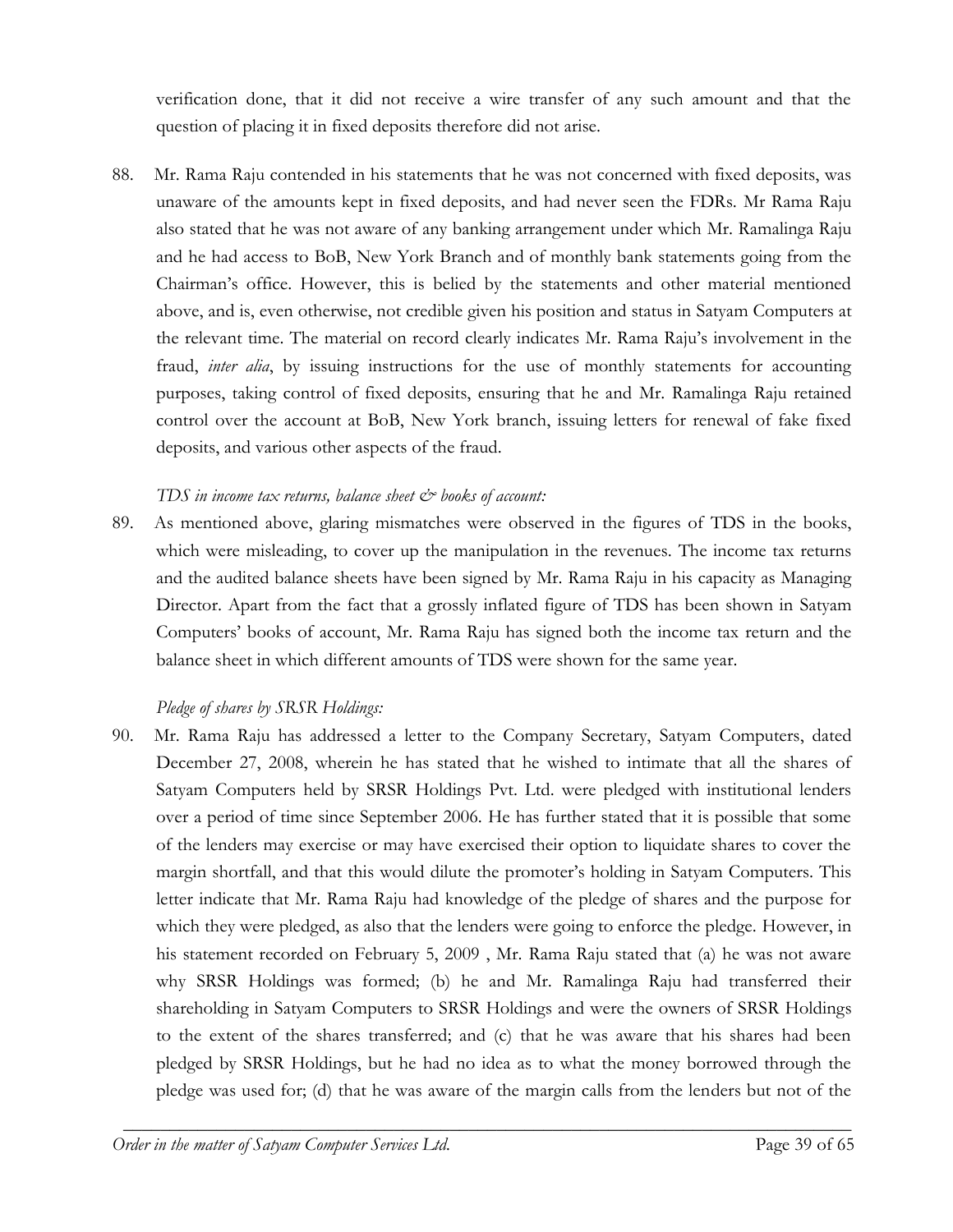verification done, that it did not receive a wire transfer of any such amount and that the question of placing it in fixed deposits therefore did not arise.

88. Mr. Rama Raju contended in his statements that he was not concerned with fixed deposits, was unaware of the amounts kept in fixed deposits, and had never seen the FDRs. Mr Rama Raju also stated that he was not aware of any banking arrangement under which Mr. Ramalinga Raju and he had access to BoB, New York Branch and of monthly bank statements going from the Chairman"s office. However, this is belied by the statements and other material mentioned above, and is, even otherwise, not credible given his position and status in Satyam Computers at the relevant time. The material on record clearly indicates Mr. Rama Raju"s involvement in the fraud, *inter alia*, by issuing instructions for the use of monthly statements for accounting purposes, taking control of fixed deposits, ensuring that he and Mr. Ramalinga Raju retained control over the account at BoB, New York branch, issuing letters for renewal of fake fixed deposits, and various other aspects of the fraud.

#### *TDS in income tax returns, balance sheet & books of account:*

89. As mentioned above, glaring mismatches were observed in the figures of TDS in the books, which were misleading, to cover up the manipulation in the revenues. The income tax returns and the audited balance sheets have been signed by Mr. Rama Raju in his capacity as Managing Director. Apart from the fact that a grossly inflated figure of TDS has been shown in Satyam Computers" books of account, Mr. Rama Raju has signed both the income tax return and the balance sheet in which different amounts of TDS were shown for the same year.

#### *Pledge of shares by SRSR Holdings:*

90. Mr. Rama Raju has addressed a letter to the Company Secretary, Satyam Computers, dated December 27, 2008, wherein he has stated that he wished to intimate that all the shares of Satyam Computers held by SRSR Holdings Pvt. Ltd. were pledged with institutional lenders over a period of time since September 2006. He has further stated that it is possible that some of the lenders may exercise or may have exercised their option to liquidate shares to cover the margin shortfall, and that this would dilute the promoter's holding in Satyam Computers. This letter indicate that Mr. Rama Raju had knowledge of the pledge of shares and the purpose for which they were pledged, as also that the lenders were going to enforce the pledge. However, in his statement recorded on February 5, 2009 , Mr. Rama Raju stated that (a) he was not aware why SRSR Holdings was formed; (b) he and Mr. Ramalinga Raju had transferred their shareholding in Satyam Computers to SRSR Holdings and were the owners of SRSR Holdings to the extent of the shares transferred; and (c) that he was aware that his shares had been pledged by SRSR Holdings, but he had no idea as to what the money borrowed through the pledge was used for; (d) that he was aware of the margin calls from the lenders but not of the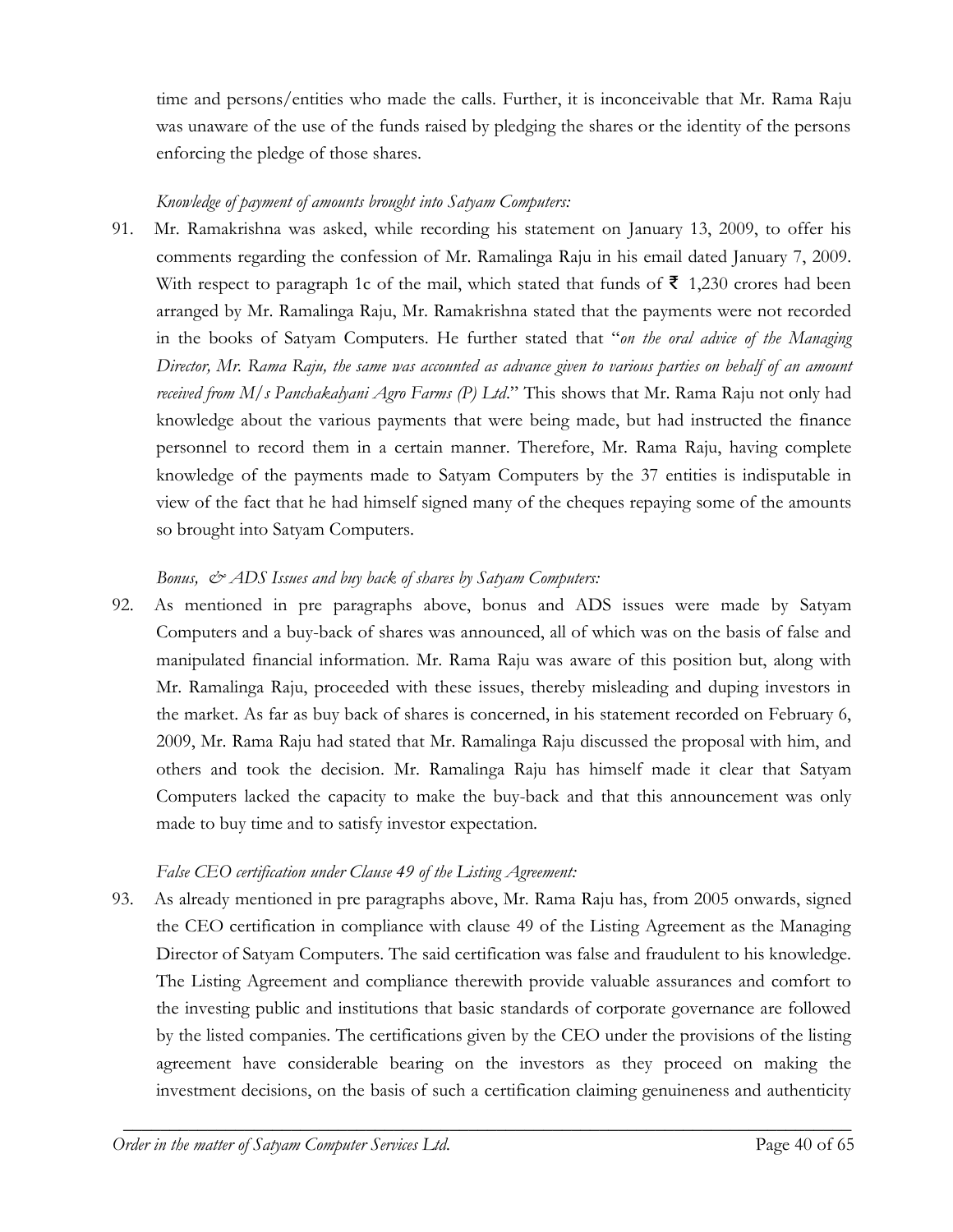time and persons/entities who made the calls. Further, it is inconceivable that Mr. Rama Raju was unaware of the use of the funds raised by pledging the shares or the identity of the persons enforcing the pledge of those shares.

#### *Knowledge of payment of amounts brought into Satyam Computers:*

91. Mr. Ramakrishna was asked, while recording his statement on January 13, 2009, to offer his comments regarding the confession of Mr. Ramalinga Raju in his email dated January 7, 2009. With respect to paragraph 1c of the mail, which stated that funds of  $\bar{\mathbf{z}}$  1,230 crores had been arranged by Mr. Ramalinga Raju, Mr. Ramakrishna stated that the payments were not recorded in the books of Satyam Computers. He further stated that "*on the oral advice of the Managing Director, Mr. Rama Raju, the same was accounted as advance given to various parties on behalf of an amount received from M/s Panchakalyani Agro Farms (P) Ltd*." This shows that Mr. Rama Raju not only had knowledge about the various payments that were being made, but had instructed the finance personnel to record them in a certain manner. Therefore, Mr. Rama Raju, having complete knowledge of the payments made to Satyam Computers by the 37 entities is indisputable in view of the fact that he had himself signed many of the cheques repaying some of the amounts so brought into Satyam Computers.

# *Bonus, & ADS Issues and buy back of shares by Satyam Computers:*

92. As mentioned in pre paragraphs above, bonus and ADS issues were made by Satyam Computers and a buy-back of shares was announced, all of which was on the basis of false and manipulated financial information. Mr. Rama Raju was aware of this position but, along with Mr. Ramalinga Raju, proceeded with these issues, thereby misleading and duping investors in the market. As far as buy back of shares is concerned, in his statement recorded on February 6, 2009, Mr. Rama Raju had stated that Mr. Ramalinga Raju discussed the proposal with him, and others and took the decision. Mr. Ramalinga Raju has himself made it clear that Satyam Computers lacked the capacity to make the buy-back and that this announcement was only made to buy time and to satisfy investor expectation.

#### *False CEO certification under Clause 49 of the Listing Agreement:*

93. As already mentioned in pre paragraphs above, Mr. Rama Raju has, from 2005 onwards, signed the CEO certification in compliance with clause 49 of the Listing Agreement as the Managing Director of Satyam Computers. The said certification was false and fraudulent to his knowledge. The Listing Agreement and compliance therewith provide valuable assurances and comfort to the investing public and institutions that basic standards of corporate governance are followed by the listed companies. The certifications given by the CEO under the provisions of the listing agreement have considerable bearing on the investors as they proceed on making the investment decisions, on the basis of such a certification claiming genuineness and authenticity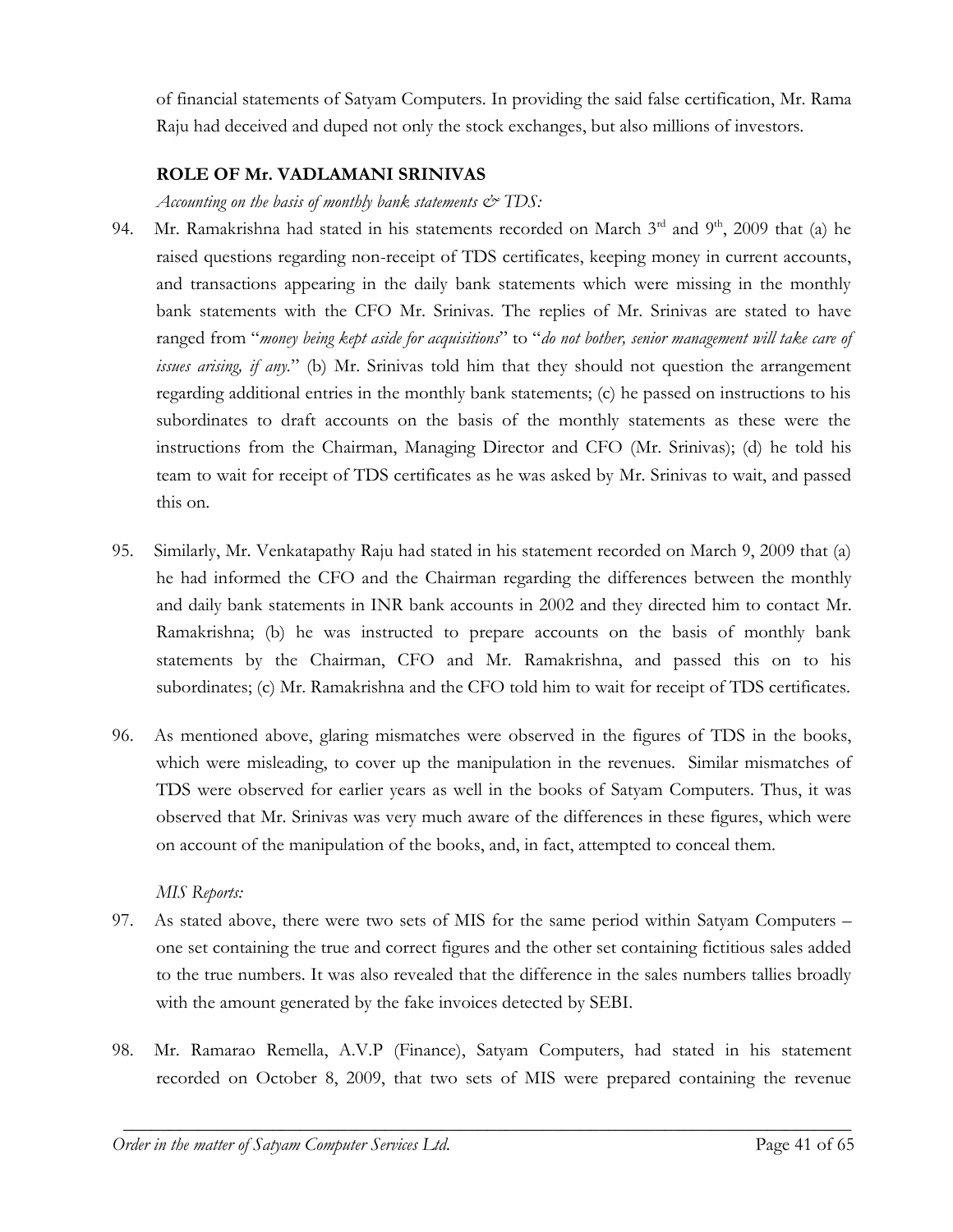of financial statements of Satyam Computers. In providing the said false certification, Mr. Rama Raju had deceived and duped not only the stock exchanges, but also millions of investors.

#### **ROLE OF Mr. VADLAMANI SRINIVAS**

*Accounting on the basis of monthly bank statements & TDS:*

- 94. Mr. Ramakrishna had stated in his statements recorded on March  $3<sup>rd</sup>$  and  $9<sup>th</sup>$ , 2009 that (a) he raised questions regarding non-receipt of TDS certificates, keeping money in current accounts, and transactions appearing in the daily bank statements which were missing in the monthly bank statements with the CFO Mr. Srinivas. The replies of Mr. Srinivas are stated to have ranged from "*money being kept aside for acquisitions*" to "*do not bother, senior management will take care of issues arising, if any.*" (b) Mr. Srinivas told him that they should not question the arrangement regarding additional entries in the monthly bank statements; (c) he passed on instructions to his subordinates to draft accounts on the basis of the monthly statements as these were the instructions from the Chairman, Managing Director and CFO (Mr. Srinivas); (d) he told his team to wait for receipt of TDS certificates as he was asked by Mr. Srinivas to wait, and passed this on.
- 95. Similarly, Mr. Venkatapathy Raju had stated in his statement recorded on March 9, 2009 that (a) he had informed the CFO and the Chairman regarding the differences between the monthly and daily bank statements in INR bank accounts in 2002 and they directed him to contact Mr. Ramakrishna; (b) he was instructed to prepare accounts on the basis of monthly bank statements by the Chairman, CFO and Mr. Ramakrishna, and passed this on to his subordinates; (c) Mr. Ramakrishna and the CFO told him to wait for receipt of TDS certificates.
- 96. As mentioned above, glaring mismatches were observed in the figures of TDS in the books, which were misleading, to cover up the manipulation in the revenues. Similar mismatches of TDS were observed for earlier years as well in the books of Satyam Computers. Thus, it was observed that Mr. Srinivas was very much aware of the differences in these figures, which were on account of the manipulation of the books, and, in fact, attempted to conceal them.

#### *MIS Reports:*

- 97. As stated above, there were two sets of MIS for the same period within Satyam Computers one set containing the true and correct figures and the other set containing fictitious sales added to the true numbers. It was also revealed that the difference in the sales numbers tallies broadly with the amount generated by the fake invoices detected by SEBI.
- 98. Mr. Ramarao Remella, A.V.P (Finance), Satyam Computers, had stated in his statement recorded on October 8, 2009, that two sets of MIS were prepared containing the revenue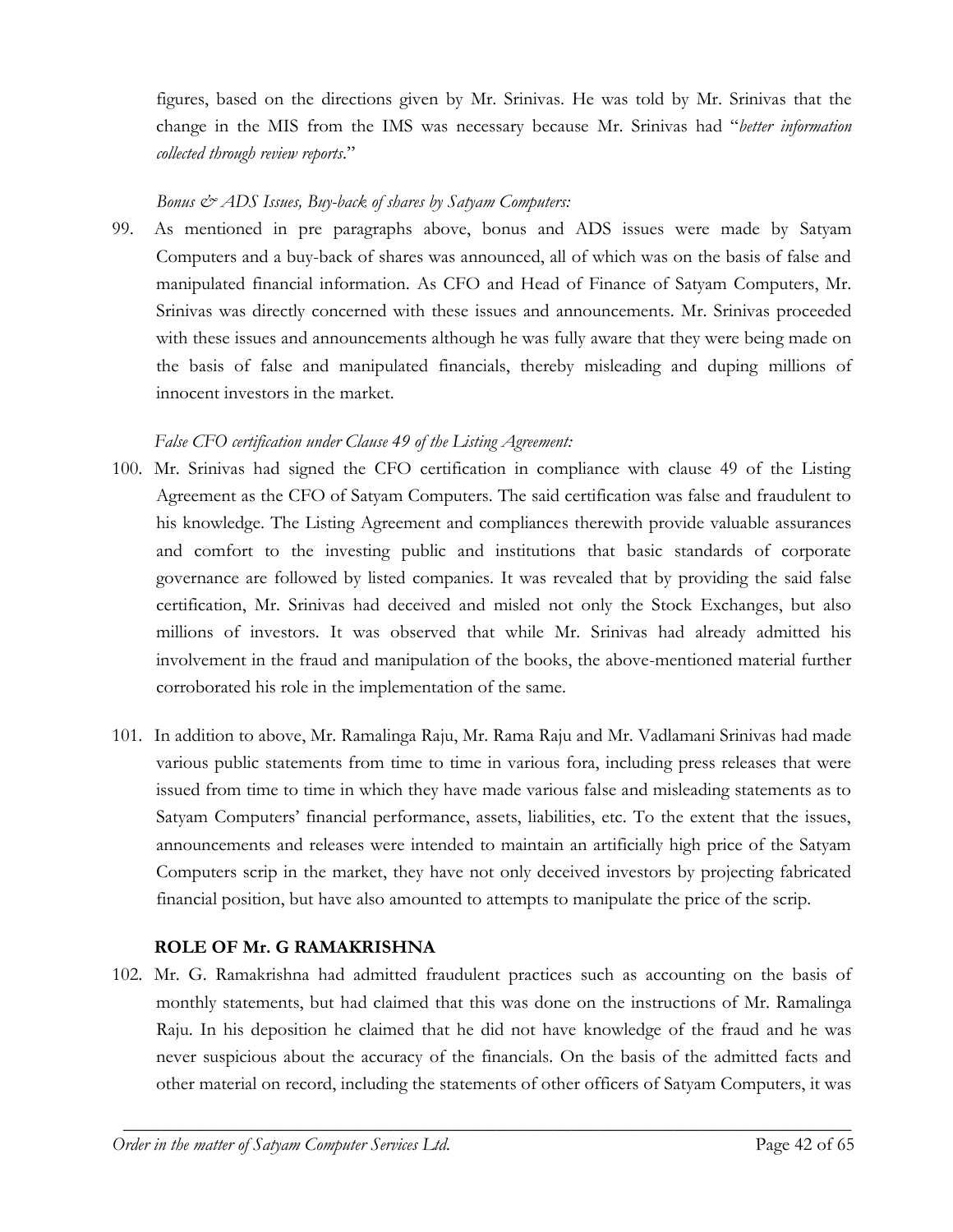figures, based on the directions given by Mr. Srinivas. He was told by Mr. Srinivas that the change in the MIS from the IMS was necessary because Mr. Srinivas had "*better information collected through review reports*."

#### *Bonus & ADS Issues, Buy-back of shares by Satyam Computers:*

99. As mentioned in pre paragraphs above, bonus and ADS issues were made by Satyam Computers and a buy-back of shares was announced, all of which was on the basis of false and manipulated financial information. As CFO and Head of Finance of Satyam Computers, Mr. Srinivas was directly concerned with these issues and announcements. Mr. Srinivas proceeded with these issues and announcements although he was fully aware that they were being made on the basis of false and manipulated financials, thereby misleading and duping millions of innocent investors in the market.

# *False CFO certification under Clause 49 of the Listing Agreement:*

- 100. Mr. Srinivas had signed the CFO certification in compliance with clause 49 of the Listing Agreement as the CFO of Satyam Computers. The said certification was false and fraudulent to his knowledge. The Listing Agreement and compliances therewith provide valuable assurances and comfort to the investing public and institutions that basic standards of corporate governance are followed by listed companies. It was revealed that by providing the said false certification, Mr. Srinivas had deceived and misled not only the Stock Exchanges, but also millions of investors. It was observed that while Mr. Srinivas had already admitted his involvement in the fraud and manipulation of the books, the above-mentioned material further corroborated his role in the implementation of the same.
- 101. In addition to above, Mr. Ramalinga Raju, Mr. Rama Raju and Mr. Vadlamani Srinivas had made various public statements from time to time in various fora, including press releases that were issued from time to time in which they have made various false and misleading statements as to Satyam Computers" financial performance, assets, liabilities, etc. To the extent that the issues, announcements and releases were intended to maintain an artificially high price of the Satyam Computers scrip in the market, they have not only deceived investors by projecting fabricated financial position, but have also amounted to attempts to manipulate the price of the scrip.

# **ROLE OF Mr. G RAMAKRISHNA**

102. Mr. G. Ramakrishna had admitted fraudulent practices such as accounting on the basis of monthly statements, but had claimed that this was done on the instructions of Mr. Ramalinga Raju. In his deposition he claimed that he did not have knowledge of the fraud and he was never suspicious about the accuracy of the financials. On the basis of the admitted facts and other material on record, including the statements of other officers of Satyam Computers, it was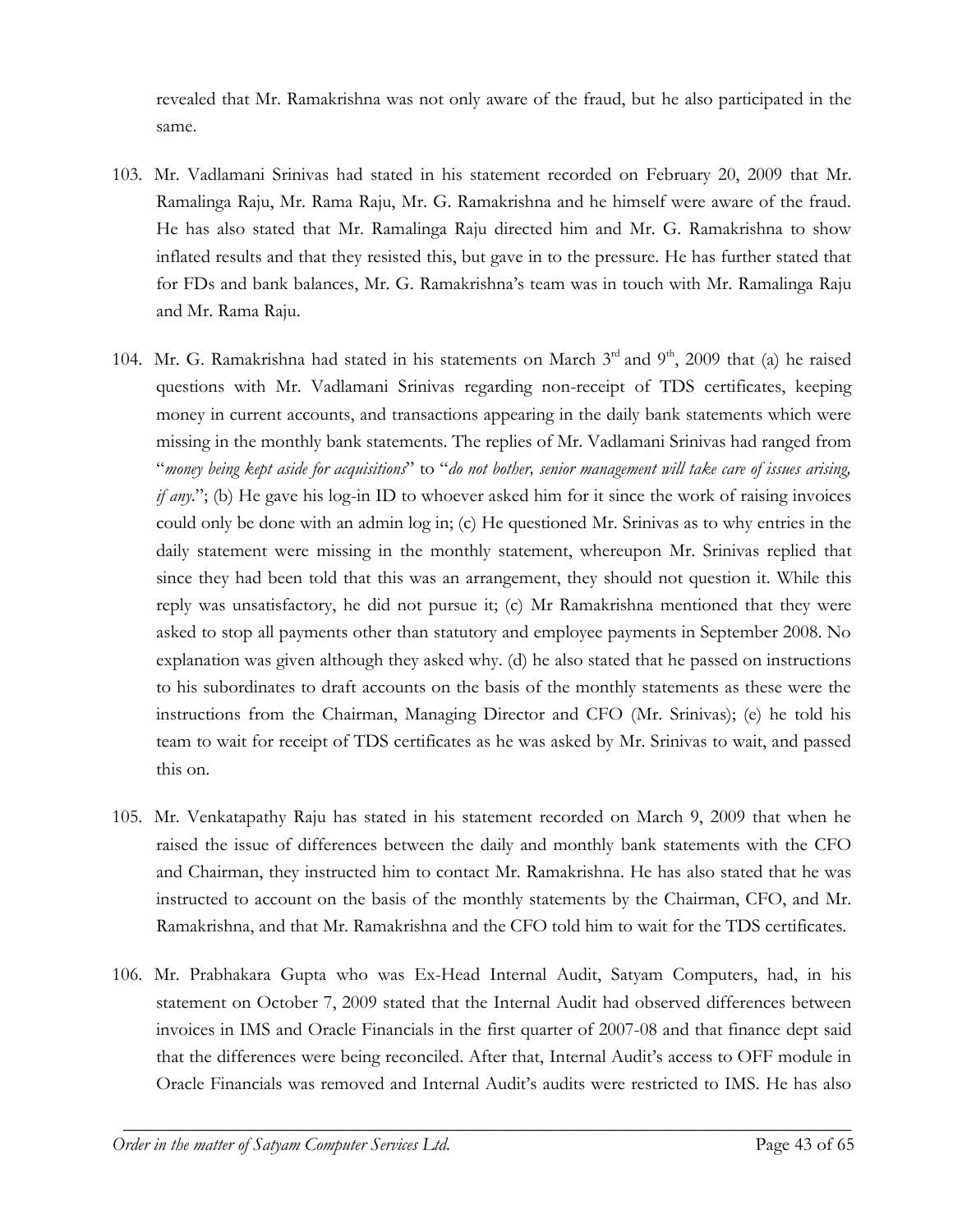revealed that Mr. Ramakrishna was not only aware of the fraud, but he also participated in the same.

- 103. Mr. Vadlamani Srinivas had stated in his statement recorded on February 20, 2009 that Mr. Ramalinga Raju, Mr. Rama Raju, Mr. G. Ramakrishna and he himself were aware of the fraud. He has also stated that Mr. Ramalinga Raju directed him and Mr. G. Ramakrishna to show inflated results and that they resisted this, but gave in to the pressure. He has further stated that for FDs and bank balances, Mr. G. Ramakrishna"s team was in touch with Mr. Ramalinga Raju and Mr. Rama Raju.
- 104. Mr. G. Ramakrishna had stated in his statements on March  $3<sup>rd</sup>$  and  $9<sup>th</sup>$ , 2009 that (a) he raised questions with Mr. Vadlamani Srinivas regarding non-receipt of TDS certificates, keeping money in current accounts, and transactions appearing in the daily bank statements which were missing in the monthly bank statements. The replies of Mr. Vadlamani Srinivas had ranged from "*money being kept aside for acquisitions*" to "*do not bother, senior management will take care of issues arising, if any.*"; (b) He gave his log-in ID to whoever asked him for it since the work of raising invoices could only be done with an admin log in; (c) He questioned Mr. Srinivas as to why entries in the daily statement were missing in the monthly statement, whereupon Mr. Srinivas replied that since they had been told that this was an arrangement, they should not question it. While this reply was unsatisfactory, he did not pursue it; (c) Mr Ramakrishna mentioned that they were asked to stop all payments other than statutory and employee payments in September 2008. No explanation was given although they asked why. (d) he also stated that he passed on instructions to his subordinates to draft accounts on the basis of the monthly statements as these were the instructions from the Chairman, Managing Director and CFO (Mr. Srinivas); (e) he told his team to wait for receipt of TDS certificates as he was asked by Mr. Srinivas to wait, and passed this on.
- 105. Mr. Venkatapathy Raju has stated in his statement recorded on March 9, 2009 that when he raised the issue of differences between the daily and monthly bank statements with the CFO and Chairman, they instructed him to contact Mr. Ramakrishna. He has also stated that he was instructed to account on the basis of the monthly statements by the Chairman, CFO, and Mr. Ramakrishna, and that Mr. Ramakrishna and the CFO told him to wait for the TDS certificates.
- 106. Mr. Prabhakara Gupta who was Ex-Head Internal Audit, Satyam Computers, had, in his statement on October 7, 2009 stated that the Internal Audit had observed differences between invoices in IMS and Oracle Financials in the first quarter of 2007-08 and that finance dept said that the differences were being reconciled. After that, Internal Audit's access to OFF module in Oracle Financials was removed and Internal Audit"s audits were restricted to IMS. He has also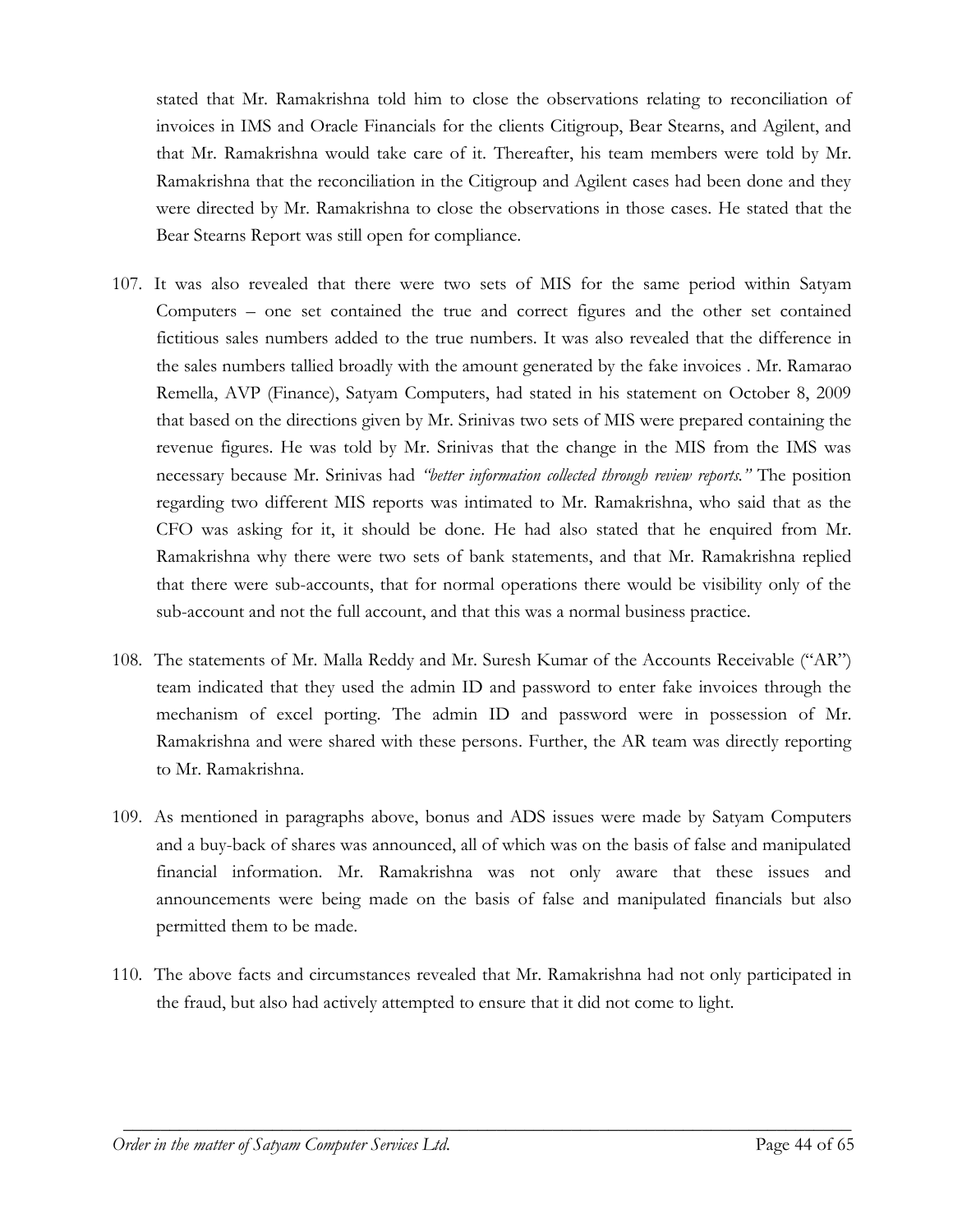stated that Mr. Ramakrishna told him to close the observations relating to reconciliation of invoices in IMS and Oracle Financials for the clients Citigroup, Bear Stearns, and Agilent, and that Mr. Ramakrishna would take care of it. Thereafter, his team members were told by Mr. Ramakrishna that the reconciliation in the Citigroup and Agilent cases had been done and they were directed by Mr. Ramakrishna to close the observations in those cases. He stated that the Bear Stearns Report was still open for compliance.

- 107. It was also revealed that there were two sets of MIS for the same period within Satyam Computers – one set contained the true and correct figures and the other set contained fictitious sales numbers added to the true numbers. It was also revealed that the difference in the sales numbers tallied broadly with the amount generated by the fake invoices . Mr. Ramarao Remella, AVP (Finance), Satyam Computers, had stated in his statement on October 8, 2009 that based on the directions given by Mr. Srinivas two sets of MIS were prepared containing the revenue figures. He was told by Mr. Srinivas that the change in the MIS from the IMS was necessary because Mr. Srinivas had *"better information collected through review reports."* The position regarding two different MIS reports was intimated to Mr. Ramakrishna, who said that as the CFO was asking for it, it should be done. He had also stated that he enquired from Mr. Ramakrishna why there were two sets of bank statements, and that Mr. Ramakrishna replied that there were sub-accounts, that for normal operations there would be visibility only of the sub-account and not the full account, and that this was a normal business practice.
- 108. The statements of Mr. Malla Reddy and Mr. Suresh Kumar of the Accounts Receivable ("AR") team indicated that they used the admin ID and password to enter fake invoices through the mechanism of excel porting. The admin ID and password were in possession of Mr. Ramakrishna and were shared with these persons. Further, the AR team was directly reporting to Mr. Ramakrishna.
- 109. As mentioned in paragraphs above, bonus and ADS issues were made by Satyam Computers and a buy-back of shares was announced, all of which was on the basis of false and manipulated financial information. Mr. Ramakrishna was not only aware that these issues and announcements were being made on the basis of false and manipulated financials but also permitted them to be made.
- 110. The above facts and circumstances revealed that Mr. Ramakrishna had not only participated in the fraud, but also had actively attempted to ensure that it did not come to light.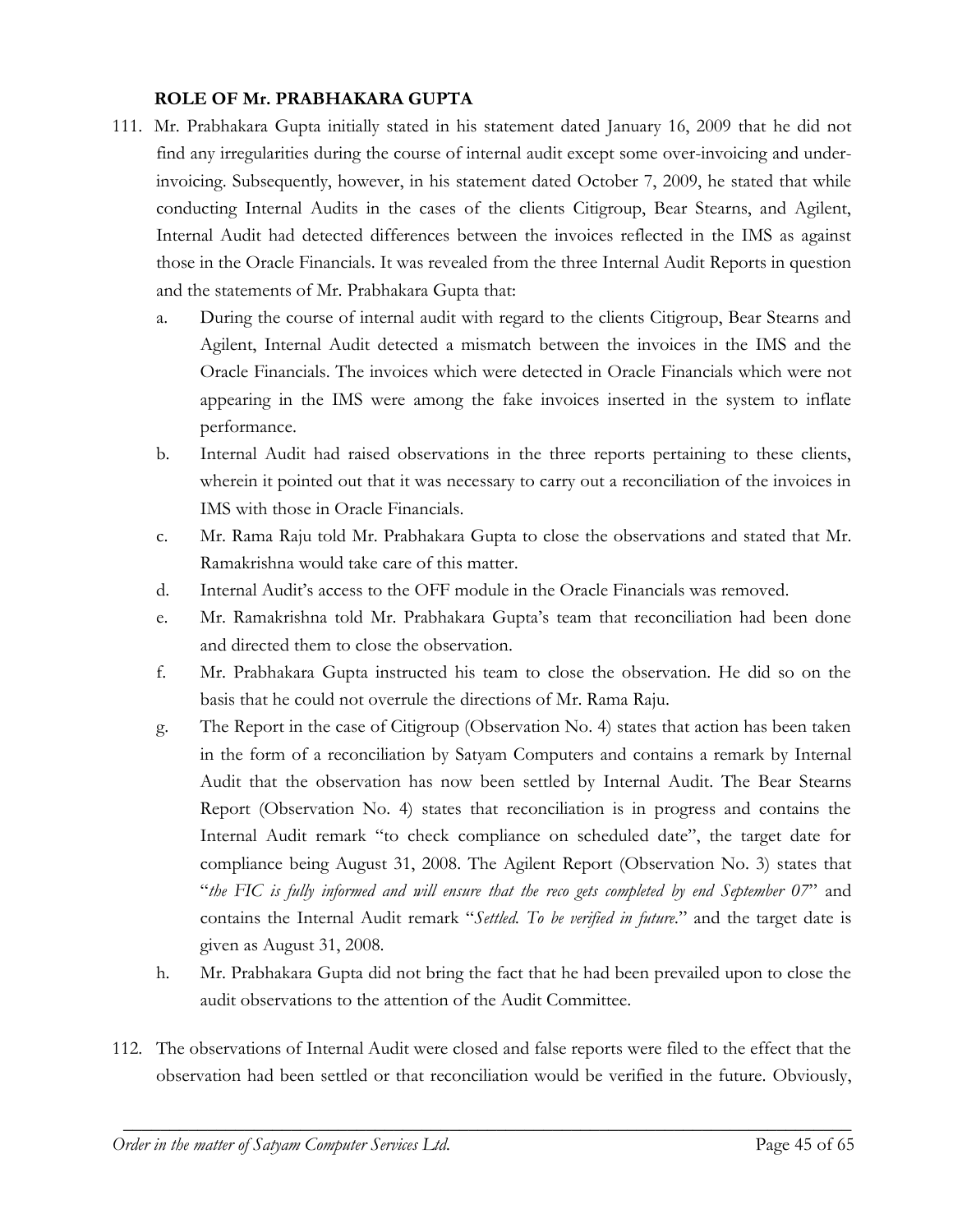#### **ROLE OF Mr. PRABHAKARA GUPTA**

- 111. Mr. Prabhakara Gupta initially stated in his statement dated January 16, 2009 that he did not find any irregularities during the course of internal audit except some over-invoicing and underinvoicing. Subsequently, however, in his statement dated October 7, 2009, he stated that while conducting Internal Audits in the cases of the clients Citigroup, Bear Stearns, and Agilent, Internal Audit had detected differences between the invoices reflected in the IMS as against those in the Oracle Financials. It was revealed from the three Internal Audit Reports in question and the statements of Mr. Prabhakara Gupta that:
	- a. During the course of internal audit with regard to the clients Citigroup, Bear Stearns and Agilent, Internal Audit detected a mismatch between the invoices in the IMS and the Oracle Financials. The invoices which were detected in Oracle Financials which were not appearing in the IMS were among the fake invoices inserted in the system to inflate performance.
	- b. Internal Audit had raised observations in the three reports pertaining to these clients, wherein it pointed out that it was necessary to carry out a reconciliation of the invoices in IMS with those in Oracle Financials.
	- c. Mr. Rama Raju told Mr. Prabhakara Gupta to close the observations and stated that Mr. Ramakrishna would take care of this matter.
	- d. Internal Audit"s access to the OFF module in the Oracle Financials was removed.
	- e. Mr. Ramakrishna told Mr. Prabhakara Gupta"s team that reconciliation had been done and directed them to close the observation.
	- f. Mr. Prabhakara Gupta instructed his team to close the observation. He did so on the basis that he could not overrule the directions of Mr. Rama Raju.
	- g. The Report in the case of Citigroup (Observation No. 4) states that action has been taken in the form of a reconciliation by Satyam Computers and contains a remark by Internal Audit that the observation has now been settled by Internal Audit. The Bear Stearns Report (Observation No. 4) states that reconciliation is in progress and contains the Internal Audit remark "to check compliance on scheduled date", the target date for compliance being August 31, 2008. The Agilent Report (Observation No. 3) states that "*the FIC is fully informed and will ensure that the reco gets completed by end September 07*" and contains the Internal Audit remark "*Settled. To be verified in future.*" and the target date is given as August 31, 2008.
	- h. Mr. Prabhakara Gupta did not bring the fact that he had been prevailed upon to close the audit observations to the attention of the Audit Committee.
- 112. The observations of Internal Audit were closed and false reports were filed to the effect that the observation had been settled or that reconciliation would be verified in the future. Obviously,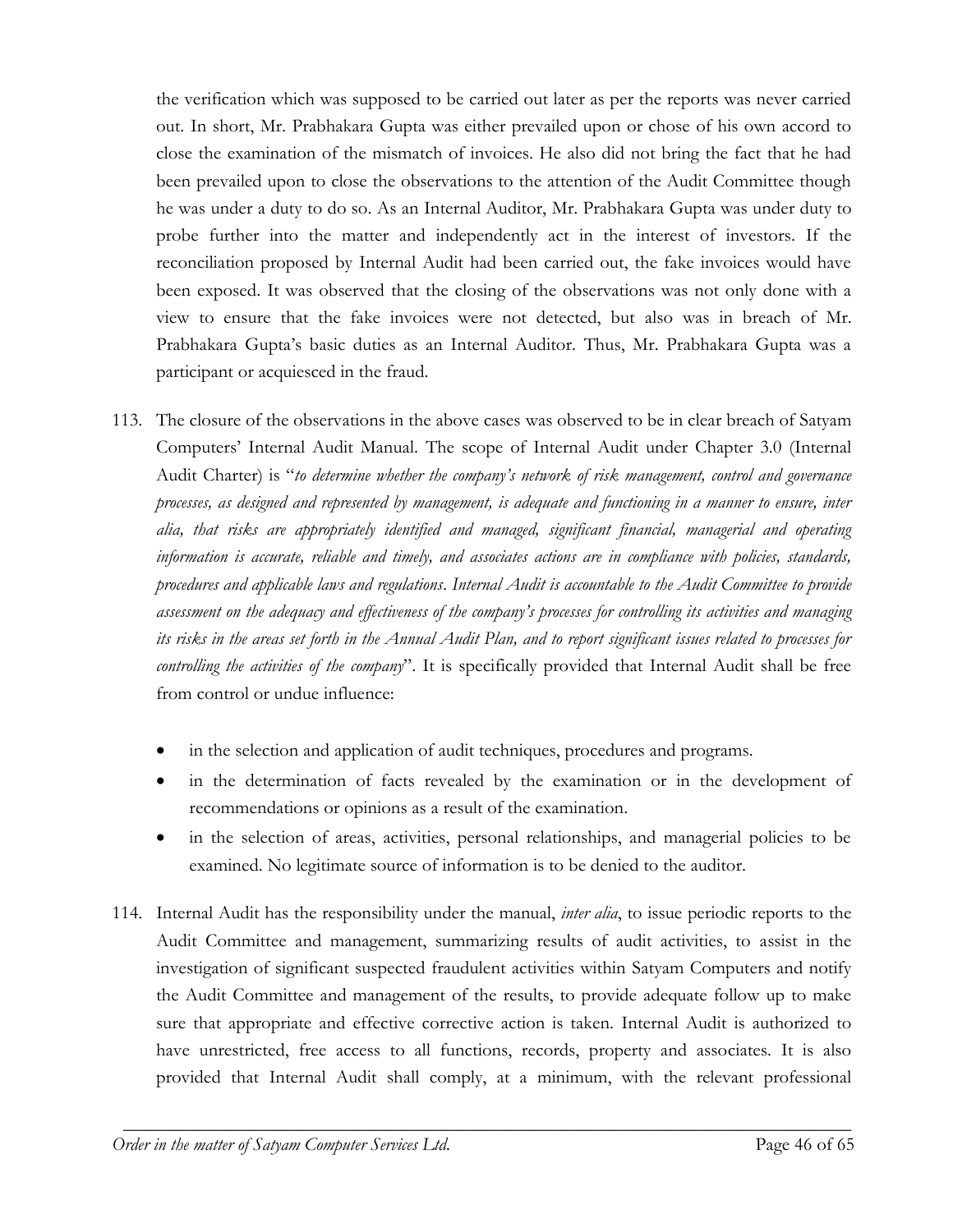the verification which was supposed to be carried out later as per the reports was never carried out. In short, Mr. Prabhakara Gupta was either prevailed upon or chose of his own accord to close the examination of the mismatch of invoices. He also did not bring the fact that he had been prevailed upon to close the observations to the attention of the Audit Committee though he was under a duty to do so. As an Internal Auditor, Mr. Prabhakara Gupta was under duty to probe further into the matter and independently act in the interest of investors. If the reconciliation proposed by Internal Audit had been carried out, the fake invoices would have been exposed. It was observed that the closing of the observations was not only done with a view to ensure that the fake invoices were not detected, but also was in breach of Mr. Prabhakara Gupta"s basic duties as an Internal Auditor. Thus, Mr. Prabhakara Gupta was a participant or acquiesced in the fraud.

- 113. The closure of the observations in the above cases was observed to be in clear breach of Satyam Computers" Internal Audit Manual. The scope of Internal Audit under Chapter 3.0 (Internal Audit Charter) is "*to determine whether the company"s network of risk management, control and governance processes, as designed and represented by management, is adequate and functioning in a manner to ensure, inter alia, that risks are appropriately identified and managed, significant financial, managerial and operating information is accurate, reliable and timely, and associates actions are in compliance with policies, standards, procedures and applicable laws and regulations*. *Internal Audit is accountable to the Audit Committee to provide assessment on the adequacy and effectiveness of the company"s processes for controlling its activities and managing its risks in the areas set forth in the Annual Audit Plan, and to report significant issues related to processes for controlling the activities of the company*". It is specifically provided that Internal Audit shall be free from control or undue influence:
	- in the selection and application of audit techniques, procedures and programs.
	- in the determination of facts revealed by the examination or in the development of recommendations or opinions as a result of the examination.
	- in the selection of areas, activities, personal relationships, and managerial policies to be examined. No legitimate source of information is to be denied to the auditor.
- 114. Internal Audit has the responsibility under the manual, *inter alia*, to issue periodic reports to the Audit Committee and management, summarizing results of audit activities, to assist in the investigation of significant suspected fraudulent activities within Satyam Computers and notify the Audit Committee and management of the results, to provide adequate follow up to make sure that appropriate and effective corrective action is taken. Internal Audit is authorized to have unrestricted, free access to all functions, records, property and associates. It is also provided that Internal Audit shall comply, at a minimum, with the relevant professional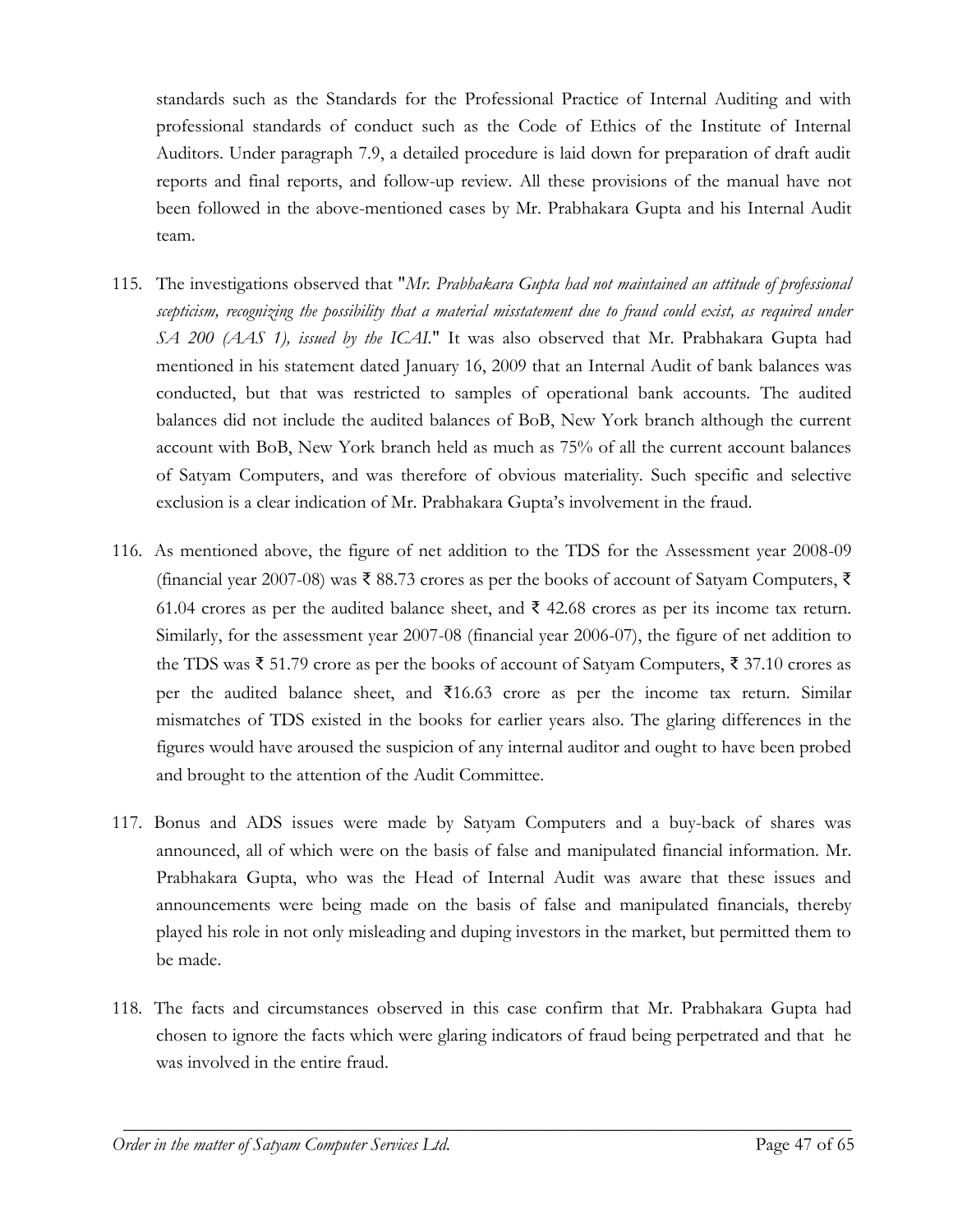standards such as the Standards for the Professional Practice of Internal Auditing and with professional standards of conduct such as the Code of Ethics of the Institute of Internal Auditors. Under paragraph 7.9, a detailed procedure is laid down for preparation of draft audit reports and final reports, and follow-up review. All these provisions of the manual have not been followed in the above-mentioned cases by Mr. Prabhakara Gupta and his Internal Audit team.

- 115. The investigations observed that "*Mr. Prabhakara Gupta had not maintained an attitude of professional scepticism, recognizing the possibility that a material misstatement due to fraud could exist, as required under SA 200 (AAS 1), issued by the ICAI.*" It was also observed that Mr. Prabhakara Gupta had mentioned in his statement dated January 16, 2009 that an Internal Audit of bank balances was conducted, but that was restricted to samples of operational bank accounts. The audited balances did not include the audited balances of BoB, New York branch although the current account with BoB, New York branch held as much as 75% of all the current account balances of Satyam Computers, and was therefore of obvious materiality. Such specific and selective exclusion is a clear indication of Mr. Prabhakara Gupta"s involvement in the fraud.
- 116. As mentioned above, the figure of net addition to the TDS for the Assessment year 2008-09 (financial year 2007-08) was ₹ 88.73 crores as per the books of account of Satyam Computers, ₹ 61.04 crores as per the audited balance sheet, and  $\bar{\xi}$  42.68 crores as per its income tax return. Similarly, for the assessment year 2007-08 (financial year 2006-07), the figure of net addition to the TDS was ₹ 51.79 crore as per the books of account of Satyam Computers, ₹ 37.10 crores as per the audited balance sheet, and ₹16.63 crore as per the income tax return. Similar mismatches of TDS existed in the books for earlier years also. The glaring differences in the figures would have aroused the suspicion of any internal auditor and ought to have been probed and brought to the attention of the Audit Committee.
- 117. Bonus and ADS issues were made by Satyam Computers and a buy-back of shares was announced, all of which were on the basis of false and manipulated financial information. Mr. Prabhakara Gupta, who was the Head of Internal Audit was aware that these issues and announcements were being made on the basis of false and manipulated financials, thereby played his role in not only misleading and duping investors in the market, but permitted them to be made.
- 118. The facts and circumstances observed in this case confirm that Mr. Prabhakara Gupta had chosen to ignore the facts which were glaring indicators of fraud being perpetrated and that he was involved in the entire fraud.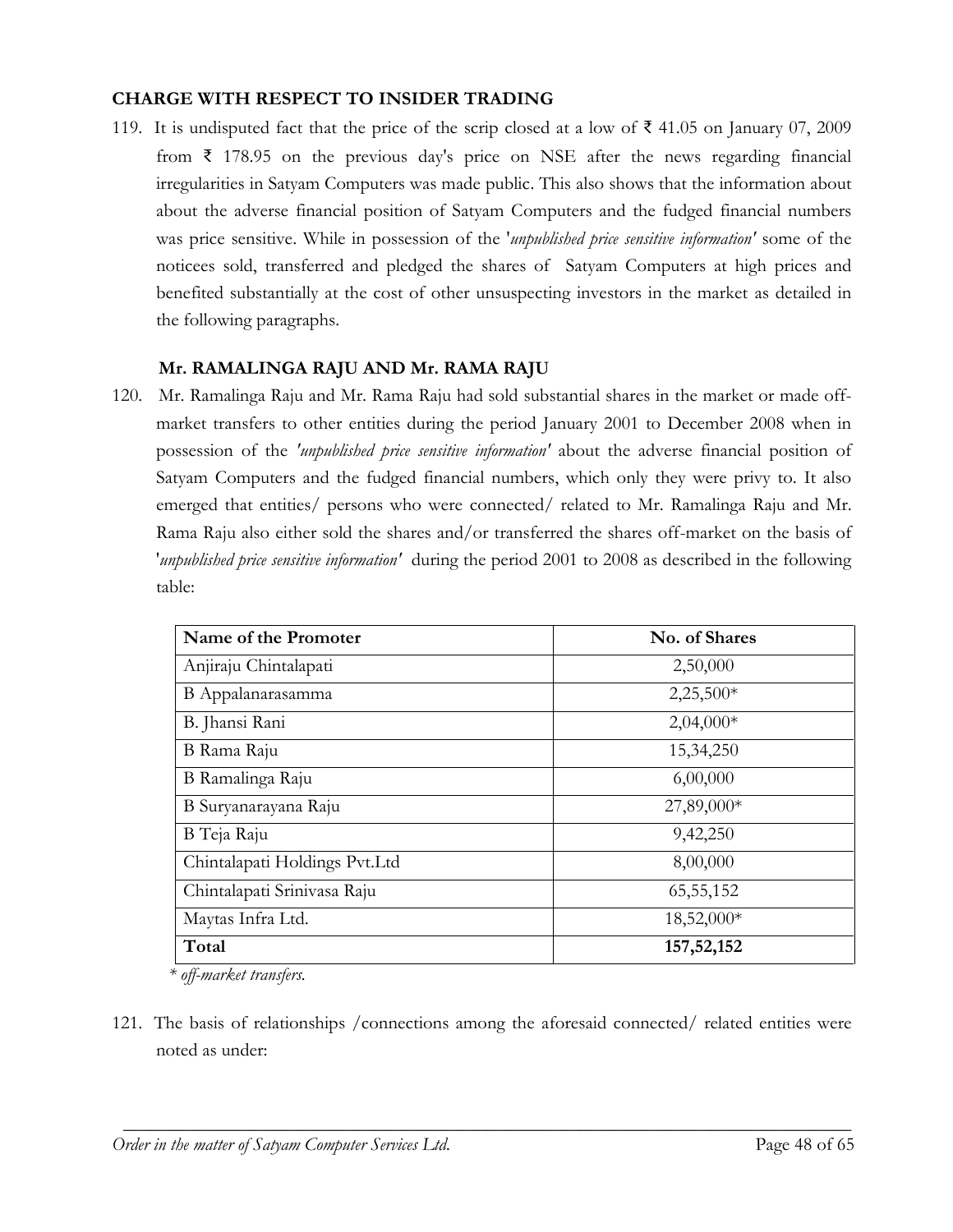#### **CHARGE WITH RESPECT TO INSIDER TRADING**

119. It is undisputed fact that the price of the scrip closed at a low of ₹ 41.05 on January 07, 2009 from ₹ 178.95 on the previous day's price on NSE after the news regarding financial irregularities in Satyam Computers was made public. This also shows that the information about about the adverse financial position of Satyam Computers and the fudged financial numbers was price sensitive. While in possession of the '*unpublished price sensitive information'* some of the noticees sold, transferred and pledged the shares of Satyam Computers at high prices and benefited substantially at the cost of other unsuspecting investors in the market as detailed in the following paragraphs.

#### **Mr. RAMALINGA RAJU AND Mr. RAMA RAJU**

120. Mr. Ramalinga Raju and Mr. Rama Raju had sold substantial shares in the market or made offmarket transfers to other entities during the period January 2001 to December 2008 when in possession of the *'unpublished price sensitive information'* about the adverse financial position of Satyam Computers and the fudged financial numbers, which only they were privy to. It also emerged that entities/ persons who were connected/ related to Mr. Ramalinga Raju and Mr. Rama Raju also either sold the shares and/or transferred the shares off-market on the basis of '*unpublished price sensitive information'* during the period 2001 to 2008 as described in the following table:

| Name of the Promoter          | No. of Shares |
|-------------------------------|---------------|
| Anjiraju Chintalapati         | 2,50,000      |
| B Appalanarasamma             | $2,25,500*$   |
| B. Jhansi Rani                | $2,04,000*$   |
| B Rama Raju                   | 15,34,250     |
| B Ramalinga Raju              | 6,00,000      |
| B Suryanarayana Raju          | 27,89,000*    |
| B Teja Raju                   | 9,42,250      |
| Chintalapati Holdings Pvt.Ltd | 8,00,000      |
| Chintalapati Srinivasa Raju   | 65, 55, 152   |
| Maytas Infra Ltd.             | 18,52,000*    |
| Total                         | 157, 52, 152  |

*\* off-market transfers.* 

121. The basis of relationships /connections among the aforesaid connected/ related entities were noted as under: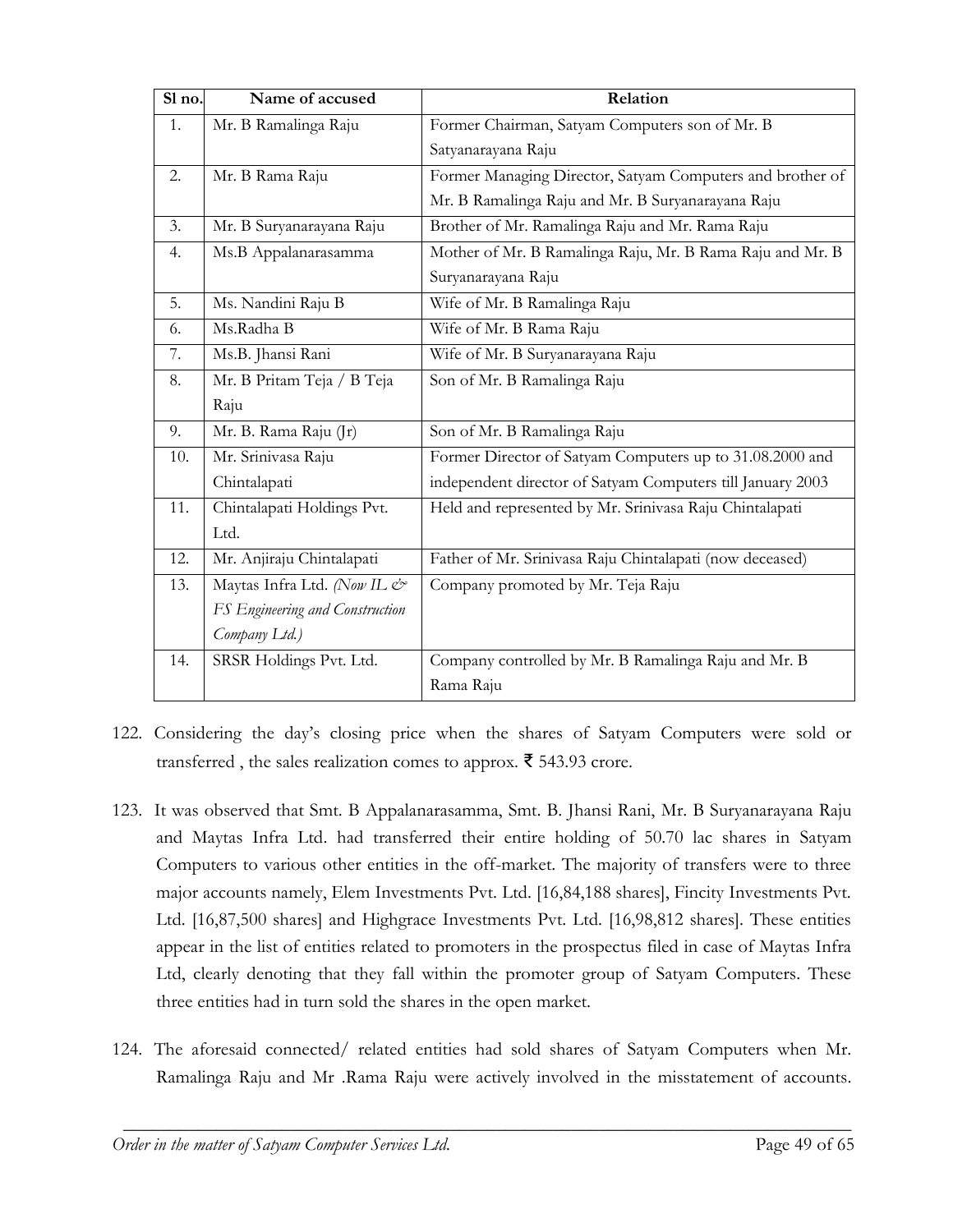| Sl no. | Name of accused                 | Relation                                                   |
|--------|---------------------------------|------------------------------------------------------------|
| 1.     | Mr. B Ramalinga Raju            | Former Chairman, Satyam Computers son of Mr. B             |
|        |                                 | Satyanarayana Raju                                         |
| 2.     | Mr. B Rama Raju                 | Former Managing Director, Satyam Computers and brother of  |
|        |                                 | Mr. B Ramalinga Raju and Mr. B Suryanarayana Raju          |
| 3.     | Mr. B Suryanarayana Raju        | Brother of Mr. Ramalinga Raju and Mr. Rama Raju            |
| 4.     | Ms.B Appalanarasamma            | Mother of Mr. B Ramalinga Raju, Mr. B Rama Raju and Mr. B  |
|        |                                 | Suryanarayana Raju                                         |
| 5.     | Ms. Nandini Raju B              | Wife of Mr. B Ramalinga Raju                               |
| 6.     | Ms.Radha B                      | Wife of Mr. B Rama Raju                                    |
| 7.     | Ms.B. Jhansi Rani               | Wife of Mr. B Suryanarayana Raju                           |
| 8.     | Mr. B Pritam Teja / B Teja      | Son of Mr. B Ramalinga Raju                                |
|        | Raju                            |                                                            |
| 9.     | Mr. B. Rama Raju (Jr)           | Son of Mr. B Ramalinga Raju                                |
| 10.    | Mr. Srinivasa Raju              | Former Director of Satyam Computers up to 31.08.2000 and   |
|        | Chintalapati                    | independent director of Satyam Computers till January 2003 |
| 11.    | Chintalapati Holdings Pvt.      | Held and represented by Mr. Srinivasa Raju Chintalapati    |
|        | Ltd.                            |                                                            |
| 12.    | Mr. Anjiraju Chintalapati       | Father of Mr. Srinivasa Raju Chintalapati (now deceased)   |
| 13.    | Maytas Infra Ltd. (Now IL &     | Company promoted by Mr. Teja Raju                          |
|        | FS Engineering and Construction |                                                            |
|        | Company Ltd.)                   |                                                            |
| 14.    | SRSR Holdings Pvt. Ltd.         | Company controlled by Mr. B Ramalinga Raju and Mr. B       |
|        |                                 | Rama Raju                                                  |

- 122. Considering the day's closing price when the shares of Satyam Computers were sold or transferred, the sales realization comes to approx.  $\bar{\mathbf{\xi}}$  543.93 crore.
- 123. It was observed that Smt. B Appalanarasamma, Smt. B. Jhansi Rani, Mr. B Suryanarayana Raju and Maytas Infra Ltd. had transferred their entire holding of 50.70 lac shares in Satyam Computers to various other entities in the off-market. The majority of transfers were to three major accounts namely, Elem Investments Pvt. Ltd. [16,84,188 shares], Fincity Investments Pvt. Ltd. [16,87,500 shares] and Highgrace Investments Pvt. Ltd. [16,98,812 shares]. These entities appear in the list of entities related to promoters in the prospectus filed in case of Maytas Infra Ltd, clearly denoting that they fall within the promoter group of Satyam Computers. These three entities had in turn sold the shares in the open market.
- 124. The aforesaid connected/ related entities had sold shares of Satyam Computers when Mr. Ramalinga Raju and Mr .Rama Raju were actively involved in the misstatement of accounts.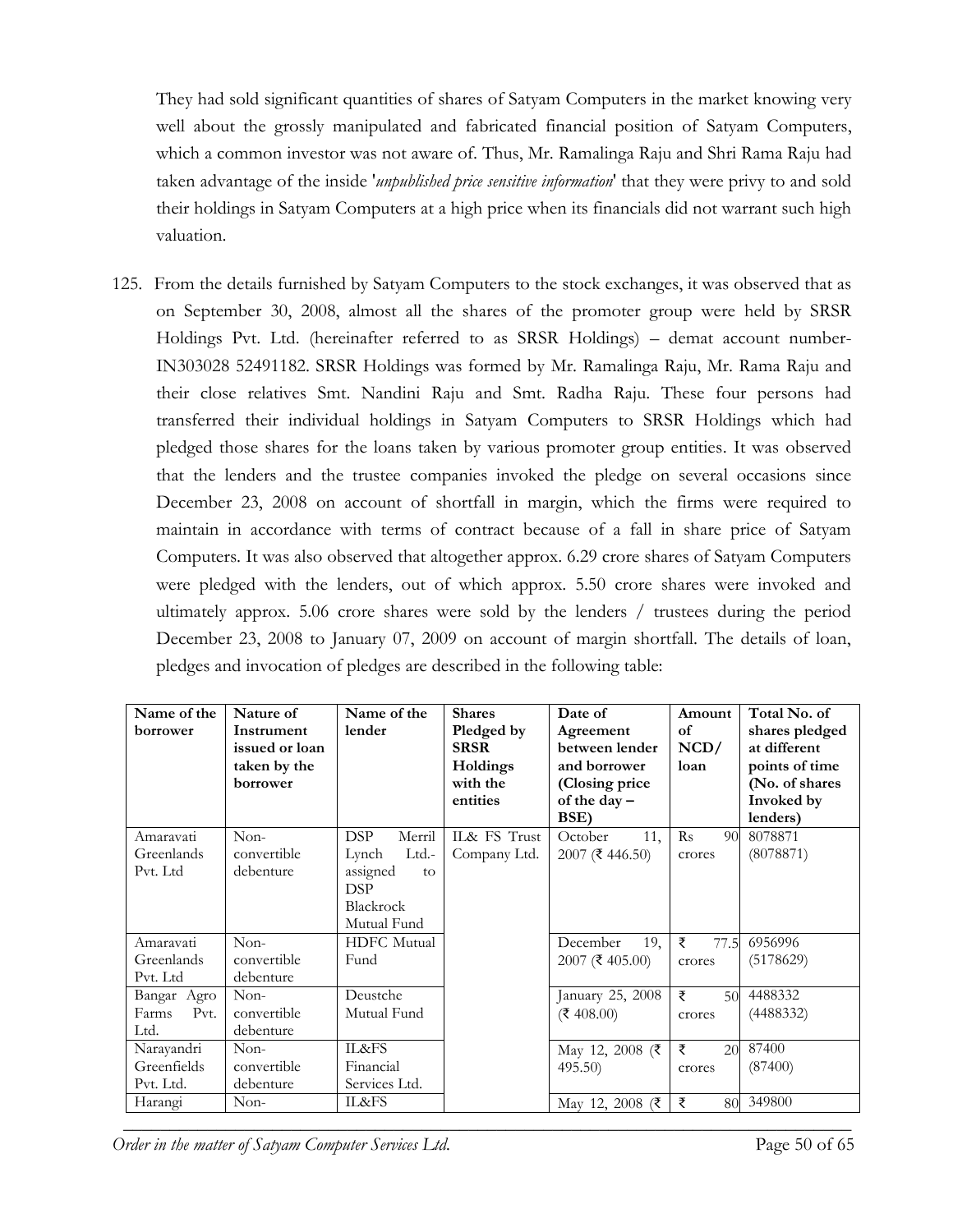They had sold significant quantities of shares of Satyam Computers in the market knowing very well about the grossly manipulated and fabricated financial position of Satyam Computers, which a common investor was not aware of. Thus, Mr. Ramalinga Raju and Shri Rama Raju had taken advantage of the inside '*unpublished price sensitive information*' that they were privy to and sold their holdings in Satyam Computers at a high price when its financials did not warrant such high valuation.

125. From the details furnished by Satyam Computers to the stock exchanges, it was observed that as on September 30, 2008, almost all the shares of the promoter group were held by SRSR Holdings Pvt. Ltd. (hereinafter referred to as SRSR Holdings) – demat account number-IN303028 52491182. SRSR Holdings was formed by Mr. Ramalinga Raju, Mr. Rama Raju and their close relatives Smt. Nandini Raju and Smt. Radha Raju. These four persons had transferred their individual holdings in Satyam Computers to SRSR Holdings which had pledged those shares for the loans taken by various promoter group entities. It was observed that the lenders and the trustee companies invoked the pledge on several occasions since December 23, 2008 on account of shortfall in margin, which the firms were required to maintain in accordance with terms of contract because of a fall in share price of Satyam Computers. It was also observed that altogether approx. 6.29 crore shares of Satyam Computers were pledged with the lenders, out of which approx. 5.50 crore shares were invoked and ultimately approx. 5.06 crore shares were sold by the lenders / trustees during the period December 23, 2008 to January 07, 2009 on account of margin shortfall. The details of loan, pledges and invocation of pledges are described in the following table:

| Name of the       | Nature of      | Name of the          | <b>Shares</b> | Date of          | Amount                    | Total No. of   |
|-------------------|----------------|----------------------|---------------|------------------|---------------------------|----------------|
| borrower          | Instrument     | lender               | Pledged by    | Agreement        | of                        | shares pledged |
|                   | issued or loan |                      | <b>SRSR</b>   | between lender   | NCD/                      | at different   |
|                   | taken by the   |                      | Holdings      | and borrower     | loan                      | points of time |
|                   | borrower       |                      | with the      | (Closing price   |                           | (No. of shares |
|                   |                |                      | entities      | of the day $-$   |                           | Invoked by     |
|                   |                |                      |               | BSE)             |                           | lenders)       |
| Amaravati         | Non-           | <b>DSP</b><br>Merril | IL& FS Trust  | 11,<br>October   | $\operatorname{Rs}$<br>90 | 8078871        |
| <b>Greenlands</b> | convertible    | Lynch<br>Ltd.-       | Company Ltd.  | 2007 (₹ 446.50)  | crores                    | (8078871)      |
| Pvt. Ltd          | debenture      | assigned<br>to       |               |                  |                           |                |
|                   |                | <b>DSP</b>           |               |                  |                           |                |
|                   |                | Blackrock            |               |                  |                           |                |
|                   |                | Mutual Fund          |               |                  |                           |                |
| Amaravati         | Non-           | HDFC Mutual          |               | 19,<br>December  | ₹<br>77.5                 | 6956996        |
| <b>Greenlands</b> | convertible    | Fund                 |               | 2007 (₹ 405.00)  | crores                    | (5178629)      |
| Pvt. Ltd          | debenture      |                      |               |                  |                           |                |
| Bangar Agro       | $Non-$         | Deustche             |               | January 25, 2008 | ₹<br>50                   | 4488332        |
| Pvt.<br>Farms     | convertible    | Mutual Fund          |               | (₹ 408.00)       | crores                    | (4488332)      |
| Ltd.              | debenture      |                      |               |                  |                           |                |
| Narayandri        | Non-           | IL&FS                |               | May 12, 2008 (₹  | ₹<br>20                   | 87400          |
| Greenfields       | convertible    | Financial            |               | 495.50           | crores                    | (87400)        |
| Pvt. Ltd.         | debenture      | Services Ltd.        |               |                  |                           |                |
| Harangi           | Non-           | IL&FS                |               | May 12, 2008 (₹  | ₹<br>80                   | 349800         |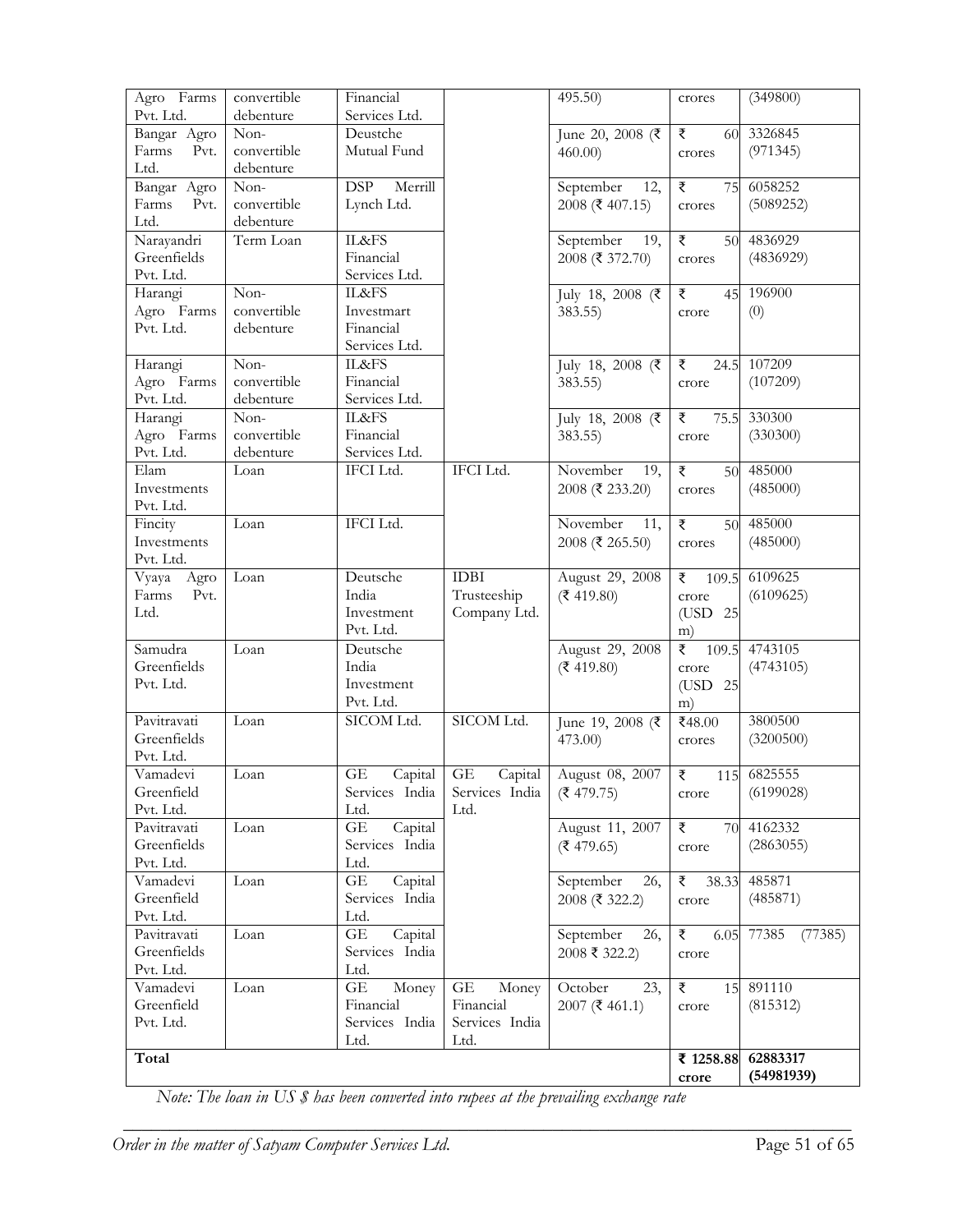| Agro Farms<br>Pvt. Ltd. | convertible<br>debenture | Financial<br>Services Ltd.      |                  | 495.50)                     | crores     | (349800)         |
|-------------------------|--------------------------|---------------------------------|------------------|-----------------------------|------------|------------------|
| Bangar Agro             | Non-                     | Deustche                        |                  | June 20, 2008 (₹            | ₹<br>60    | 3326845          |
| Farms<br>Pvt.           | convertible              | Mutual Fund                     |                  | 460.00                      | crores     | (971345)         |
| Ltd.                    | debenture                |                                 |                  |                             |            |                  |
| Bangar Agro             | Non-                     | Merrill<br>DSP                  |                  | September<br>12,            | ₹<br>75    | 6058252          |
| Farms<br>Pvt.           | convertible              | Lynch Ltd.                      |                  | 2008 (₹ 407.15)             | crores     | (5089252)        |
| Ltd.                    | debenture                |                                 |                  |                             |            |                  |
| Narayandri              | Term Loan                | IL&FS                           |                  | September<br>19,            | ₹<br>50    | 4836929          |
| Greenfields             |                          | Financial                       |                  | 2008 (₹ 372.70)             | crores     | (4836929)        |
| Pvt. Ltd.               |                          | Services Ltd.                   |                  |                             |            |                  |
| Harangi                 | Non-                     | IL&FS                           |                  | July 18, 2008 ( $\bar{\xi}$ | ₹<br>45    | 196900           |
| Agro Farms              | convertible              | Investmart                      |                  | 383.55)                     | crore      | (0)              |
| Pvt. Ltd.               | debenture                | Financial                       |                  |                             |            |                  |
|                         |                          | Services Ltd.                   |                  |                             |            |                  |
| Harangi                 | Non-                     | IL&FS                           |                  | July 18, 2008 ( $\bar{\xi}$ | ₹<br>24.5  | 107209           |
| Agro Farms              | convertible              | Financial                       |                  | 383.55)                     | crore      | (107209)         |
| Pvt. Ltd.               | debenture                | Services Ltd.                   |                  |                             |            |                  |
| Harangi                 | Non-                     | <b>IL&amp;FS</b>                |                  | July 18, 2008 (₹            | ₹<br>75.5  | 330300           |
| Agro Farms              | convertible              | Financial                       |                  | 383.55)                     | crore      | (330300)         |
| Pvt. Ltd.               | debenture                | Services Ltd.                   |                  |                             |            |                  |
| Elam                    | Loan                     | IFCI Ltd.                       | <b>IFCI</b> Ltd. | November<br>19,             | ₹<br>50    | 485000           |
| Investments             |                          |                                 |                  | 2008 (₹ 233.20)             | crores     | (485000)         |
| Pvt. Ltd.               |                          |                                 |                  |                             |            |                  |
| Fincity                 | Loan                     | <b>IFCI</b> Ltd.                |                  | November<br>11,             | ₹<br>50    | 485000           |
| Investments             |                          |                                 |                  | 2008 (₹ 265.50)             | crores     | (485000)         |
| Pvt. Ltd.               |                          |                                 |                  |                             |            |                  |
| Agro<br>Vyaya           | Loan                     | Deutsche                        | <b>IDBI</b>      | August 29, 2008             | ₹<br>109.5 | 6109625          |
| Farms<br>Pvt.           |                          | India                           | Trusteeship      | $({}^{2}$ 419.80)           | crore      | (6109625)        |
| Ltd.                    |                          | Investment                      | Company Ltd.     |                             | (USD 25    |                  |
|                         |                          | Pvt. Ltd.                       |                  |                             | m)         |                  |
| Samudra                 | Loan                     | Deutsche                        |                  | August 29, 2008             | ₹<br>109.5 | 4743105          |
| Greenfields             |                          | India                           |                  | (₹ 419.80)                  | crore      | (4743105)        |
| Pvt. Ltd.               |                          | Investment                      |                  |                             | (USD 25    |                  |
|                         |                          | Pvt. Ltd.                       |                  |                             | m)         |                  |
| Pavitravati             | Loan                     | SICOM Ltd.                      | SICOM Ltd.       | June 19, 2008 (₹            | ₹48.00     | 3800500          |
| Greenfields             |                          |                                 |                  | 473.00)                     | crores     | (3200500)        |
| Pvt. Ltd.               |                          |                                 |                  |                             |            |                  |
| Vamadevi                | Loan                     | GE<br>Capital                   | GE<br>Capital    | August 08, 2007             | ₹          | 115 6825555      |
| Greenfield              |                          | Services India                  | Services India   | (3, 479.75)                 | crore      | (6199028)        |
| Pvt. Ltd.               |                          | Ltd.                            | Ltd.             |                             |            |                  |
| Pavitravati             | Loan                     | GE<br>Capital<br>Services India |                  | August 11, 2007             | ₹<br>70    | 4162332          |
| Greenfields             |                          | Ltd.                            |                  | (3, 479.65)                 | crore      | (2863055)        |
| Pvt. Ltd.<br>Vamadevi   |                          | $\operatorname{GE}$             |                  |                             |            | 485871           |
| Greenfield              | Loan                     | Capital<br>Services India       |                  | September<br>26,            | ₹<br>38.33 | (485871)         |
| Pvt. Ltd.               |                          | Ltd.                            |                  | 2008 (₹ 322.2)              | crore      |                  |
| Pavitravati             | Loan                     | $\operatorname{GE}$<br>Capital  |                  | September<br>26,            | ₹          | 77385<br>(77385) |
| Greenfields             |                          | Services India                  |                  | 2008 ₹ 322.2)               | 6.05       |                  |
| Pvt. Ltd.               |                          | Ltd.                            |                  |                             | crore      |                  |
| Vamadevi                | Loan                     | GE<br>Money                     | GE<br>Money      | October<br>23,              | ₹<br>15    | 891110           |
| Greenfield              |                          | Financial                       | Financial        | 2007 (₹ 461.1)              | crore      | (815312)         |
| Pvt. Ltd.               |                          | Services India                  | Services India   |                             |            |                  |
|                         |                          | Ltd.                            | Ltd.             |                             |            |                  |
| Total                   |                          |                                 |                  |                             | ₹ 1258.88  | 62883317         |
|                         |                          |                                 |                  |                             | crore      | (54981939)       |

*Note: The loan in US \$ has been converted into rupees at the prevailing exchange rate*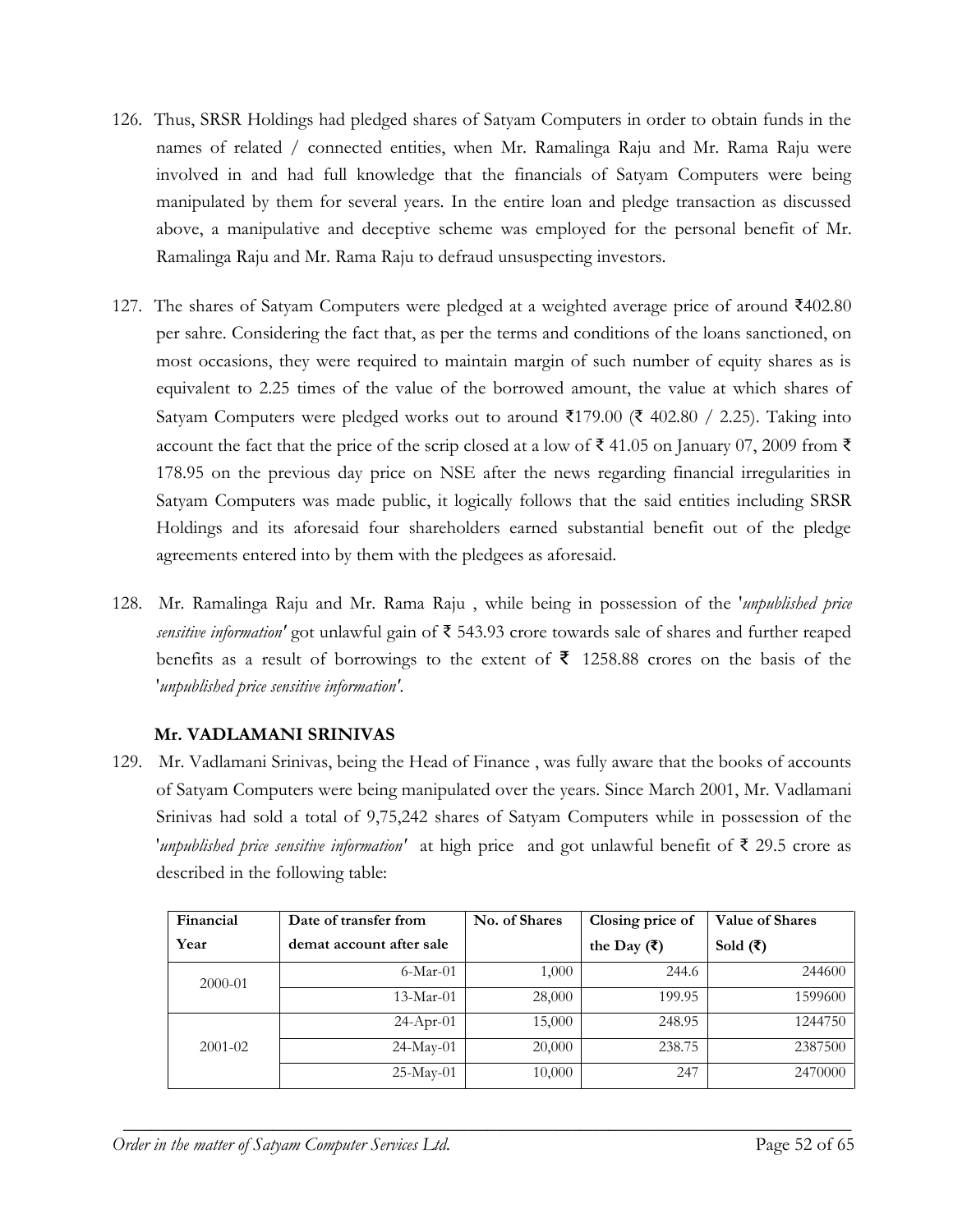- 126. Thus, SRSR Holdings had pledged shares of Satyam Computers in order to obtain funds in the names of related / connected entities, when Mr. Ramalinga Raju and Mr. Rama Raju were involved in and had full knowledge that the financials of Satyam Computers were being manipulated by them for several years. In the entire loan and pledge transaction as discussed above, a manipulative and deceptive scheme was employed for the personal benefit of Mr. Ramalinga Raju and Mr. Rama Raju to defraud unsuspecting investors.
- 127. The shares of Satyam Computers were pledged at a weighted average price of around ₹402.80 per sahre. Considering the fact that, as per the terms and conditions of the loans sanctioned, on most occasions, they were required to maintain margin of such number of equity shares as is equivalent to 2.25 times of the value of the borrowed amount, the value at which shares of Satyam Computers were pledged works out to around ₹179.00 (₹ 402.80 / 2.25). Taking into account the fact that the price of the scrip closed at a low of ₹ 41.05 on January 07, 2009 from ₹ 178.95 on the previous day price on NSE after the news regarding financial irregularities in Satyam Computers was made public, it logically follows that the said entities including SRSR Holdings and its aforesaid four shareholders earned substantial benefit out of the pledge agreements entered into by them with the pledgees as aforesaid.
- 128. Mr. Ramalinga Raju and Mr. Rama Raju , while being in possession of the '*unpublished price sensitive information'* got unlawful gain of ₹ 543.93 crore towards sale of shares and further reaped benefits as a result of borrowings to the extent of  $\bar{\xi}$  1258.88 crores on the basis of the '*unpublished price sensitive information'.*

#### **Mr. VADLAMANI SRINIVAS**

129. Mr. Vadlamani Srinivas, being the Head of Finance , was fully aware that the books of accounts of Satyam Computers were being manipulated over the years. Since March 2001, Mr. Vadlamani Srinivas had sold a total of 9,75,242 shares of Satyam Computers while in possession of the '*unpublished price sensitive information'* at high price and got unlawful benefit of ₹ 29.5 crore as described in the following table:

| Financial   | Date of transfer from    | No. of Shares | Closing price of                      | <b>Value of Shares</b> |
|-------------|--------------------------|---------------|---------------------------------------|------------------------|
| Year        | demat account after sale |               | the Day $(\bar{\mathbf{\mathsf{z}}})$ | Sold (₹)               |
| 2000-01     | $6$ -Mar-01              | 1,000         | 244.6                                 | 244600                 |
|             | $13-Mar-01$              | 28,000        | 199.95                                | 1599600                |
|             | $24$ -Apr-01             | 15,000        | 248.95                                | 1244750                |
| $2001 - 02$ | $24$ -May-01             | 20,000        | 238.75                                | 2387500                |
|             | $25-May-01$              | 10,000        | 247                                   | 2470000                |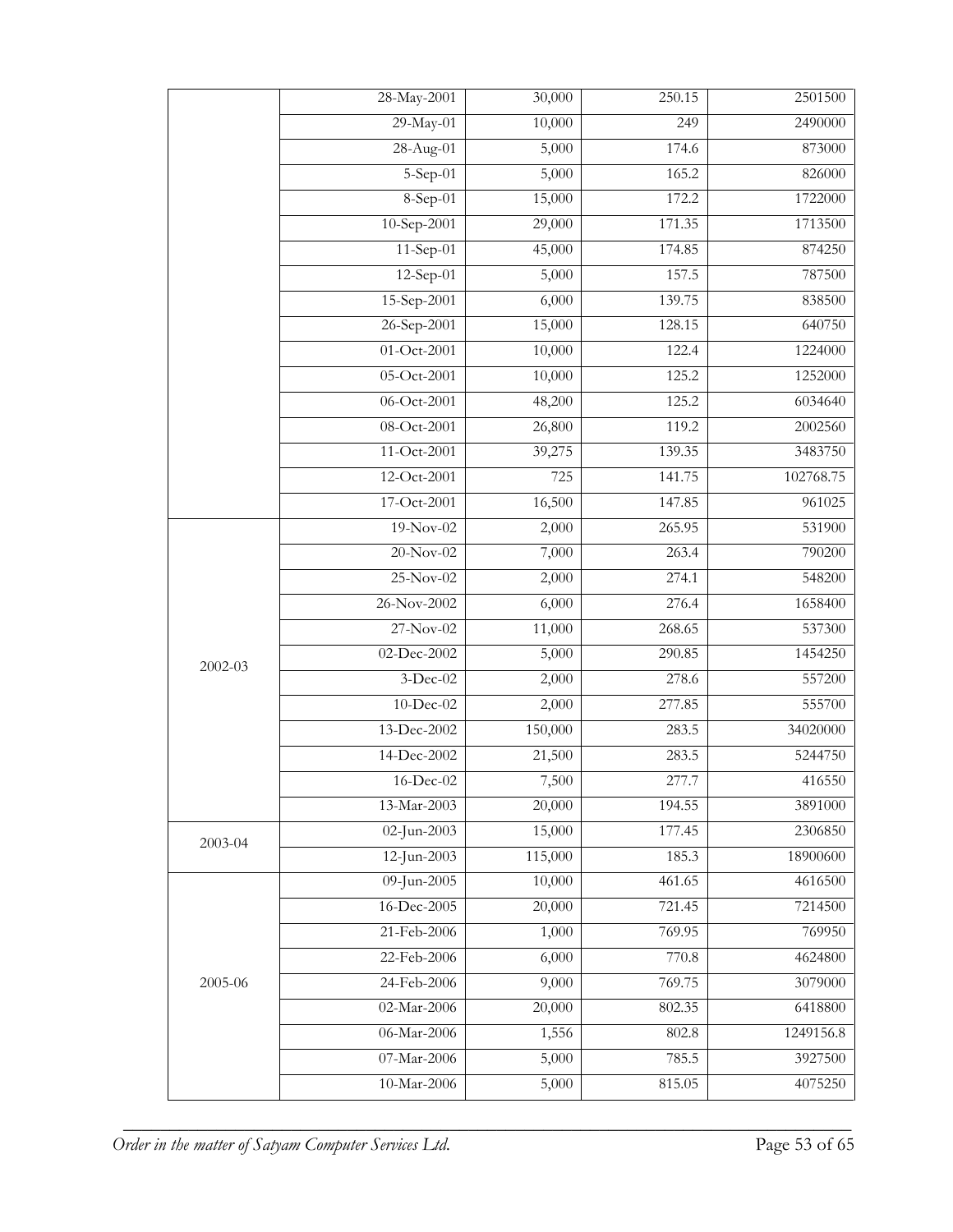|         | 28-May-2001    | 30,000            | 250.15 | 2501500   |
|---------|----------------|-------------------|--------|-----------|
|         | 29-May-01      | 10,000            | 249    | 2490000   |
|         | 28-Aug-01      | 5,000             | 174.6  | 873000    |
|         | 5-Sep-01       | 5,000             | 165.2  | 826000    |
|         | 8-Sep-01       | 15,000            | 172.2  | 1722000   |
|         | 10-Sep-2001    | 29,000            | 171.35 | 1713500   |
|         | 11-Sep-01      | 45,000            | 174.85 | 874250    |
|         | 12-Sep-01      | 5,000             | 157.5  | 787500    |
|         | 15-Sep-2001    | 6,000             | 139.75 | 838500    |
|         | 26-Sep-2001    | 15,000            | 128.15 | 640750    |
|         | 01-Oct-2001    | 10,000            | 122.4  | 1224000   |
|         | 05-Oct-2001    | 10,000            | 125.2  | 1252000   |
|         | 06-Oct-2001    | 48,200            | 125.2  | 6034640   |
|         | 08-Oct-2001    | 26,800            | 119.2  | 2002560   |
|         | 11-Oct-2001    | 39,275            | 139.35 | 3483750   |
|         | 12-Oct-2001    | 725               | 141.75 | 102768.75 |
|         | 17-Oct-2001    | 16,500            | 147.85 | 961025    |
|         | $19-Nov-02$    | 2,000             | 265.95 | 531900    |
|         | $20-Nov-02$    | 7,000             | 263.4  | 790200    |
|         | $25-Nov-02$    | 2,000             | 274.1  | 548200    |
|         | 26-Nov-2002    | 6,000             | 276.4  | 1658400   |
|         | $27-Nov-02$    | 11,000            | 268.65 | 537300    |
| 2002-03 | 02-Dec-2002    | 5,000             | 290.85 | 1454250   |
|         | 3-Dec-02       | 2,000             | 278.6  | 557200    |
|         | $10$ -Dec-02   | 2,000             | 277.85 | 555700    |
|         | 13-Dec-2002    | 150,000           | 283.5  | 34020000  |
|         | 14-Dec-2002    | 21,500            | 283.5  | 5244750   |
|         | 16-Dec-02      | 7,500             | 277.7  | 416550    |
|         | 13-Mar-2003    | 20,000            | 194.55 | 3891000   |
| 2003-04 | $02$ -Jun-2003 | 15,000            | 177.45 | 2306850   |
|         | 12-Jun-2003    | 115,000           | 185.3  | 18900600  |
|         | 09-Jun-2005    | 10,000            | 461.65 | 4616500   |
|         | 16-Dec-2005    | 20,000            | 721.45 | 7214500   |
|         | 21-Feb-2006    | 1,000             | 769.95 | 769950    |
|         | 22-Feb-2006    | 6,000             | 770.8  | 4624800   |
| 2005-06 | 24-Feb-2006    | 9,000             | 769.75 | 3079000   |
|         | 02-Mar-2006    | 20,000            | 802.35 | 6418800   |
|         | 06-Mar-2006    | 1,556             | 802.8  | 1249156.8 |
|         | 07-Mar-2006    | 5,000             | 785.5  | 3927500   |
|         | 10-Mar-2006    | $\frac{1}{5,000}$ | 815.05 | 4075250   |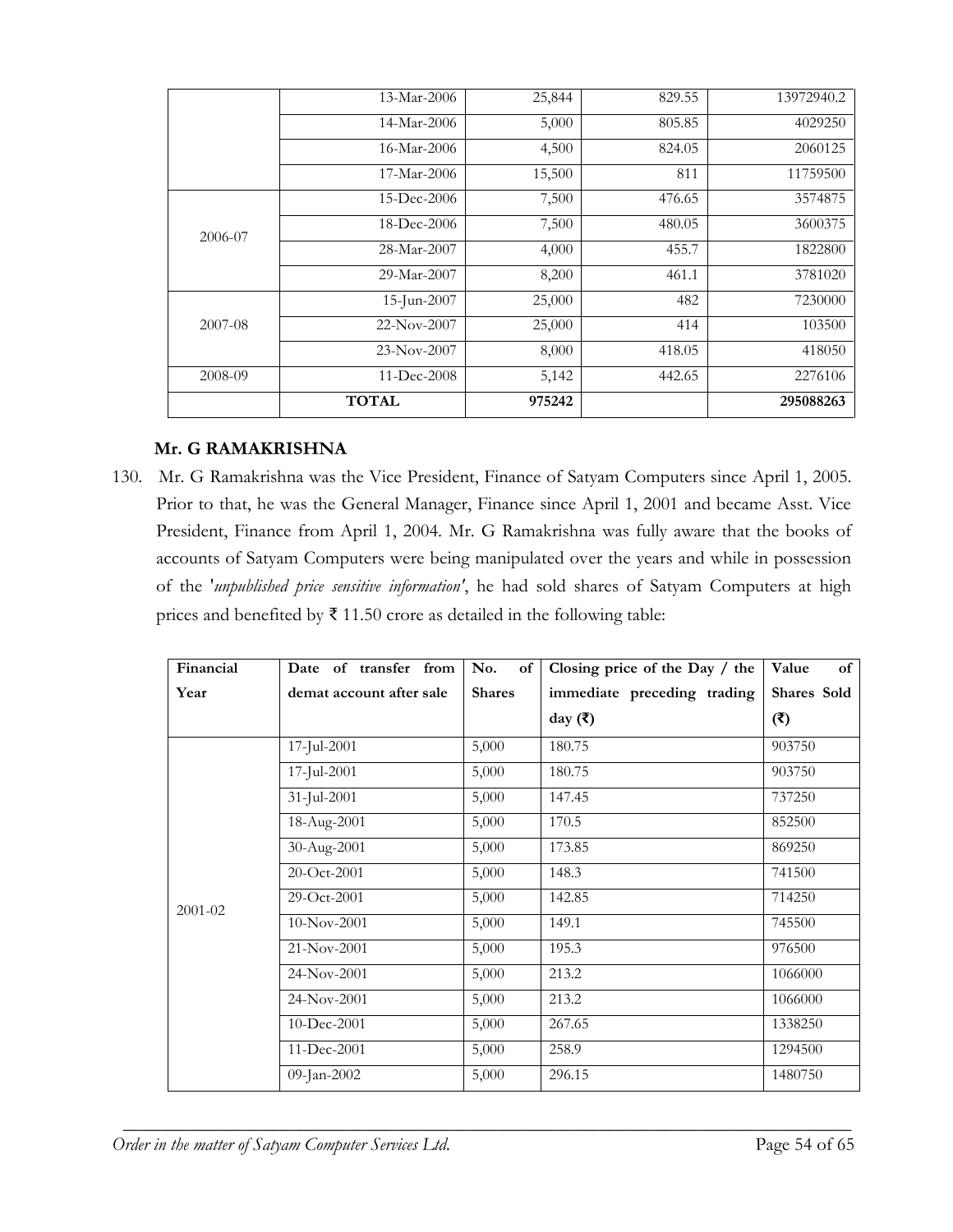|         | $13-Mar-2006$ | 25,844 | 829.55 | 13972940.2 |
|---------|---------------|--------|--------|------------|
|         | 14-Mar-2006   | 5,000  | 805.85 | 4029250    |
|         | 16-Mar-2006   | 4,500  | 824.05 | 2060125    |
|         | 17-Mar-2006   | 15,500 | 811    | 11759500   |
|         | 15-Dec-2006   | 7,500  | 476.65 | 3574875    |
| 2006-07 | 18-Dec-2006   | 7,500  | 480.05 | 3600375    |
|         | 28-Mar-2007   | 4,000  | 455.7  | 1822800    |
|         | 29-Mar-2007   | 8,200  | 461.1  | 3781020    |
|         | 15-Jun-2007   | 25,000 | 482    | 7230000    |
| 2007-08 | 22-Nov-2007   | 25,000 | 414    | 103500     |
|         | $23-Nov-2007$ | 8,000  | 418.05 | 418050     |
| 2008-09 | 11-Dec-2008   | 5,142  | 442.65 | 2276106    |
|         | <b>TOTAL</b>  | 975242 |        | 295088263  |

#### **Mr. G RAMAKRISHNA**

130. Mr. G Ramakrishna was the Vice President, Finance of Satyam Computers since April 1, 2005. Prior to that, he was the General Manager, Finance since April 1, 2001 and became Asst. Vice President, Finance from April 1, 2004. Mr. G Ramakrishna was fully aware that the books of accounts of Satyam Computers were being manipulated over the years and while in possession of the '*unpublished price sensitive information'*, he had sold shares of Satyam Computers at high prices and benefited by  $\bar{\xi}$  11.50 crore as detailed in the following table:

| Financial | Date of transfer from    | No.<br>of     | Closing price of the Day / the | of<br>Value               |
|-----------|--------------------------|---------------|--------------------------------|---------------------------|
| Year      | demat account after sale | <b>Shares</b> | immediate preceding trading    | Shares Sold               |
|           |                          |               | day $(\overline{\mathbf{z}})$  | $(\overline{\mathbf{t}})$ |
|           | 17-Jul-2001              | 5,000         | 180.75                         | 903750                    |
|           | 17-Jul-2001              | 5,000         | 180.75                         | 903750                    |
|           | 31-Jul-2001              | 5,000         | 147.45                         | 737250                    |
|           | 18-Aug-2001              | 5,000         | 170.5                          | 852500                    |
|           | 30-Aug-2001              | 5,000         | 173.85                         | 869250                    |
|           | 20-Oct-2001              | 5,000         | 148.3                          | 741500                    |
| 2001-02   | 29-Oct-2001              | 5,000         | 142.85                         | 714250                    |
|           | $10-Nov-2001$            | 5,000         | 149.1                          | 745500                    |
|           | 21-Nov-2001              | 5,000         | 195.3                          | 976500                    |
|           | 24-Nov-2001              | 5,000         | 213.2                          | 1066000                   |
|           | 24-Nov-2001              | 5,000         | 213.2                          | 1066000                   |
|           | 10-Dec-2001              | 5,000         | 267.65                         | 1338250                   |
|           | 11-Dec-2001              | 5,000         | 258.9                          | 1294500                   |
|           | 09-Jan-2002              | 5,000         | 296.15                         | 1480750                   |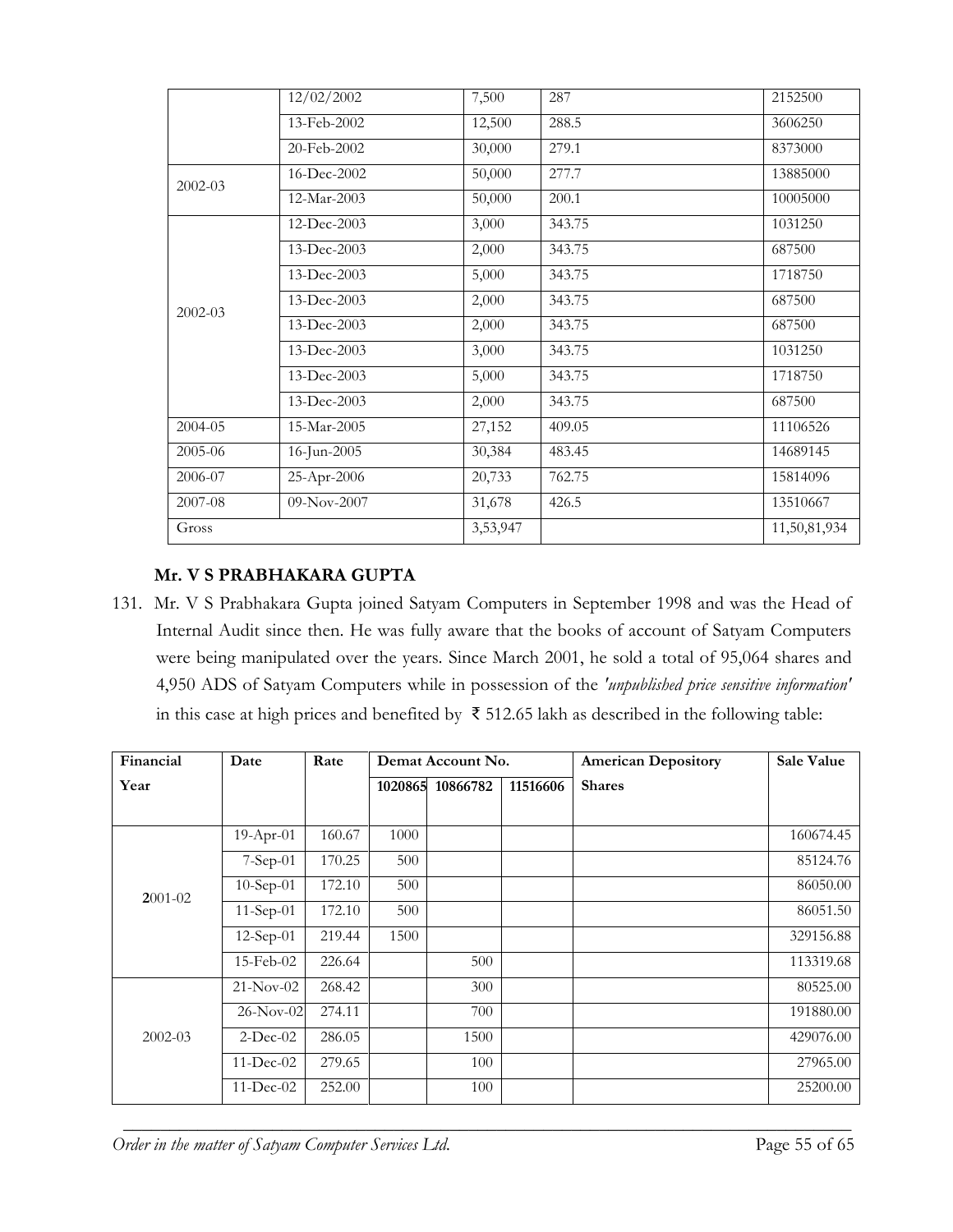|             | 12/02/2002  | 7,500    | 287    | 2152500      |
|-------------|-------------|----------|--------|--------------|
|             | 13-Feb-2002 | 12,500   | 288.5  | 3606250      |
|             | 20-Feb-2002 | 30,000   | 279.1  | 8373000      |
| $2002 - 03$ | 16-Dec-2002 | 50,000   | 277.7  | 13885000     |
|             | 12-Mar-2003 | 50,000   | 200.1  | 10005000     |
|             | 12-Dec-2003 | 3,000    | 343.75 | 1031250      |
|             | 13-Dec-2003 | 2,000    | 343.75 | 687500       |
|             | 13-Dec-2003 | 5,000    | 343.75 | 1718750      |
| $2002 - 03$ | 13-Dec-2003 | 2,000    | 343.75 | 687500       |
|             | 13-Dec-2003 | 2,000    | 343.75 | 687500       |
|             | 13-Dec-2003 | 3,000    | 343.75 | 1031250      |
|             | 13-Dec-2003 | 5,000    | 343.75 | 1718750      |
|             | 13-Dec-2003 | 2,000    | 343.75 | 687500       |
| 2004-05     | 15-Mar-2005 | 27,152   | 409.05 | 11106526     |
| 2005-06     | 16-Jun-2005 | 30,384   | 483.45 | 14689145     |
| 2006-07     | 25-Apr-2006 | 20,733   | 762.75 | 15814096     |
| 2007-08     | 09-Nov-2007 | 31,678   | 426.5  | 13510667     |
| Gross       |             | 3,53,947 |        | 11,50,81,934 |

# **Mr. V S PRABHAKARA GUPTA**

131. Mr. V S Prabhakara Gupta joined Satyam Computers in September 1998 and was the Head of Internal Audit since then. He was fully aware that the books of account of Satyam Computers were being manipulated over the years. Since March 2001, he sold a total of 95,064 shares and 4,950 ADS of Satyam Computers while in possession of the *'unpublished price sensitive information'*  in this case at high prices and benefited by ₹ 512.65 lakh as described in the following table:

| Financial   | Date            | Rate   | Demat Account No. |          |          | <b>American Depository</b> | <b>Sale Value</b> |
|-------------|-----------------|--------|-------------------|----------|----------|----------------------------|-------------------|
| Year        |                 |        | 1020865           | 10866782 | 11516606 | <b>Shares</b>              |                   |
|             |                 |        |                   |          |          |                            |                   |
|             | $19-Apr-01$     | 160.67 | 1000              |          |          |                            | 160674.45         |
|             | $7-Sep-01$      | 170.25 | 500               |          |          |                            | 85124.76          |
| $2001 - 02$ | $10-$ Sep $-01$ | 172.10 | 500               |          |          |                            | 86050.00          |
|             | $11-Sep-01$     | 172.10 | 500               |          |          |                            | 86051.50          |
|             | $12$ -Sep-01    | 219.44 | 1500              |          |          |                            | 329156.88         |
|             | 15-Feb-02       | 226.64 |                   | 500      |          |                            | 113319.68         |
|             | $21-Nov-02$     | 268.42 |                   | 300      |          |                            | 80525.00          |
|             | $26-Nov-02$     | 274.11 |                   | 700      |          |                            | 191880.00         |
| $2002 - 03$ | $2$ -Dec-02     | 286.05 |                   | 1500     |          |                            | 429076.00         |
|             | $11 - Dec-02$   | 279.65 |                   | 100      |          |                            | 27965.00          |
|             | $11 - Dec-02$   | 252.00 |                   | 100      |          |                            | 25200.00          |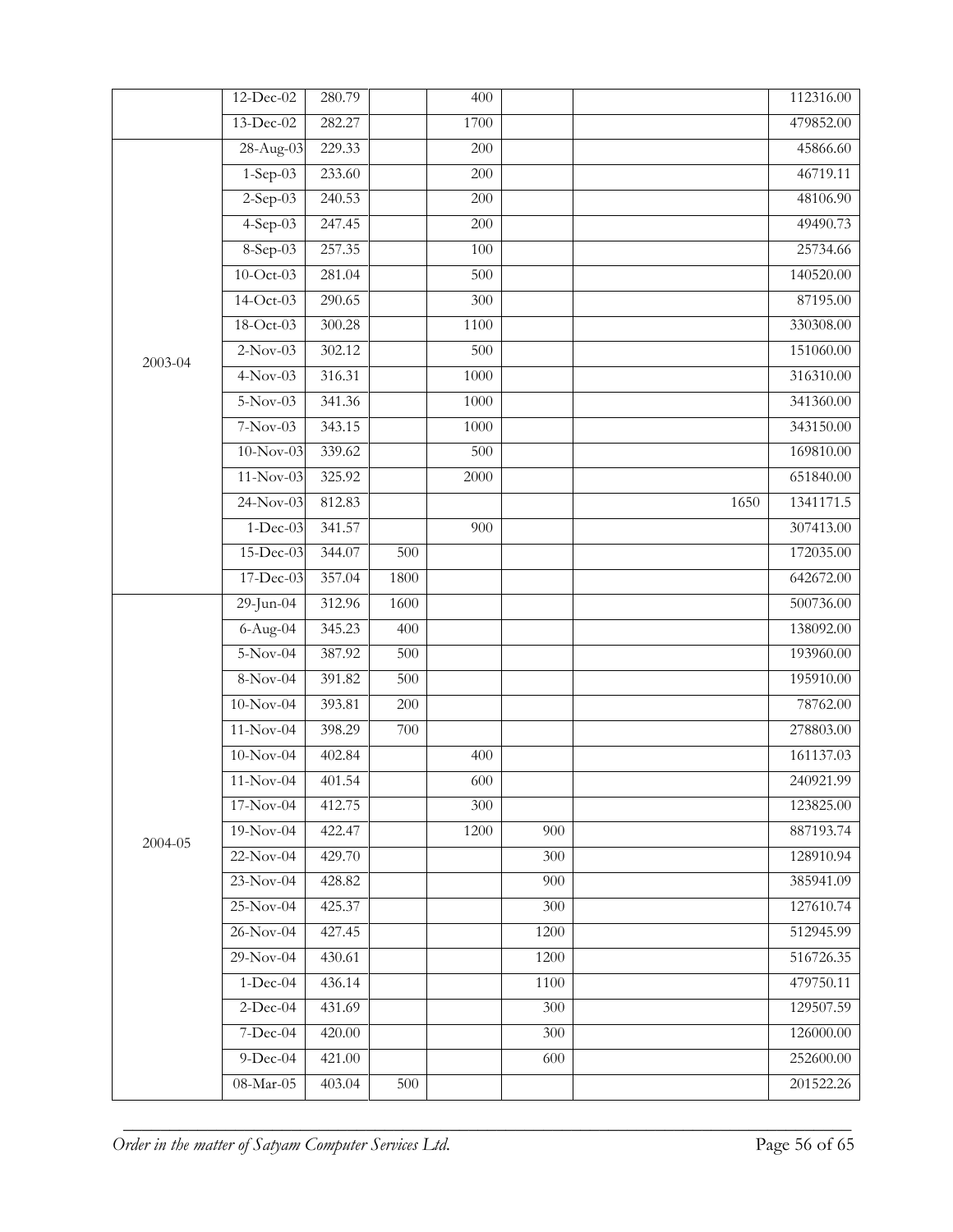|         | 12-Dec-02     | 280.79 |                  | 400              |      |      | 112316.00 |
|---------|---------------|--------|------------------|------------------|------|------|-----------|
|         | $13$ -Dec-02  | 282.27 |                  | 1700             |      |      | 479852.00 |
|         | 28-Aug-03     | 229.33 |                  | 200              |      |      | 45866.60  |
|         | $1-Sep-03$    | 233.60 |                  | 200              |      |      | 46719.11  |
|         | $2-Sep-03$    | 240.53 |                  | $\overline{200}$ |      |      | 48106.90  |
|         | $4-Sep-03$    | 247.45 |                  | 200              |      |      | 49490.73  |
|         | 8-Sep-03      | 257.35 |                  | 100              |      |      | 25734.66  |
|         | $10$ -Oct-03  | 281.04 |                  | 500              |      |      | 140520.00 |
|         | 14-Oct-03     | 290.65 |                  | 300              |      |      | 87195.00  |
|         | 18-Oct-03     | 300.28 |                  | 1100             |      |      | 330308.00 |
| 2003-04 | $2-Nov-03$    | 302.12 |                  | 500              |      |      | 151060.00 |
|         | $4-Nov-03$    | 316.31 |                  | 1000             |      |      | 316310.00 |
|         | $5-Nov-03$    | 341.36 |                  | 1000             |      |      | 341360.00 |
|         | $7-Nov-03$    | 343.15 |                  | 1000             |      |      | 343150.00 |
|         | $10-Nov-03$   | 339.62 |                  | 500              |      |      | 169810.00 |
|         | $11-Nov-03$   | 325.92 |                  | 2000             |      |      | 651840.00 |
|         | $24-Nov-03$   | 812.83 |                  |                  |      | 1650 | 1341171.5 |
|         | $1-Dec-03$    | 341.57 |                  | 900              |      |      | 307413.00 |
|         | 15-Dec-03     | 344.07 | 500              |                  |      |      | 172035.00 |
|         | $17 - Dec-03$ | 357.04 | 1800             |                  |      |      | 642672.00 |
|         | 29-Jun-04     | 312.96 | 1600             |                  |      |      | 500736.00 |
|         | $6$ -Aug-04   | 345.23 | 400              |                  |      |      | 138092.00 |
|         | $5-Nov-04$    | 387.92 | 500              |                  |      |      | 193960.00 |
|         | 8-Nov-04      | 391.82 | 500              |                  |      |      | 195910.00 |
|         | $10-Nov-04$   | 393.81 | $\overline{200}$ |                  |      |      | 78762.00  |
|         | $11-Nov-04$   | 398.29 | 700              |                  |      |      | 278803.00 |
|         | $10-Nov-04$   | 402.84 |                  | 400              |      |      | 161137.03 |
|         | $11-Nov-04$   | 401.54 |                  | 600              |      |      | 240921.99 |
|         | $17-Nov-04$   | 412.75 |                  | 300              |      |      | 123825.00 |
| 2004-05 | $19-Nov-04$   | 422.47 |                  | 1200             | 900  |      | 887193.74 |
|         | 22-Nov-04     | 429.70 |                  |                  | 300  |      | 128910.94 |
|         | 23-Nov-04     | 428.82 |                  |                  | 900  |      | 385941.09 |
|         | 25-Nov-04     | 425.37 |                  |                  | 300  |      | 127610.74 |
|         | 26-Nov-04     | 427.45 |                  |                  | 1200 |      | 512945.99 |
|         | 29-Nov-04     | 430.61 |                  |                  | 1200 |      | 516726.35 |
|         | $1$ -Dec-04   | 436.14 |                  |                  | 1100 |      | 479750.11 |
|         | $2$ -Dec-04   | 431.69 |                  |                  | 300  |      | 129507.59 |
|         | $7 - Dec-04$  | 420.00 |                  |                  | 300  |      | 126000.00 |
|         | $9$ -Dec-04   | 421.00 |                  |                  | 600  |      | 252600.00 |
|         | 08-Mar-05     | 403.04 | 500              |                  |      |      | 201522.26 |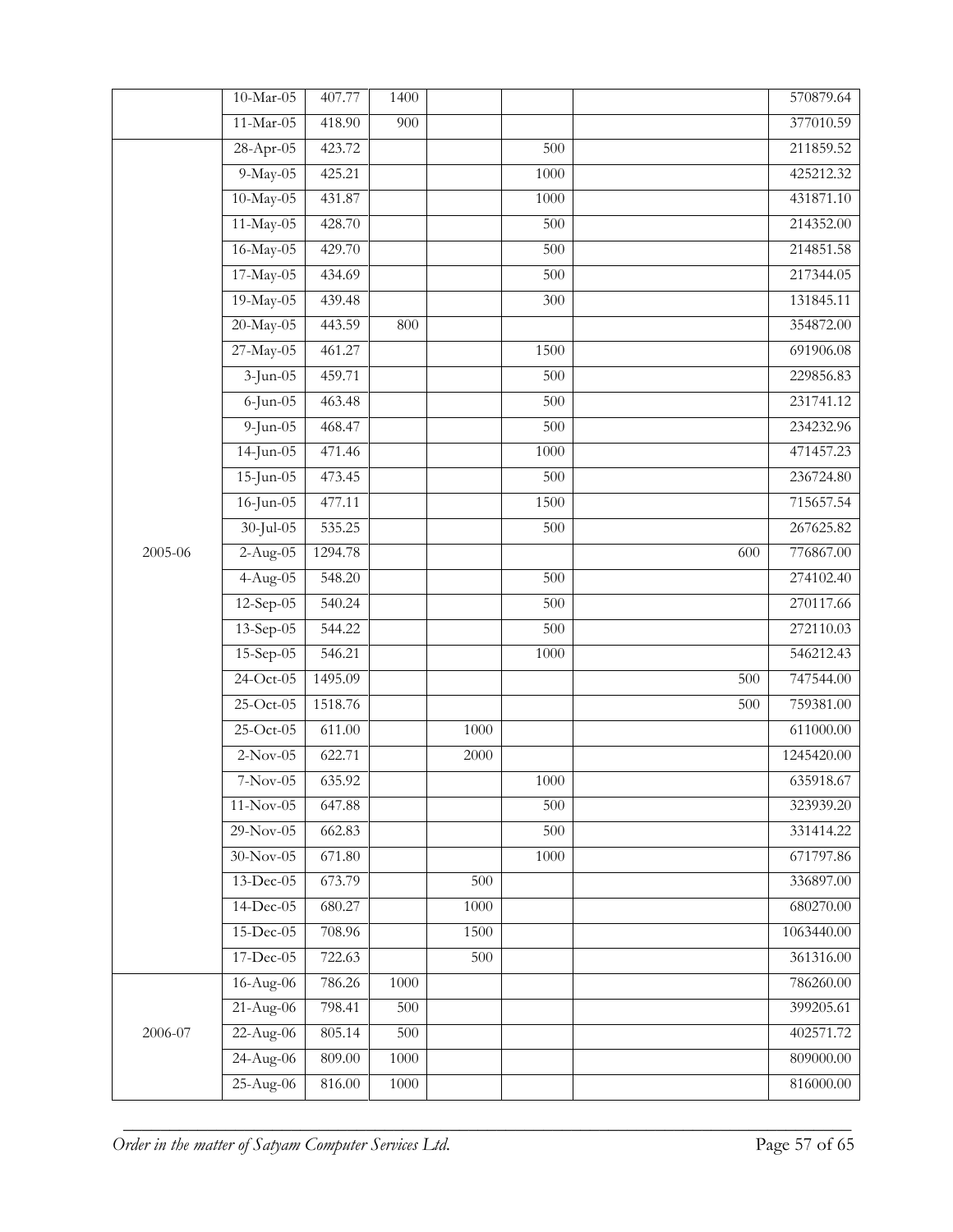|         | $10$ -Mar-05    | 407.77  | 1400     |                  |                  |                  | 570879.64  |
|---------|-----------------|---------|----------|------------------|------------------|------------------|------------|
|         | 11-Mar-05       | 418.90  | 900      |                  |                  |                  | 377010.59  |
|         | $28-Apr-05$     | 423.72  |          |                  | 500              |                  | 211859.52  |
|         | $9-May-05$      | 425.21  |          |                  | 1000             |                  | 425212.32  |
|         | 10-May-05       | 431.87  |          |                  | 1000             |                  | 431871.10  |
|         | 11-May-05       | 428.70  |          |                  | 500              |                  | 214352.00  |
|         | 16-May-05       | 429.70  |          |                  | $\overline{500}$ |                  | 214851.58  |
|         | $17-May-05$     | 434.69  |          |                  | 500              |                  | 217344.05  |
|         | 19-May-05       | 439.48  |          |                  | 300              |                  | 131845.11  |
|         | 20-May-05       | 443.59  | 800      |                  |                  |                  | 354872.00  |
|         | 27-May-05       | 461.27  |          |                  | 1500             |                  | 691906.08  |
|         | $3$ -Jun-05     | 459.71  |          |                  | 500              |                  | 229856.83  |
|         | $6$ -Jun-05     | 463.48  |          |                  | 500              |                  | 231741.12  |
|         | $9 - Jun - 05$  | 468.47  |          |                  | $\overline{500}$ |                  | 234232.96  |
|         | $14$ -Jun-05    | 471.46  |          |                  | 1000             |                  | 471457.23  |
|         | $15$ -Jun-05    | 473.45  |          |                  | 500              |                  | 236724.80  |
|         | $16$ -Jun-05    | 477.11  |          |                  | 1500             |                  | 715657.54  |
|         | $30$ -Jul-05    | 535.25  |          |                  | 500              |                  | 267625.82  |
| 2005-06 | $2-Aug-05$      | 1294.78 |          |                  |                  | 600              | 776867.00  |
|         | $4-Aug-05$      | 548.20  |          |                  | 500              |                  | 274102.40  |
|         | $12-Sep-05$     | 540.24  |          |                  | 500              |                  | 270117.66  |
|         | $13-Sep-05$     | 544.22  |          |                  | 500              |                  | 272110.03  |
|         | 15-Sep-05       | 546.21  |          |                  | 1000             |                  | 546212.43  |
|         | 24-Oct-05       | 1495.09 |          |                  |                  | 500              | 747544.00  |
|         | $25$ -Oct-05    | 1518.76 |          |                  |                  | $\overline{5}00$ | 759381.00  |
|         | $25$ -Oct-05    | 611.00  |          | 1000             |                  |                  | 611000.00  |
|         | $2-Nov-05$      | 622.71  |          | 2000             |                  |                  | 1245420.00 |
|         | $7-Nov-05$      | 635.92  |          |                  | 1000             |                  | 635918.67  |
|         | $11-Nov-05$     | 647.88  |          |                  | 500              |                  | 323939.20  |
|         | $29-Nov-05$     | 662.83  |          |                  | 500              |                  | 331414.22  |
|         | $30-Nov-05$     | 671.80  |          |                  | 1000             |                  | 671797.86  |
|         | $13$ -Dec-05    | 673.79  |          | 500              |                  |                  | 336897.00  |
|         | $14 - Dec - 05$ | 680.27  |          | 1000             |                  |                  | 680270.00  |
|         | $15$ -Dec-05    | 708.96  |          | 1500             |                  |                  | 1063440.00 |
|         | $17 - Dec-05$   | 722.63  |          | $\overline{500}$ |                  |                  | 361316.00  |
|         | 16-Aug-06       | 786.26  | 1000     |                  |                  |                  | 786260.00  |
|         | 21-Aug-06       | 798.41  | 500      |                  |                  |                  | 399205.61  |
| 2006-07 | 22-Aug-06       | 805.14  | 500      |                  |                  |                  | 402571.72  |
|         | 24-Aug-06       | 809.00  | $1000\,$ |                  |                  |                  | 809000.00  |
|         | 25-Aug-06       | 816.00  | 1000     |                  |                  |                  | 816000.00  |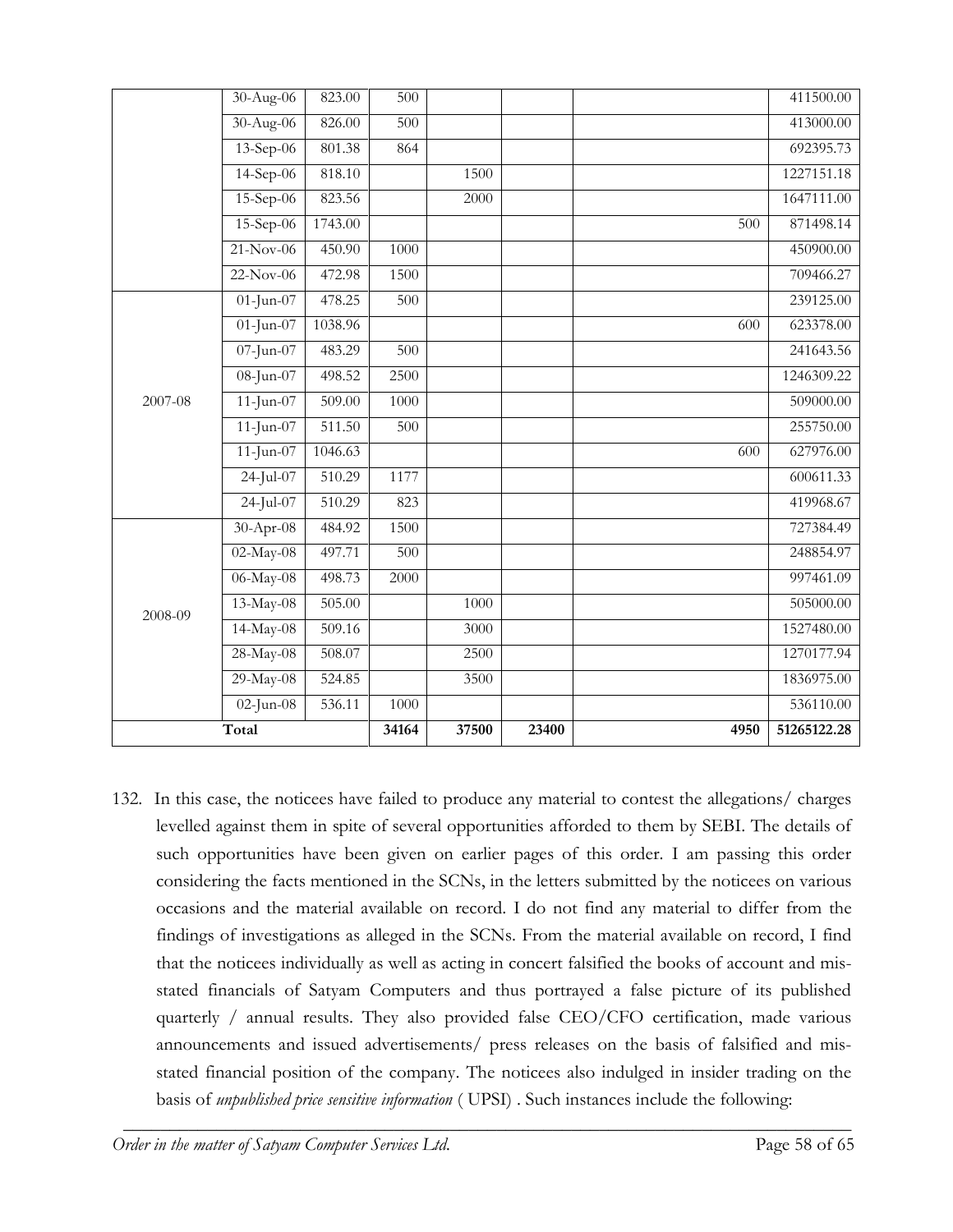|         | 30-Aug-06    | 823.00  | $\overline{500}$ |       |       |                  | 411500.00   |
|---------|--------------|---------|------------------|-------|-------|------------------|-------------|
|         | 30-Aug-06    | 826.00  | $\overline{500}$ |       |       |                  | 413000.00   |
|         | 13-Sep-06    | 801.38  | 864              |       |       |                  | 692395.73   |
|         | 14-Sep-06    | 818.10  |                  | 1500  |       |                  | 1227151.18  |
|         | 15-Sep-06    | 823.56  |                  | 2000  |       |                  | 1647111.00  |
|         | 15-Sep-06    | 1743.00 |                  |       |       | $\overline{500}$ | 871498.14   |
|         | $21-Nov-06$  | 450.90  | 1000             |       |       |                  | 450900.00   |
|         | $22-Nov-06$  | 472.98  | 1500             |       |       |                  | 709466.27   |
|         | $01$ -Jun-07 | 478.25  | 500              |       |       |                  | 239125.00   |
|         | $01$ -Jun-07 | 1038.96 |                  |       |       | 600              | 623378.00   |
|         | 07-Jun-07    | 483.29  | 500              |       |       |                  | 241643.56   |
|         | 08-Jun-07    | 498.52  | 2500             |       |       |                  | 1246309.22  |
| 2007-08 | $11$ -Jun-07 | 509.00  | 1000             |       |       |                  | 509000.00   |
|         | $11$ -Jun-07 | 511.50  | $\overline{500}$ |       |       |                  | 255750.00   |
|         | $11$ -Jun-07 | 1046.63 |                  |       |       | 600              | 627976.00   |
|         | $24$ -Jul-07 | 510.29  | 1177             |       |       |                  | 600611.33   |
|         | $24$ -Jul-07 | 510.29  | 823              |       |       |                  | 419968.67   |
|         | 30-Apr-08    | 484.92  | 1500             |       |       |                  | 727384.49   |
|         | $02-May-08$  | 497.71  | 500              |       |       |                  | 248854.97   |
|         | 06-May-08    | 498.73  | 2000             |       |       |                  | 997461.09   |
| 2008-09 | 13-May-08    | 505.00  |                  | 1000  |       |                  | 505000.00   |
|         | 14-May-08    | 509.16  |                  | 3000  |       |                  | 1527480.00  |
|         | 28-May-08    | 508.07  |                  | 2500  |       |                  | 1270177.94  |
|         | $29-May-08$  | 524.85  |                  | 3500  |       |                  | 1836975.00  |
|         | $02$ -Jun-08 | 536.11  | 1000             |       |       |                  | 536110.00   |
|         | Total        |         | 34164            | 37500 | 23400 | 4950             | 51265122.28 |

132. In this case, the noticees have failed to produce any material to contest the allegations/ charges levelled against them in spite of several opportunities afforded to them by SEBI. The details of such opportunities have been given on earlier pages of this order. I am passing this order considering the facts mentioned in the SCNs, in the letters submitted by the noticees on various occasions and the material available on record. I do not find any material to differ from the findings of investigations as alleged in the SCNs. From the material available on record, I find that the noticees individually as well as acting in concert falsified the books of account and misstated financials of Satyam Computers and thus portrayed a false picture of its published quarterly / annual results. They also provided false CEO/CFO certification, made various announcements and issued advertisements/ press releases on the basis of falsified and misstated financial position of the company. The noticees also indulged in insider trading on the basis of *unpublished price sensitive information* ( UPSI) . Such instances include the following: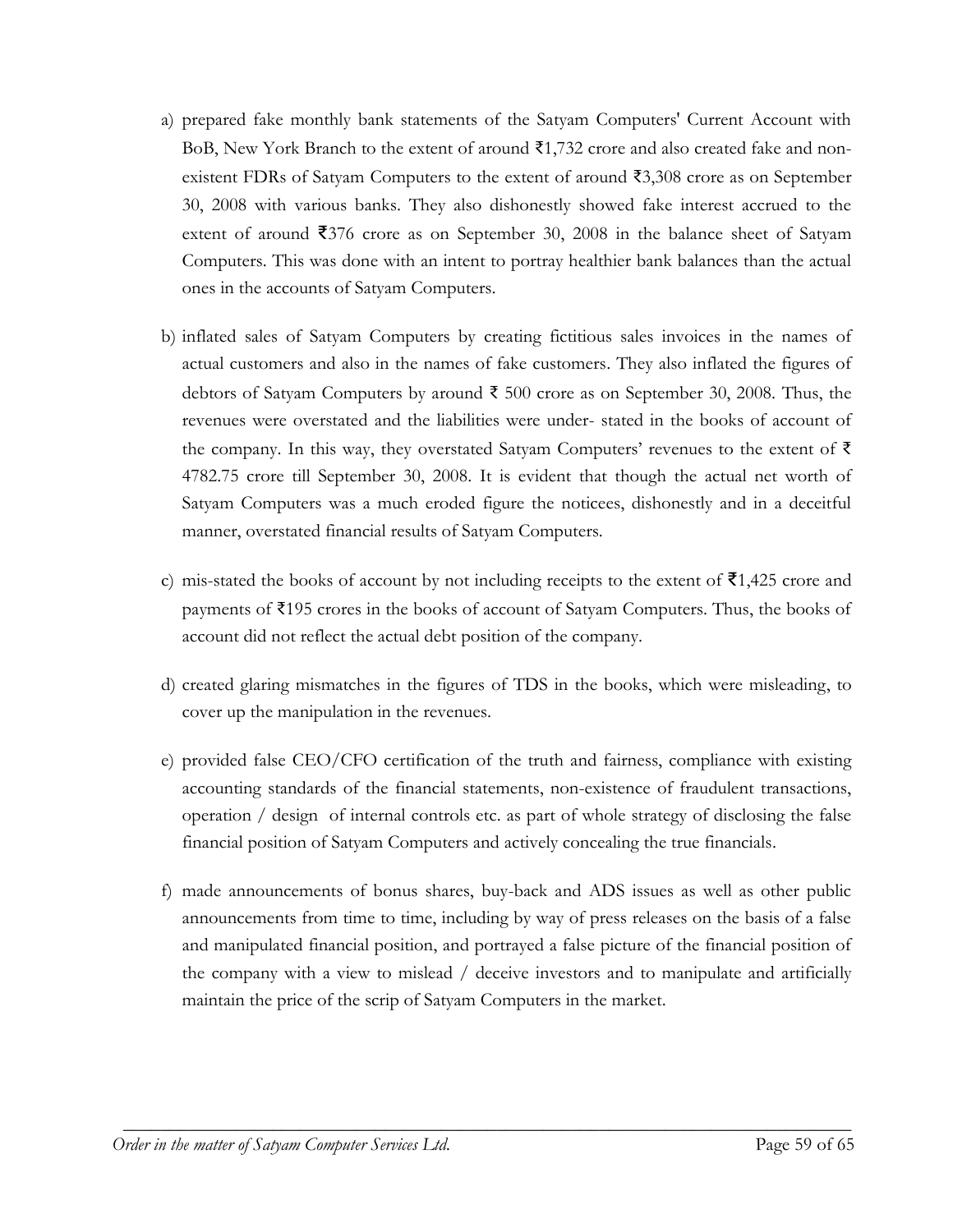- a) prepared fake monthly bank statements of the Satyam Computers' Current Account with BoB, New York Branch to the extent of around ₹1,732 crore and also created fake and nonexistent FDRs of Satyam Computers to the extent of around ₹3,308 crore as on September 30, 2008 with various banks. They also dishonestly showed fake interest accrued to the extent of around ₹376 crore as on September 30, 2008 in the balance sheet of Satyam Computers. This was done with an intent to portray healthier bank balances than the actual ones in the accounts of Satyam Computers.
- b) inflated sales of Satyam Computers by creating fictitious sales invoices in the names of actual customers and also in the names of fake customers. They also inflated the figures of debtors of Satyam Computers by around ₹ 500 crore as on September 30, 2008. Thus, the revenues were overstated and the liabilities were under- stated in the books of account of the company. In this way, they overstated Satyam Computers' revenues to the extent of  $\bar{\xi}$ 4782.75 crore till September 30, 2008. It is evident that though the actual net worth of Satyam Computers was a much eroded figure the noticees, dishonestly and in a deceitful manner, overstated financial results of Satyam Computers.
- c) mis-stated the books of account by not including receipts to the extent of  $\bar{z}1,425$  crore and payments of ₹195 crores in the books of account of Satyam Computers. Thus, the books of account did not reflect the actual debt position of the company.
- d) created glaring mismatches in the figures of TDS in the books, which were misleading, to cover up the manipulation in the revenues.
- e) provided false CEO/CFO certification of the truth and fairness, compliance with existing accounting standards of the financial statements, non-existence of fraudulent transactions, operation / design of internal controls etc. as part of whole strategy of disclosing the false financial position of Satyam Computers and actively concealing the true financials.
- f) made announcements of bonus shares, buy-back and ADS issues as well as other public announcements from time to time, including by way of press releases on the basis of a false and manipulated financial position, and portrayed a false picture of the financial position of the company with a view to mislead / deceive investors and to manipulate and artificially maintain the price of the scrip of Satyam Computers in the market.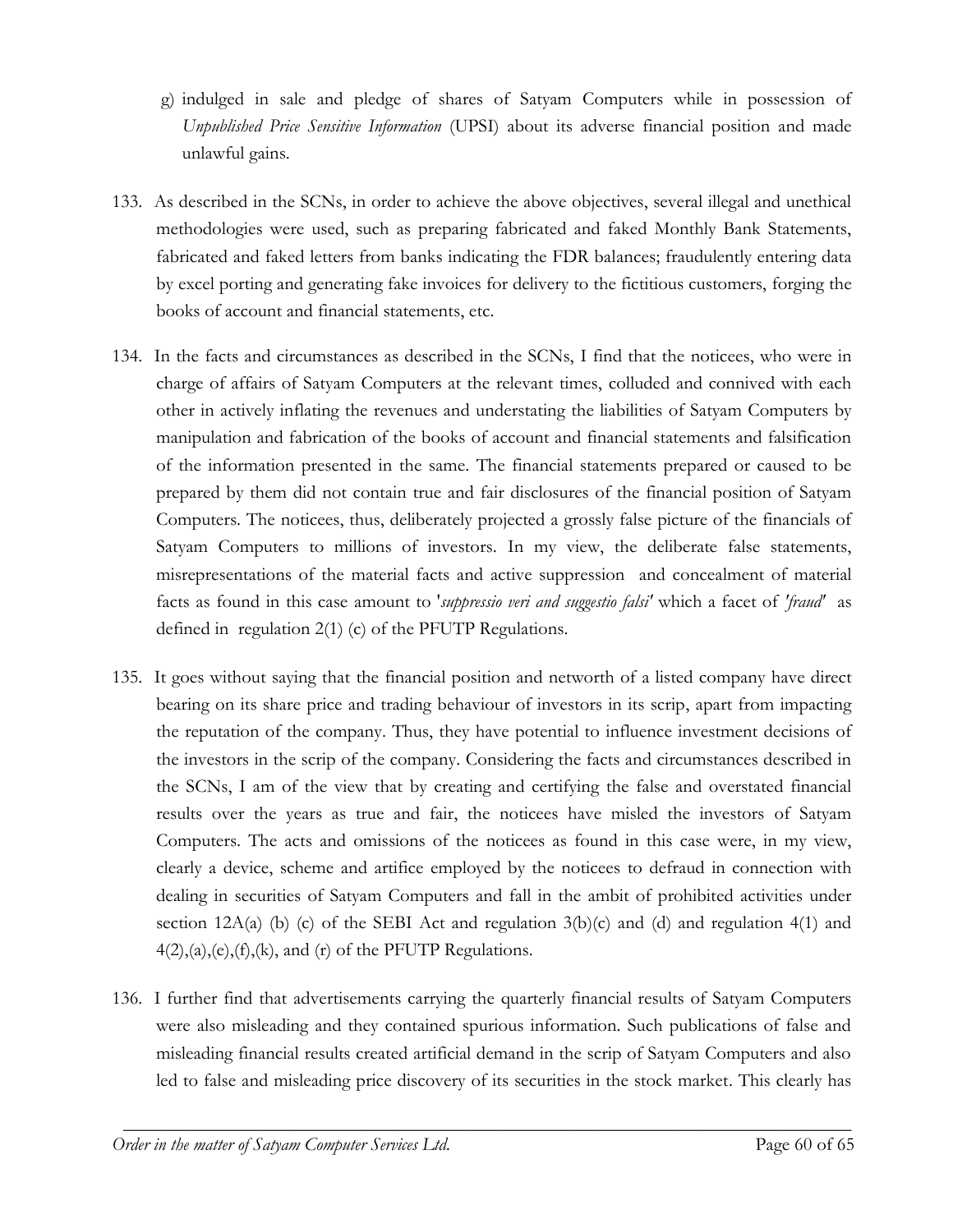- g) indulged in sale and pledge of shares of Satyam Computers while in possession of *Unpublished Price Sensitive Information* (UPSI) about its adverse financial position and made unlawful gains.
- 133. As described in the SCNs, in order to achieve the above objectives, several illegal and unethical methodologies were used, such as preparing fabricated and faked Monthly Bank Statements, fabricated and faked letters from banks indicating the FDR balances; fraudulently entering data by excel porting and generating fake invoices for delivery to the fictitious customers, forging the books of account and financial statements, etc.
- 134. In the facts and circumstances as described in the SCNs, I find that the noticees, who were in charge of affairs of Satyam Computers at the relevant times, colluded and connived with each other in actively inflating the revenues and understating the liabilities of Satyam Computers by manipulation and fabrication of the books of account and financial statements and falsification of the information presented in the same. The financial statements prepared or caused to be prepared by them did not contain true and fair disclosures of the financial position of Satyam Computers. The noticees, thus, deliberately projected a grossly false picture of the financials of Satyam Computers to millions of investors. In my view, the deliberate false statements, misrepresentations of the material facts and active suppression and concealment of material facts as found in this case amount to '*suppressio veri and suggestio falsi'* which a facet of *'fraud'* as defined in regulation 2(1) (c) of the PFUTP Regulations.
- 135. It goes without saying that the financial position and networth of a listed company have direct bearing on its share price and trading behaviour of investors in its scrip, apart from impacting the reputation of the company. Thus, they have potential to influence investment decisions of the investors in the scrip of the company. Considering the facts and circumstances described in the SCNs, I am of the view that by creating and certifying the false and overstated financial results over the years as true and fair, the noticees have misled the investors of Satyam Computers. The acts and omissions of the noticees as found in this case were, in my view, clearly a device, scheme and artifice employed by the noticees to defraud in connection with dealing in securities of Satyam Computers and fall in the ambit of prohibited activities under section 12A(a) (b) (c) of the SEBI Act and regulation 3(b)(c) and (d) and regulation 4(1) and  $4(2),(a),(e),(f),(k),$  and  $(r)$  of the PFUTP Regulations.
- 136. I further find that advertisements carrying the quarterly financial results of Satyam Computers were also misleading and they contained spurious information. Such publications of false and misleading financial results created artificial demand in the scrip of Satyam Computers and also led to false and misleading price discovery of its securities in the stock market. This clearly has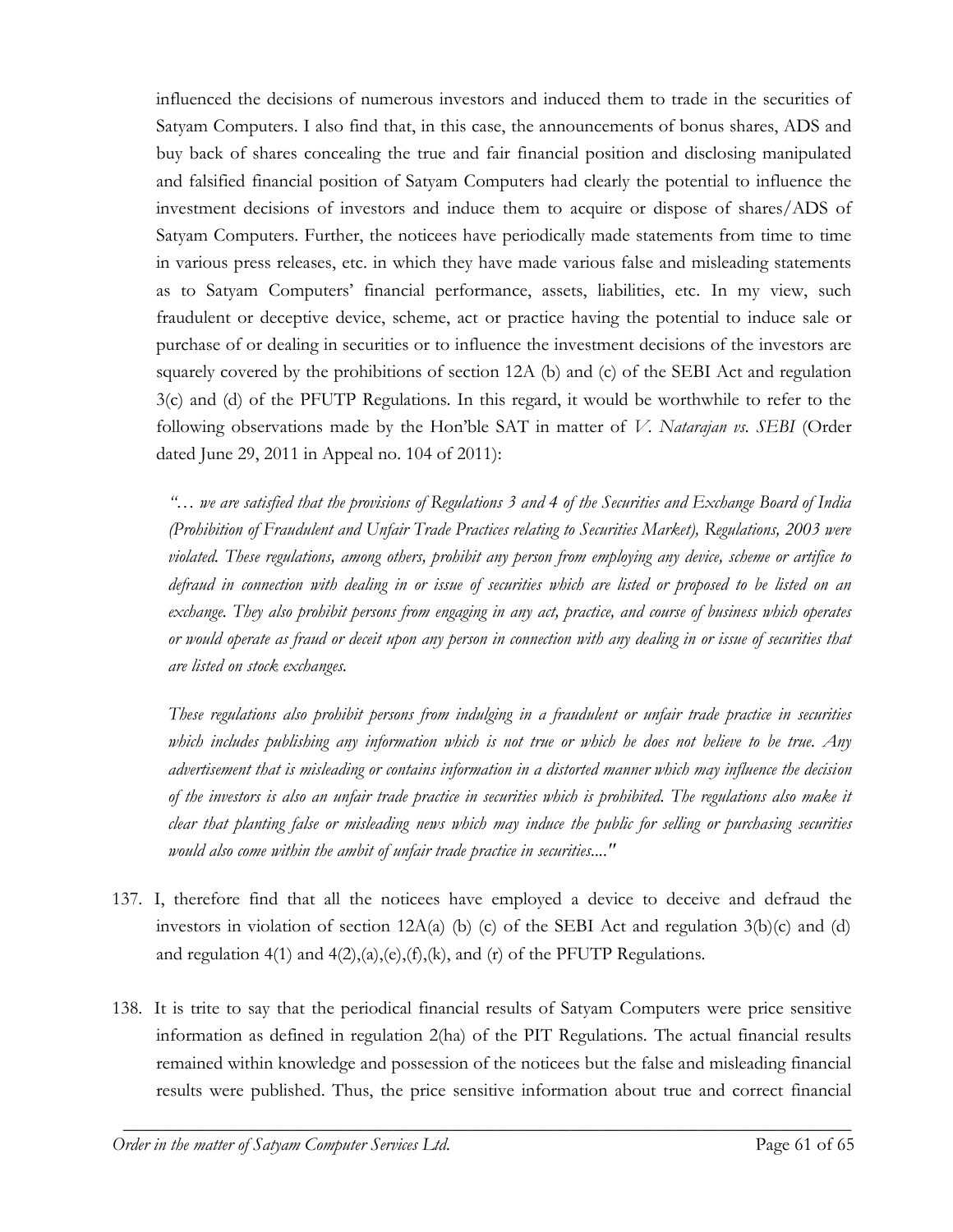influenced the decisions of numerous investors and induced them to trade in the securities of Satyam Computers. I also find that, in this case, the announcements of bonus shares, ADS and buy back of shares concealing the true and fair financial position and disclosing manipulated and falsified financial position of Satyam Computers had clearly the potential to influence the investment decisions of investors and induce them to acquire or dispose of shares/ADS of Satyam Computers. Further, the noticees have periodically made statements from time to time in various press releases, etc. in which they have made various false and misleading statements as to Satyam Computers' financial performance, assets, liabilities, etc. In my view, such fraudulent or deceptive device, scheme, act or practice having the potential to induce sale or purchase of or dealing in securities or to influence the investment decisions of the investors are squarely covered by the prohibitions of section 12A (b) and (c) of the SEBI Act and regulation 3(c) and (d) of the PFUTP Regulations. In this regard, it would be worthwhile to refer to the following observations made by the Hon"ble SAT in matter of *V. Natarajan vs. SEBI* (Order dated June 29, 2011 in Appeal no. 104 of 2011):

*"… we are satisfied that the provisions of Regulations 3 and 4 of the Securities and Exchange Board of India (Prohibition of Fraudulent and Unfair Trade Practices relating to Securities Market), Regulations, 2003 were violated. These regulations, among others, prohibit any person from employing any device, scheme or artifice to defraud in connection with dealing in or issue of securities which are listed or proposed to be listed on an*  exchange. They also prohibit persons from engaging in any act, practice, and course of business which operates *or would operate as fraud or deceit upon any person in connection with any dealing in or issue of securities that are listed on stock exchanges.*

*These regulations also prohibit persons from indulging in a fraudulent or unfair trade practice in securities which includes publishing any information which is not true or which he does not believe to be true. Any advertisement that is misleading or contains information in a distorted manner which may influence the decision of the investors is also an unfair trade practice in securities which is prohibited. The regulations also make it clear that planting false or misleading news which may induce the public for selling or purchasing securities would also come within the ambit of unfair trade practice in securities...."*

- 137. I, therefore find that all the noticees have employed a device to deceive and defraud the investors in violation of section  $12A(a)$  (b) (c) of the SEBI Act and regulation  $3(b)(c)$  and (d) and regulation 4(1) and 4(2),(a),(e),(f),(k), and (r) of the PFUTP Regulations.
- 138. It is trite to say that the periodical financial results of Satyam Computers were price sensitive information as defined in regulation 2(ha) of the PIT Regulations. The actual financial results remained within knowledge and possession of the noticees but the false and misleading financial results were published. Thus, the price sensitive information about true and correct financial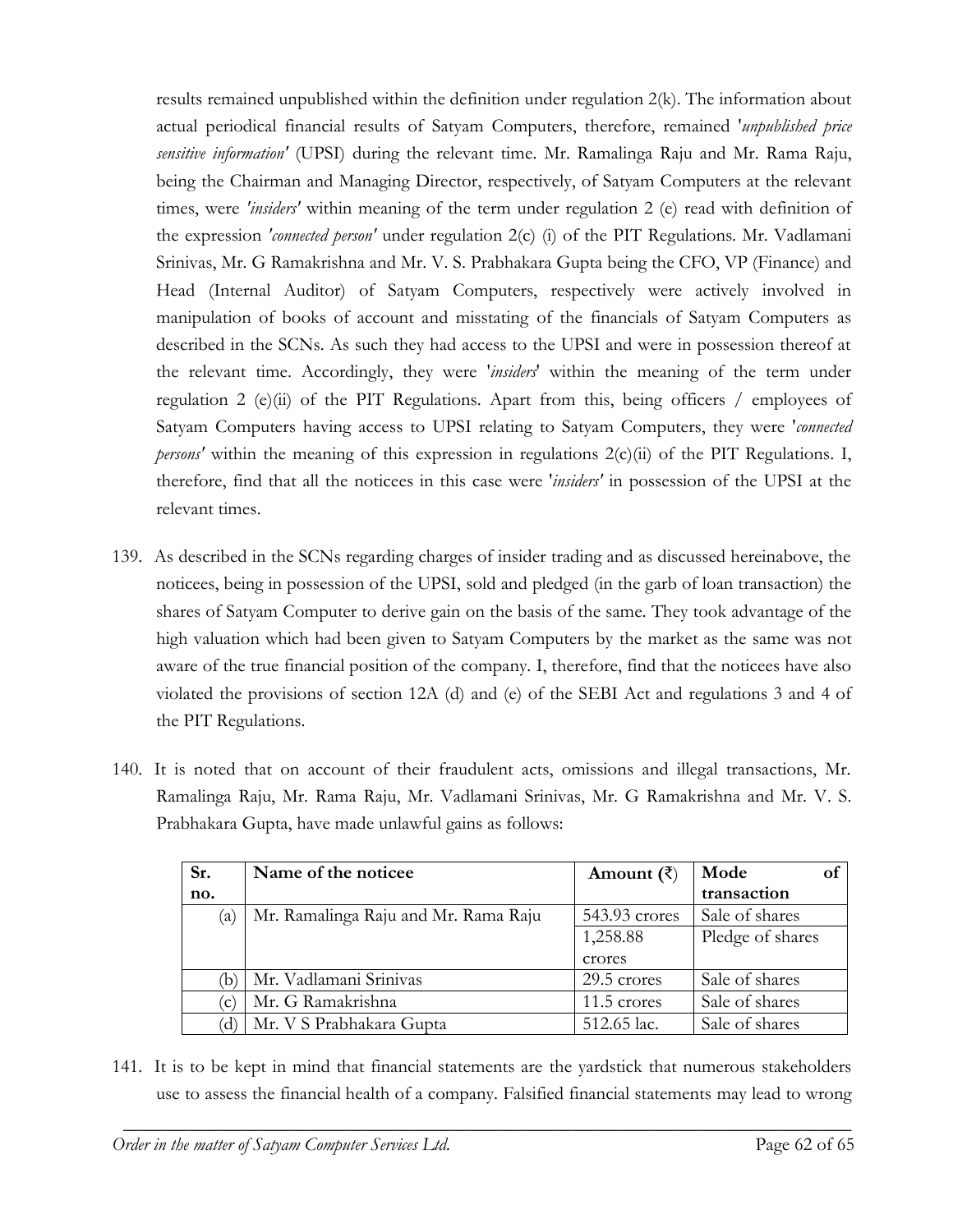results remained unpublished within the definition under regulation 2(k). The information about actual periodical financial results of Satyam Computers, therefore, remained '*unpublished price sensitive information'* (UPSI) during the relevant time. Mr. Ramalinga Raju and Mr. Rama Raju, being the Chairman and Managing Director, respectively, of Satyam Computers at the relevant times, were *'insiders'* within meaning of the term under regulation 2 (e) read with definition of the expression *'connected person'* under regulation 2(c) (i) of the PIT Regulations. Mr. Vadlamani Srinivas, Mr. G Ramakrishna and Mr. V. S. Prabhakara Gupta being the CFO, VP (Finance) and Head (Internal Auditor) of Satyam Computers, respectively were actively involved in manipulation of books of account and misstating of the financials of Satyam Computers as described in the SCNs. As such they had access to the UPSI and were in possession thereof at the relevant time. Accordingly, they were '*insiders*' within the meaning of the term under regulation 2 (e)(ii) of the PIT Regulations. Apart from this, being officers / employees of Satyam Computers having access to UPSI relating to Satyam Computers, they were '*connected persons'* within the meaning of this expression in regulations  $2(c)(ii)$  of the PIT Regulations. I, therefore, find that all the noticees in this case were '*insiders'* in possession of the UPSI at the relevant times.

- 139. As described in the SCNs regarding charges of insider trading and as discussed hereinabove, the noticees, being in possession of the UPSI, sold and pledged (in the garb of loan transaction) the shares of Satyam Computer to derive gain on the basis of the same. They took advantage of the high valuation which had been given to Satyam Computers by the market as the same was not aware of the true financial position of the company. I, therefore, find that the noticees have also violated the provisions of section 12A (d) and (e) of the SEBI Act and regulations 3 and 4 of the PIT Regulations.
- 140. It is noted that on account of their fraudulent acts, omissions and illegal transactions, Mr. Ramalinga Raju, Mr. Rama Raju, Mr. Vadlamani Srinivas, Mr. G Ramakrishna and Mr. V. S. Prabhakara Gupta, have made unlawful gains as follows:

| Sr. | Name of the noticee                  | Amount $(\bar{\zeta})$ | Mode<br>of       |
|-----|--------------------------------------|------------------------|------------------|
| no. |                                      |                        | transaction      |
| (a) | Mr. Ramalinga Raju and Mr. Rama Raju | 543.93 crores          | Sale of shares   |
|     |                                      | 1,258.88               | Pledge of shares |
|     |                                      | crores                 |                  |
|     | Mr. Vadlamani Srinivas               | 29.5 crores            | Sale of shares   |
|     | Mr. G Ramakrishna                    | 11.5 crores            | Sale of shares   |
|     | Mr. V S Prabhakara Gupta             | 512.65 lac.            | Sale of shares   |

141. It is to be kept in mind that financial statements are the yardstick that numerous stakeholders use to assess the financial health of a company. Falsified financial statements may lead to wrong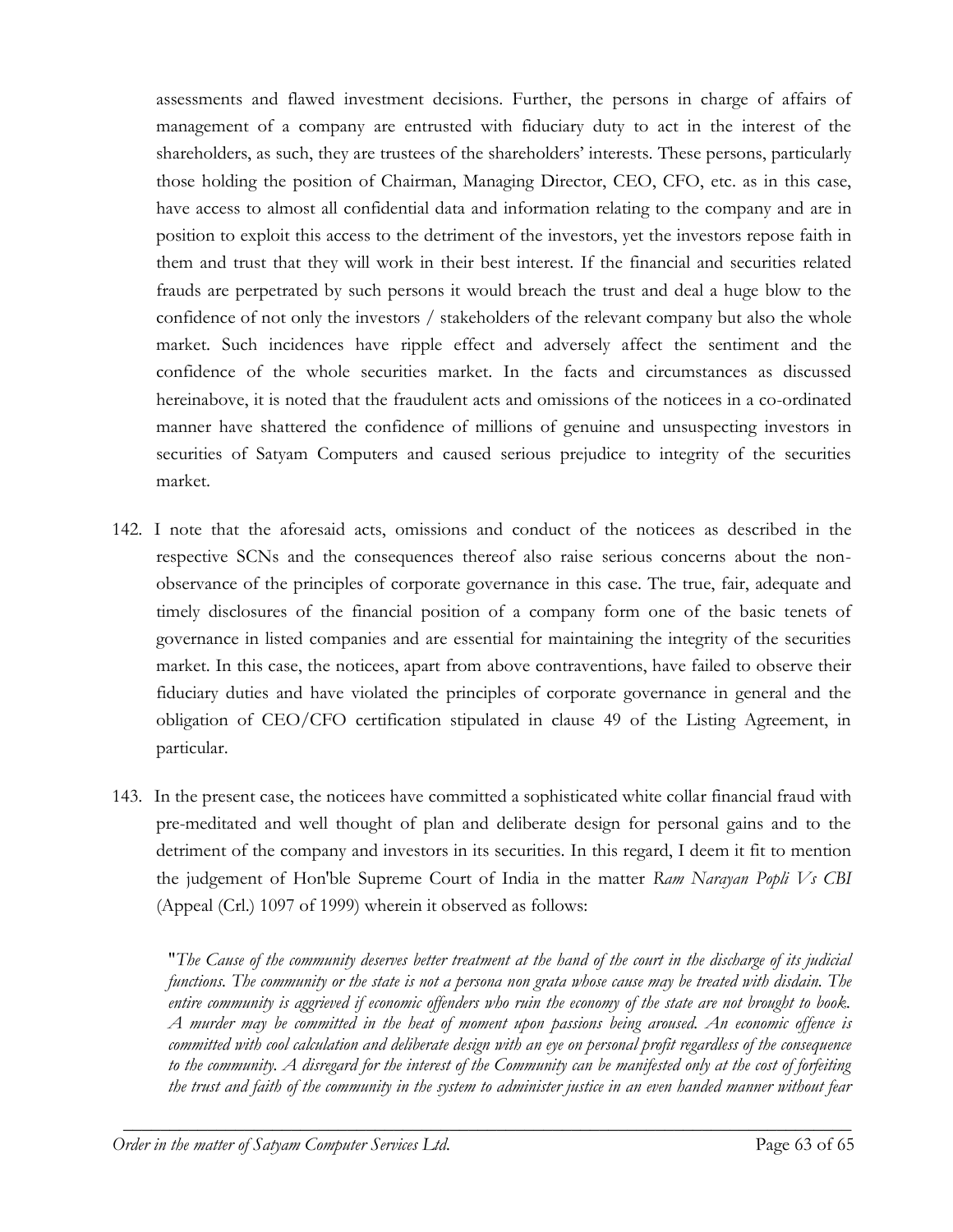assessments and flawed investment decisions. Further, the persons in charge of affairs of management of a company are entrusted with fiduciary duty to act in the interest of the shareholders, as such, they are trustees of the shareholders" interests. These persons, particularly those holding the position of Chairman, Managing Director, CEO, CFO, etc. as in this case, have access to almost all confidential data and information relating to the company and are in position to exploit this access to the detriment of the investors, yet the investors repose faith in them and trust that they will work in their best interest. If the financial and securities related frauds are perpetrated by such persons it would breach the trust and deal a huge blow to the confidence of not only the investors / stakeholders of the relevant company but also the whole market. Such incidences have ripple effect and adversely affect the sentiment and the confidence of the whole securities market. In the facts and circumstances as discussed hereinabove, it is noted that the fraudulent acts and omissions of the noticees in a co-ordinated manner have shattered the confidence of millions of genuine and unsuspecting investors in securities of Satyam Computers and caused serious prejudice to integrity of the securities market.

- 142. I note that the aforesaid acts, omissions and conduct of the noticees as described in the respective SCNs and the consequences thereof also raise serious concerns about the nonobservance of the principles of corporate governance in this case. The true, fair, adequate and timely disclosures of the financial position of a company form one of the basic tenets of governance in listed companies and are essential for maintaining the integrity of the securities market. In this case, the noticees, apart from above contraventions, have failed to observe their fiduciary duties and have violated the principles of corporate governance in general and the obligation of CEO/CFO certification stipulated in clause 49 of the Listing Agreement, in particular.
- 143. In the present case, the noticees have committed a sophisticated white collar financial fraud with pre-meditated and well thought of plan and deliberate design for personal gains and to the detriment of the company and investors in its securities. In this regard, I deem it fit to mention the judgement of Hon'ble Supreme Court of India in the matter *Ram Narayan Popli Vs CBI* (Appeal (Crl.) 1097 of 1999) wherein it observed as follows:

"*The Cause of the community deserves better treatment at the hand of the court in the discharge of its judicial functions. The community or the state is not a persona non grata whose cause may be treated with disdain. The entire community is aggrieved if economic offenders who ruin the economy of the state are not brought to book. A murder may be committed in the heat of moment upon passions being aroused. An economic offence is committed with cool calculation and deliberate design with an eye on personal profit regardless of the consequence to the community. A disregard for the interest of the Community can be manifested only at the cost of forfeiting the trust and faith of the community in the system to administer justice in an even handed manner without fear*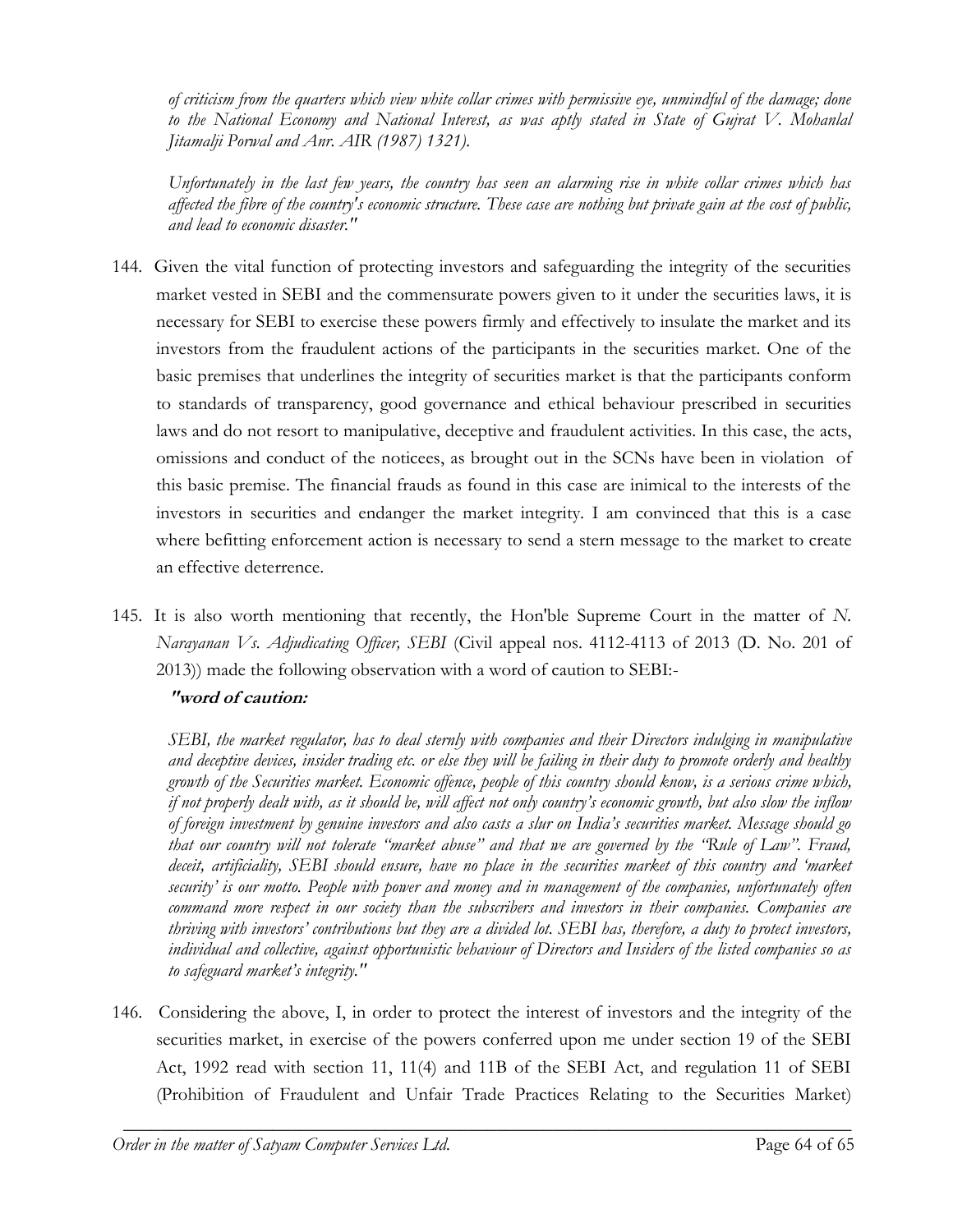*of criticism from the quarters which view white collar crimes with permissive eye, unmindful of the damage; done to the National Economy and National Interest, as was aptly stated in State of Gujrat V. Mohanlal Jitamalji Porwal and Anr. AIR (1987) 1321).*

*Unfortunately in the last few years, the country has seen an alarming rise in white collar crimes which has affected the fibre of the country's economic structure. These case are nothing but private gain at the cost of public, and lead to economic disaster."*

- 144. Given the vital function of protecting investors and safeguarding the integrity of the securities market vested in SEBI and the commensurate powers given to it under the securities laws, it is necessary for SEBI to exercise these powers firmly and effectively to insulate the market and its investors from the fraudulent actions of the participants in the securities market. One of the basic premises that underlines the integrity of securities market is that the participants conform to standards of transparency, good governance and ethical behaviour prescribed in securities laws and do not resort to manipulative, deceptive and fraudulent activities. In this case, the acts, omissions and conduct of the noticees, as brought out in the SCNs have been in violation of this basic premise. The financial frauds as found in this case are inimical to the interests of the investors in securities and endanger the market integrity. I am convinced that this is a case where befitting enforcement action is necessary to send a stern message to the market to create an effective deterrence.
- 145. It is also worth mentioning that recently, the Hon'ble Supreme Court in the matter of *N. Narayanan Vs. Adjudicating Officer, SEBI* (Civil appeal nos. 4112-4113 of 2013 (D. No. 201 of 2013)) made the following observation with a word of caution to SEBI:-

#### **"word of caution:**

*SEBI, the market regulator, has to deal sternly with companies and their Directors indulging in manipulative and deceptive devices, insider trading etc. or else they will be failing in their duty to promote orderly and healthy growth of the Securities market. Economic offence, people of this country should know, is a serious crime which, if not properly dealt with, as it should be, will affect not only country"s economic growth, but also slow the inflow of foreign investment by genuine investors and also casts a slur on India"s securities market. Message should go that our country will not tolerate "market abuse" and that we are governed by the "Rule of Law". Fraud, deceit, artificiality, SEBI should ensure, have no place in the securities market of this country and "market security" is our motto. People with power and money and in management of the companies, unfortunately often command more respect in our society than the subscribers and investors in their companies. Companies are thriving with investors" contributions but they are a divided lot. SEBI has, therefore, a duty to protect investors, individual and collective, against opportunistic behaviour of Directors and Insiders of the listed companies so as to safeguard market"s integrity."*

146. Considering the above, I, in order to protect the interest of investors and the integrity of the securities market, in exercise of the powers conferred upon me under section 19 of the SEBI Act, 1992 read with section 11, 11(4) and 11B of the SEBI Act, and regulation 11 of SEBI (Prohibition of Fraudulent and Unfair Trade Practices Relating to the Securities Market)